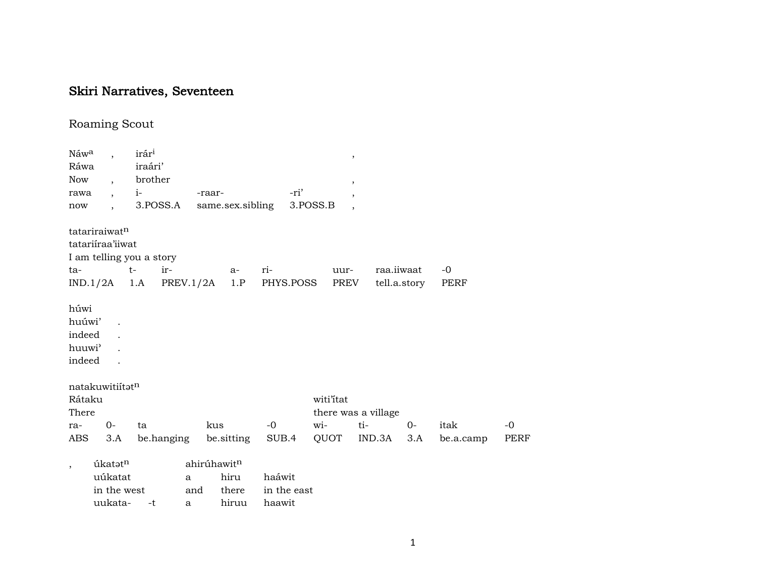## Skiri Narratives, Seventeen

## Roaming Scout

| Náw <sup>a</sup>         |                      | irár <sup>i</sup>        |            |             |                  |        |             | $^\mathrm{,}$            |        |              |      |             |             |
|--------------------------|----------------------|--------------------------|------------|-------------|------------------|--------|-------------|--------------------------|--------|--------------|------|-------------|-------------|
| Ráwa                     |                      | iraári'                  |            |             |                  |        |             |                          |        |              |      |             |             |
| <b>Now</b>               | $\cdot$              | brother                  |            |             |                  |        |             | $\cdot$                  |        |              |      |             |             |
| rawa                     | $\ddot{\phantom{a}}$ | $i-$                     |            | -raar-      |                  |        | -ri'        | $\cdot$                  |        |              |      |             |             |
| now                      |                      |                          | 3.POSS.A   |             | same.sex.sibling |        | 3.POSS.B    | $\overline{\phantom{a}}$ |        |              |      |             |             |
|                          | tatariraiwatn        |                          |            |             |                  |        |             |                          |        |              |      |             |             |
|                          | tatariiraa'iiwat     |                          |            |             |                  |        |             |                          |        |              |      |             |             |
|                          |                      | I am telling you a story |            |             |                  |        |             |                          |        |              |      |             |             |
| ta-                      |                      | $t-$                     | ir-        |             | $a-$             | ri-    |             | uur-                     |        | raa.iiwaat   |      | -0          |             |
|                          | $IND.1/2A$ 1.A       |                          | PREV.1/2A  |             | 1.P              |        | PHYS.POSS   | PREV                     |        | tell.a.story |      | <b>PERF</b> |             |
| húwi                     |                      |                          |            |             |                  |        |             |                          |        |              |      |             |             |
| huúwi'                   |                      |                          |            |             |                  |        |             |                          |        |              |      |             |             |
| indeed                   |                      |                          |            |             |                  |        |             |                          |        |              |      |             |             |
| huuwi'                   |                      |                          |            |             |                  |        |             |                          |        |              |      |             |             |
| indeed                   |                      |                          |            |             |                  |        |             |                          |        |              |      |             |             |
|                          | natakuwitiítatn      |                          |            |             |                  |        |             |                          |        |              |      |             |             |
| Rátaku                   |                      |                          |            |             |                  |        |             | witi'itat                |        |              |      |             |             |
| There                    |                      |                          |            |             |                  |        |             | there was a village      |        |              |      |             |             |
| ra-                      | 0-                   | ta                       |            | kus         |                  | $-0$   |             | wi-                      | ti-    |              | $0-$ | itak        | $-0$        |
| <b>ABS</b>               | 3.A                  |                          | be.hanging |             | be sitting       | SUB.4  |             | QUOT                     | IND.3A |              | 3.A  | be.a.camp   | <b>PERF</b> |
| $\overline{\phantom{a}}$ | úkatatn              |                          |            | ahirúhawitn |                  |        |             |                          |        |              |      |             |             |
|                          | uúkatat              |                          | a          |             | hiru             | haáwit |             |                          |        |              |      |             |             |
|                          | in the west          |                          | and        |             | there            |        | in the east |                          |        |              |      |             |             |
|                          | uukata-              | -t                       | a          |             | hiruu            | haawit |             |                          |        |              |      |             |             |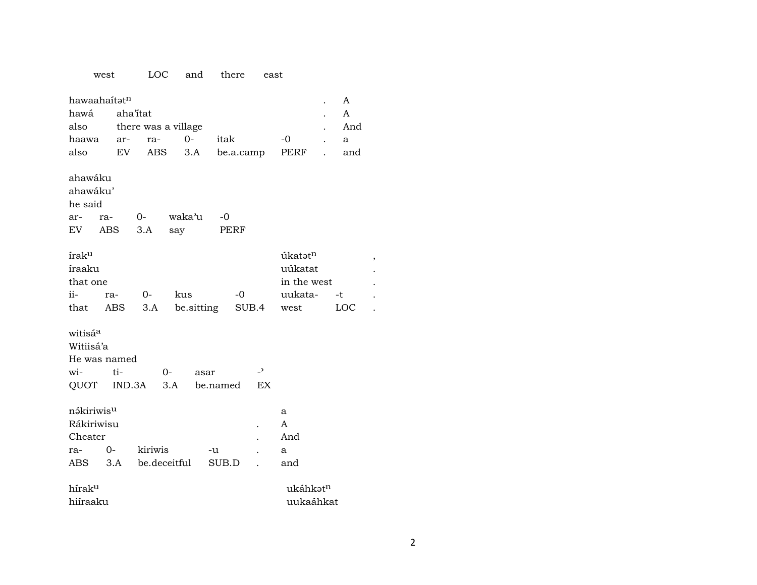## west LOC and there east hawaahaitatn  $\mathbf{A}$  $\mathbb{R}^2$ aha'itat  $\overline{A}$ hawá also there was a village And  $\ddot{\phantom{a}}$  $-0$ haawa arra- $0$ itak  $\mathbf{a}$  $\ddot{\phantom{a}}$  $3.A$ PERF also EV **ABS** be.a.camp and  $\ddot{\phantom{a}}$ ahawáku ahawáku' he said waka'u  $-0$  $0$ arra-ABS  $3.A$ say **PERF**  ${\rm EV}$  ${\rm irak^u}$ úkatətn íraaku uúkatat in the west that one  $ii -0$  $O$ kus uukata- $-t$ rathat ABS  $3.A$ be.sitting SUB.4 LOC west witisá<sup>a</sup> Witiisá'a He was named witi- $O \mathcal{L}$ asar QUOT IND.3A  $3.A$ be.named EX nákiriwis<sup>u</sup> a Rákiriwisu  $\mathbf{A}$ Cheater And  $\ddot{\phantom{a}}$  $0$ rakiriwis  $\mbox{-} u$  $\mathbf{a}$  $\mathcal{L}$  $3.A$ be.deceitful ABS SUB.D and  $\ddot{\phantom{a}}$ híraku ukáhkətn hiíraaku uukaáhkat

 $\overline{\phantom{a}}$ 

 $\ddot{\phantom{a}}$ 

 $\ddot{\phantom{a}}$ 

 $\ddot{\phantom{a}}$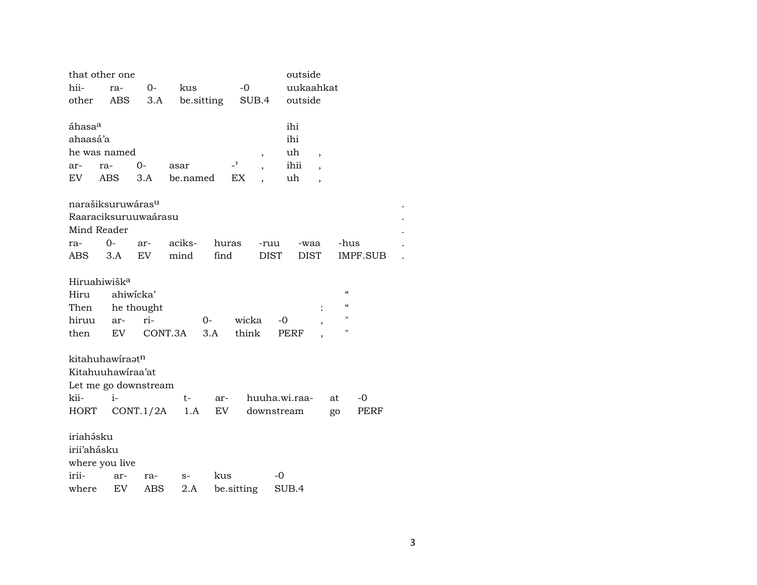|                    | that other one                |            |            |       |                          |               | outside |                          |                                                 |          |  |
|--------------------|-------------------------------|------------|------------|-------|--------------------------|---------------|---------|--------------------------|-------------------------------------------------|----------|--|
| hii-               | ra-                           | $0-$       | kus        |       | $-0$                     |               |         | uukaahkat                |                                                 |          |  |
| other              | ABS                           | 3.A        | be sitting |       |                          | SUB.4         | outside |                          |                                                 |          |  |
|                    |                               |            |            |       |                          |               |         |                          |                                                 |          |  |
| áhasa <sup>a</sup> |                               |            |            |       |                          |               | ihi     |                          |                                                 |          |  |
| ahaasá'a           |                               |            |            |       |                          |               | ihi     |                          |                                                 |          |  |
|                    | he was named                  |            |            |       |                          | $\, ,$        | uh      | $\overline{\phantom{a}}$ |                                                 |          |  |
| ar-                | ra-                           | $O -$      | asar       |       | $\overline{\phantom{0}}$ |               | ihii    |                          |                                                 |          |  |
| EV                 | ABS                           | 3.A        | be.named   |       | EX                       |               | uh      | $\overline{\phantom{a}}$ |                                                 |          |  |
|                    |                               |            |            |       |                          |               |         |                          |                                                 |          |  |
|                    | narašiksuruwáras <sup>u</sup> |            |            |       |                          |               |         |                          |                                                 |          |  |
|                    | Raaraciksuruuwaárasu          |            |            |       |                          |               |         |                          |                                                 |          |  |
|                    | Mind Reader                   |            |            |       |                          |               |         |                          |                                                 |          |  |
| ra-                | $0-$                          | ar-        | aciks-     | huras |                          | -ruu          |         | -waa                     | -hus                                            |          |  |
| ABS                | 3.A                           | EV         | mind       | find  |                          | <b>DIST</b>   |         | <b>DIST</b>              |                                                 | IMPF.SUB |  |
|                    | Hiruahiwišk <sup>a</sup>      |            |            |       |                          |               |         |                          |                                                 |          |  |
| Hiru               |                               | ahiwicka'  |            |       |                          |               |         |                          | $\boldsymbol{\zeta}\boldsymbol{\zeta}$          |          |  |
| Then               |                               | he thought |            |       |                          |               |         |                          | $\boldsymbol{\varsigma} \boldsymbol{\varsigma}$ |          |  |
| hiruu              | ar-                           | ri-        |            | $0-$  | wicka                    |               | -0      |                          | "                                               |          |  |
| then               | EV                            | CONT.3A    |            | 3.A   | think                    |               | PERF    |                          | $\pmb{\mathsf{H}}$                              |          |  |
|                    |                               |            |            |       |                          |               |         |                          |                                                 |          |  |
|                    | kitahuhawiraatn               |            |            |       |                          |               |         |                          |                                                 |          |  |
|                    | Kitahuuhawiraa'at             |            |            |       |                          |               |         |                          |                                                 |          |  |
|                    | Let me go downstream          |            |            |       |                          |               |         |                          |                                                 |          |  |
| kii-               | $i-$                          |            | t-         | ar-   |                          | huuha.wi.raa- |         |                          | at                                              | $-0$     |  |
| HORT               |                               | CONT.1/2A  | 1.A        | EV    |                          | downstream    |         |                          | go                                              | PERF     |  |
|                    |                               |            |            |       |                          |               |         |                          |                                                 |          |  |
| iriahásku          |                               |            |            |       |                          |               |         |                          |                                                 |          |  |
| irii'ahásku        |                               |            |            |       |                          |               |         |                          |                                                 |          |  |
|                    | where you live                |            |            |       |                          |               |         |                          |                                                 |          |  |
| irii-              | ar-                           | ra-        | $S-$       | kus   |                          | $-0$          |         |                          |                                                 |          |  |
| where              | EV                            | ABS        | 2.A        |       | be.sitting               |               | SUB.4   |                          |                                                 |          |  |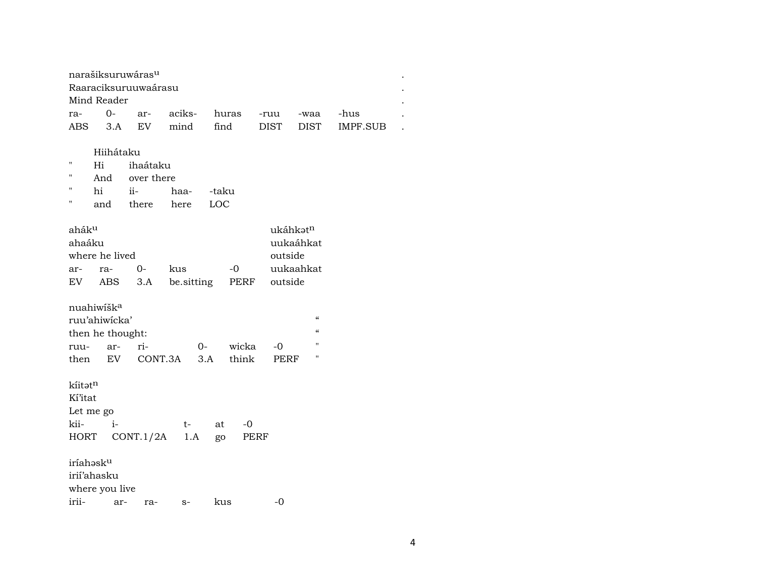| narašiksuruwáras <sup>u</sup> |             |  |  |  |  |  |                                         |  |  |  |
|-------------------------------|-------------|--|--|--|--|--|-----------------------------------------|--|--|--|
| Raaraciksuruuwaárasu          |             |  |  |  |  |  |                                         |  |  |  |
|                               | Mind Reader |  |  |  |  |  |                                         |  |  |  |
|                               |             |  |  |  |  |  | -hus                                    |  |  |  |
|                               |             |  |  |  |  |  | ABS 3.A EV mind find DIST DIST IMPF.SUB |  |  |  |

Hiihátaku

- " Hi ihaátaku
- " And over there
- " hi ii- haa- -taku<br>" and there here LOC
- there

| ahák <sup>u</sup> |                |      |                    |           | ukáhkat <sup>n</sup> |
|-------------------|----------------|------|--------------------|-----------|----------------------|
| ahaáku            |                |      |                    |           | uukaáhkat            |
|                   | where he lived |      |                    |           | outside              |
| $ar-$             | $ra-$          | $O-$ | kus                | $-\Omega$ | uukaahkat            |
| EV.               |                |      | ABS 3.A be sitting | PERF      | outside              |

nuahiwíš ${\bf k}^{\rm a}$ 

|                  | ruu'ahiwicka' |                |          |       |           |  |  |  |  |  |
|------------------|---------------|----------------|----------|-------|-----------|--|--|--|--|--|
| then he thought: |               |                |          |       |           |  |  |  |  |  |
| ruu- ar-         |               | ri-            | $\Omega$ | wicka | $-\Omega$ |  |  |  |  |  |
| then             |               | EV CONT.3A 3.A |          | think | PERF      |  |  |  |  |  |

kíitət<sup>n</sup>

Kí'itat

|         | Let me go                  |  |            |  |  |  |  |  |  |  |
|---------|----------------------------|--|------------|--|--|--|--|--|--|--|
| kii- i- |                            |  | t- at $-0$ |  |  |  |  |  |  |  |
|         | HORT CONT.1/2A 1.A go PERF |  |            |  |  |  |  |  |  |  |

iríahəsk $^{\rm u}$ irií'ahasku

where you live

irii- ar- ra- s- kus -0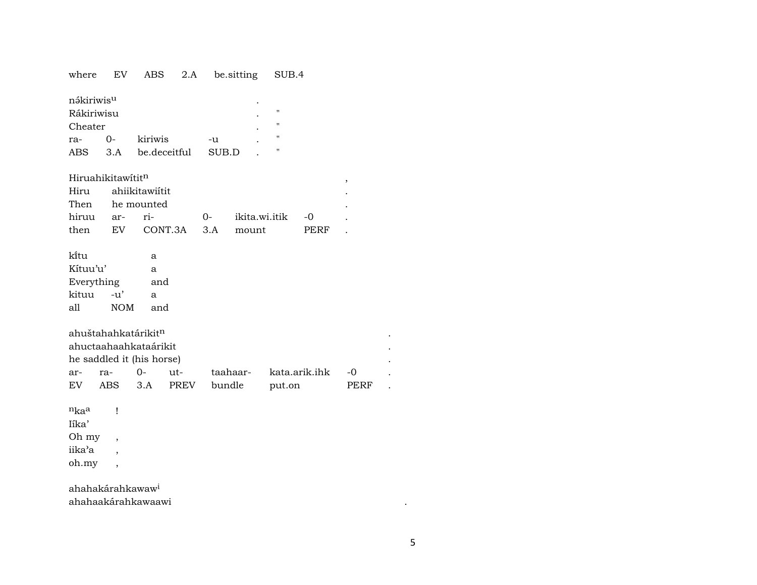|  |  |  |  | where EV ABS 2.A be.sitting SUB.4 |  |
|--|--|--|--|-----------------------------------|--|
|--|--|--|--|-----------------------------------|--|

| nákiriwis <sup>u</sup> |      |              |       | ٠ |   |
|------------------------|------|--------------|-------|---|---|
| Rákiriwisu             |      |              |       | ٠ | п |
| Cheater                |      |              |       |   | п |
| ra-                    | $O-$ | kiriwis      | -11   |   | п |
| ABS                    | 3.A  | be deceitful | SUR D |   | п |

Hiruahikitawititn

| Hiru ahiikitawiitit |  |                           |      |  |
|---------------------|--|---------------------------|------|--|
| Then he mounted     |  |                           |      |  |
|                     |  |                           |      |  |
|                     |  | then EV CONT.3A 3.A mount | PERF |  |

| ki̇̃tu                |                                 | a   |             |          |               |      |   |
|-----------------------|---------------------------------|-----|-------------|----------|---------------|------|---|
| Kítuu'u'              |                                 | a   |             |          |               |      |   |
| Everything            |                                 | and |             |          |               |      |   |
| kituu                 | -u'                             | a   |             |          |               |      |   |
| all                   | <b>NOM</b>                      | and |             |          |               |      |   |
|                       |                                 |     |             |          |               |      |   |
|                       | ahuštahahkatárikit <sup>n</sup> |     |             |          |               |      |   |
| ahuctaahaahkataárikit |                                 |     |             |          |               |      | ۰ |
|                       | he saddled it (his horse)       |     |             |          |               |      |   |
| ar-                   | ra-                             | 0-  | ut-         | taahaar- | kata.arik.ihk | -0   |   |
| EV                    | ABS                             | 3.A | <b>PREV</b> | bundle   | put.on        | PERF |   |

 $n_{ka}$ a  $\mathbf{I}$ Iíka' Oh my  $\overline{\phantom{a}}$ iika'a  $\overline{\phantom{a}}$ oh.my  $\overline{\phantom{a}}$ 

ahahakárahkawaw<sup>i</sup> ahahaakárahkawaawi

 $\bullet$ 

 $\rightarrow$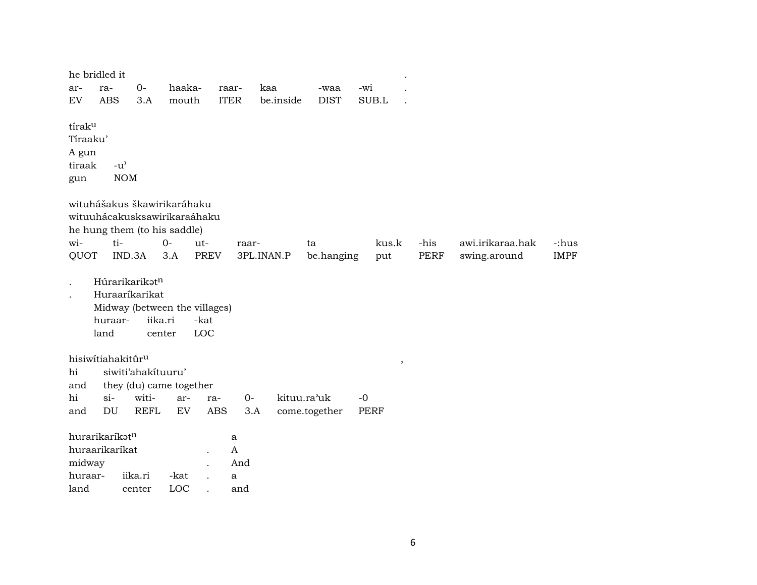| he bridled it                                            |                             |                                             |                                                              |             |                          |           |               |             |             |                  |             |
|----------------------------------------------------------|-----------------------------|---------------------------------------------|--------------------------------------------------------------|-------------|--------------------------|-----------|---------------|-------------|-------------|------------------|-------------|
| ar-                                                      | ra-                         | $0-$                                        | haaka-                                                       |             | raar-                    | kaa       | -waa          | -wi         |             |                  |             |
| $\mathop{\rm EV}\nolimits$                               | <b>ABS</b>                  | 3.A                                         | mouth                                                        |             | <b>ITER</b>              | be.inside | <b>DIST</b>   | SUB.L       |             |                  |             |
| tírak <sup>u</sup><br>Tíraaku'<br>A gun<br>tiraak<br>gun | $-u^{\prime}$<br><b>NOM</b> |                                             |                                                              |             |                          |           |               |             |             |                  |             |
| wituhášakus škawirikaráhaku                              |                             |                                             | wituuhácakusksawirikaraáhaku<br>he hung them (to his saddle) |             |                          |           |               |             |             |                  |             |
| wi-                                                      | ti-                         |                                             | $O -$                                                        | ut-         | raar-                    |           | ta            | kus.k       | -his        | awi.irikaraa.hak | -:hus       |
| QUOT                                                     | IND.3A                      |                                             | 3.A                                                          | <b>PREV</b> | 3PL.INAN.P               |           | be.hanging    | put         | <b>PERF</b> | swing.around     | <b>IMPF</b> |
|                                                          | huraar-<br>land             | Húrarikarikatn<br>Huraaríkarikat<br>iika.ri | Midway (between the villages)<br>center                      | -kat<br>LOC |                          |           |               |             |             |                  |             |
| hisiwítiahakitúru<br>hi<br>and                           |                             | siwiti'ahakituuru'                          | they (du) came together                                      |             |                          |           |               | $\,$        |             |                  |             |
| hi                                                       | $si-$                       | witi-                                       | ar-                                                          | ra-         | $0-$                     |           | kituu.ra'uk   | $-0$        |             |                  |             |
| and                                                      | $\mathop{\rm DU}\nolimits$  | <b>REFL</b>                                 | EV                                                           | <b>ABS</b>  | 3.A                      |           | come.together | <b>PERF</b> |             |                  |             |
| hurarikaríkatn<br>huraarikaríkat<br>midway               |                             |                                             |                                                              |             | a<br>$\mathbf{A}$<br>And |           |               |             |             |                  |             |
| huraar-                                                  |                             | iika.ri                                     | -kat                                                         |             | a                        |           |               |             |             |                  |             |
| land                                                     |                             | center                                      | LOC                                                          |             | and                      |           |               |             |             |                  |             |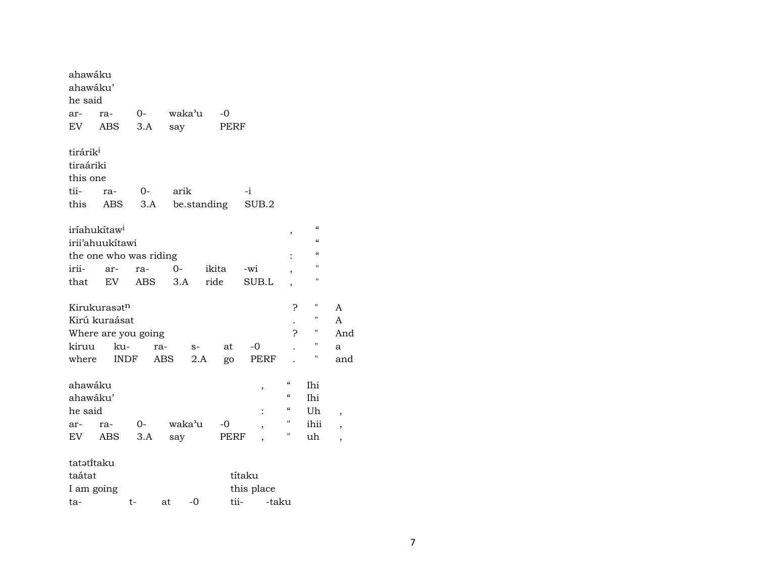| ahawáku<br>ahawáku'      |                          |                        |            |             |                          |                          |                                        |                          |
|--------------------------|--------------------------|------------------------|------------|-------------|--------------------------|--------------------------|----------------------------------------|--------------------------|
| he said                  |                          |                        |            |             |                          |                          |                                        |                          |
| ar-                      | ra-                      | $0-$                   | waka'u     | -0          |                          |                          |                                        |                          |
| EV -                     | ABS                      | 3.A                    | say        | PERF        |                          |                          |                                        |                          |
| tirárik <sup>i</sup>     |                          |                        |            |             |                          |                          |                                        |                          |
| tiraáriki                |                          |                        |            |             |                          |                          |                                        |                          |
| this one                 |                          |                        |            |             |                          |                          |                                        |                          |
| tii-                     | ra-                      | $O-$                   | arik       |             | $-i$                     |                          |                                        |                          |
| this                     | ABS                      | 3.A                    |            | be.standing | SUB.2                    |                          |                                        |                          |
| iríahukítaw <sup>i</sup> |                          |                        |            |             |                          | ,                        | $\boldsymbol{\zeta}\boldsymbol{\zeta}$ |                          |
|                          | irii'ahuukitawi          |                        |            |             |                          |                          | $\epsilon$                             |                          |
|                          |                          | the one who was riding |            |             |                          | $\ddot{\cdot}$           | $\mathcal{C}\mathcal{C}$               |                          |
| irii-                    | ar-                      | ra-                    | $O-$       | ikita       | -wi                      | ,                        | п                                      |                          |
| that                     | EV                       | ABS                    | 3.A        | ride        | SUB.L                    | $\overline{\phantom{a}}$ | н                                      |                          |
|                          | Kirukurasət <sup>n</sup> |                        |            |             |                          | 5.                       | 11                                     | A                        |
|                          | Kirú kuraásat            |                        |            |             |                          |                          | 11                                     | A                        |
|                          |                          | Where are you going    |            |             |                          | Ċ.                       | 11                                     | And                      |
| kiruu                    | ku-                      | ra-                    | $S-$       | at          | $-0$                     |                          | "                                      | a                        |
| where                    | <b>INDF</b>              | ABS                    | 2.A        | go          | PERF                     |                          | н                                      | and                      |
| ahawáku                  |                          |                        |            |             | ,                        | $\epsilon$               | Ihi                                    |                          |
| ahawáku'                 |                          |                        |            |             |                          | $\mathcal{C}\mathcal{C}$ | Ihi                                    |                          |
| he said                  |                          |                        |            |             |                          | $\epsilon$               | Uh                                     | ,                        |
| ar-                      | ra-                      | $0-$                   | waka'u     | $-0$        | $\overline{\phantom{a}}$ | н                        | ihii                                   | $\overline{\phantom{a}}$ |
| EV                       | ABS                      | 3.A                    | say        | PERF        |                          | н                        | uh                                     | $\overline{\phantom{a}}$ |
| tatatitaku               |                          |                        |            |             |                          |                          |                                        |                          |
| taátat                   |                          |                        |            |             | títaku                   |                          |                                        |                          |
| I am going               |                          |                        |            |             | this place               |                          |                                        |                          |
| ta-                      |                          | t-                     | $-0$<br>at | tii-        | -taku                    |                          |                                        |                          |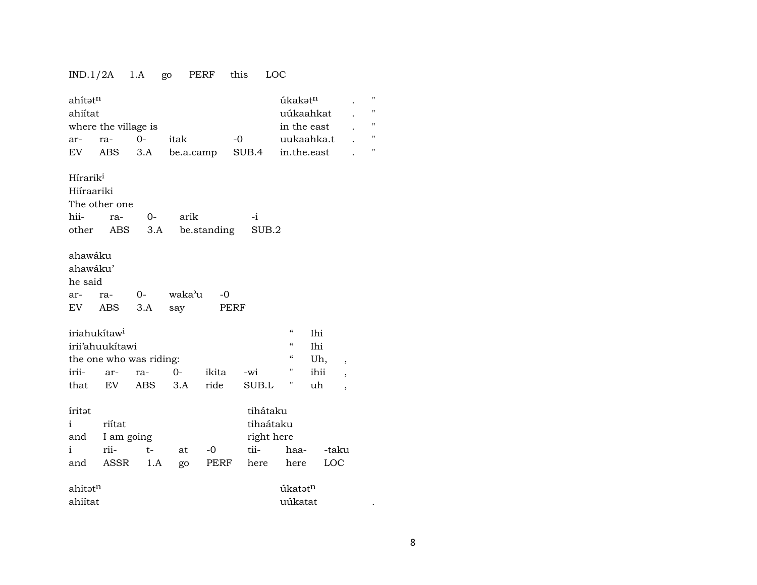## IND.1/2A 1.A go PERF this LOC

| ahítatn<br>ahiítat<br>ar-<br>EV             | where the village is<br>ra-<br>ABS                      | $0-$<br>3.A | itak<br>be.a.camp |               | $-0$<br>SUB.4                                       | úkakət <sup>n</sup><br>uúkaahkat<br>in the east<br>uukaahka.t<br>in.the.east |                                 |                                                                                  | П<br>"<br>$\pmb{\mathsf{H}}$<br>$\pmb{\mathsf{H}}$<br>11 |
|---------------------------------------------|---------------------------------------------------------|-------------|-------------------|---------------|-----------------------------------------------------|------------------------------------------------------------------------------|---------------------------------|----------------------------------------------------------------------------------|----------------------------------------------------------|
| Hírarik <sup>i</sup><br>Hiíraariki<br>hii-  | The other one<br>ra-<br>other ABS                       | $0-$<br>3.A | arik              | be.standing   | $-i$<br>SUB.2                                       |                                                                              |                                 |                                                                                  |                                                          |
| ahawáku<br>ahawáku'<br>he said<br>ar-<br>EV | ra-<br>ABS                                              | $0-$<br>3.A | waka'u<br>say     | -0<br>PERF    |                                                     |                                                                              |                                 |                                                                                  |                                                          |
| iriahukítaw <sup>i</sup><br>irii-<br>that   | irii'ahuukitawi<br>the one who was riding:<br>ar-<br>EV | ra-<br>ABS  | $O -$<br>3.A      | ikita<br>ride | -wi<br>SUB.L                                        | $\mathcal{C}$<br>$\mathcal{C}\mathcal{C}$<br>$\mathcal{C}$<br>Н<br>Ħ         | Ihi<br>Ihi<br>Uh,<br>ihii<br>uh | $\overline{\phantom{a}}$<br>$\overline{\phantom{a}}$<br>$\overline{\phantom{a}}$ |                                                          |
| iritat<br>$\mathbf{i}$<br>and<br>i<br>and   | riítat<br>I am going<br>rii-<br>ASSR                    | $t-$<br>1.A | at<br>go          | $-0$<br>PERF  | tihátaku<br>tihaátaku<br>right here<br>tii-<br>here | haa-<br>here                                                                 | LOC                             | -taku                                                                            |                                                          |
| ahitət <sup>n</sup><br>ahiítat              |                                                         |             |                   |               |                                                     | úkatətn<br>uúkatat                                                           |                                 |                                                                                  |                                                          |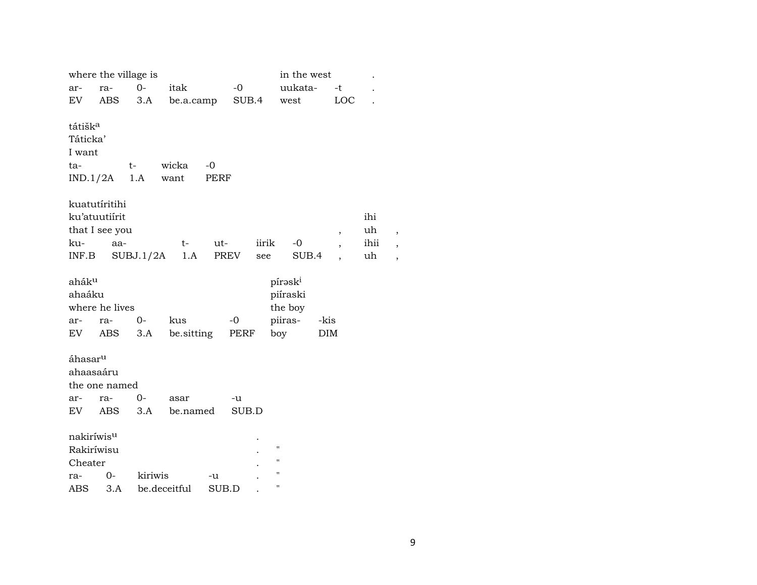|                        | where the village is |           |              |             |       |       | in the west         |            |                          | $\ddot{\phantom{0}}$ |   |
|------------------------|----------------------|-----------|--------------|-------------|-------|-------|---------------------|------------|--------------------------|----------------------|---|
| ar-                    | ra-                  | $0-$      | itak         |             | $-0$  |       | uukata-             |            | -t                       |                      |   |
| EV                     | <b>ABS</b>           | 3.A       | be.a.camp    |             | SUB.4 |       | west                |            | LOC                      |                      |   |
|                        |                      |           |              |             |       |       |                     |            |                          |                      |   |
| tátišk <sup>a</sup>    |                      |           |              |             |       |       |                     |            |                          |                      |   |
| Táticka'               |                      |           |              |             |       |       |                     |            |                          |                      |   |
| I want                 |                      |           |              |             |       |       |                     |            |                          |                      |   |
| ta-                    |                      | $t-$      | wicka        | $-0$        |       |       |                     |            |                          |                      |   |
|                        | IND.1/2A             | 1.A       | want         | <b>PERF</b> |       |       |                     |            |                          |                      |   |
|                        |                      |           |              |             |       |       |                     |            |                          |                      |   |
|                        | kuatutíritihi        |           |              |             |       |       |                     |            |                          |                      |   |
|                        | ku'atuutiírit        |           |              |             |       |       |                     |            |                          | ihi                  |   |
|                        | that I see you       |           |              |             |       |       |                     |            | $\overline{\phantom{a}}$ | uh                   | , |
| ku-                    | aa-                  |           | t-           | ut-         |       | iirik | $-0$                |            | $\overline{\phantom{a}}$ | ihii                 | , |
| INF.B                  |                      | SUBJ.1/2A | 1.A          |             | PREV  | see   | SUB.4               |            |                          | uh                   |   |
|                        |                      |           |              |             |       |       |                     |            |                          |                      |   |
| aháku                  |                      |           |              |             |       |       | pírask <sup>i</sup> |            |                          |                      |   |
| ahaáku                 |                      |           |              |             |       |       | piíraski            |            |                          |                      |   |
|                        | where he lives       |           |              |             |       |       | the boy             |            |                          |                      |   |
| ar-                    | ra-                  | $0-$      | kus          |             | $-0$  |       | piiras-             | -kis       |                          |                      |   |
| EV                     | ABS                  | 3.A       | be.sitting   |             | PERF  |       | boy                 | <b>DIM</b> |                          |                      |   |
|                        |                      |           |              |             |       |       |                     |            |                          |                      |   |
| áhasar <sup>u</sup>    |                      |           |              |             |       |       |                     |            |                          |                      |   |
|                        | ahaasaáru            |           |              |             |       |       |                     |            |                          |                      |   |
|                        | the one named        |           |              |             |       |       |                     |            |                          |                      |   |
| ar-                    | ra-                  | $0-$      | asar         |             | -u    |       |                     |            |                          |                      |   |
| EV                     | ABS                  | 3.A       | be.named     |             | SUB.D |       |                     |            |                          |                      |   |
|                        |                      |           |              |             |       |       |                     |            |                          |                      |   |
| nakiríwis <sup>u</sup> |                      |           |              |             |       |       |                     |            |                          |                      |   |
|                        | Rakiríwisu           |           |              |             |       |       | $\pmb{\mathsf{H}}$  |            |                          |                      |   |
| Cheater                |                      |           |              |             |       |       | "                   |            |                          |                      |   |
| ra-                    | $0-$                 | kiriwis   |              | -u          |       |       | "                   |            |                          |                      |   |
| ABS                    | 3.A                  |           | be.deceitful | SUB.D       |       |       | П                   |            |                          |                      |   |
|                        |                      |           |              |             |       |       |                     |            |                          |                      |   |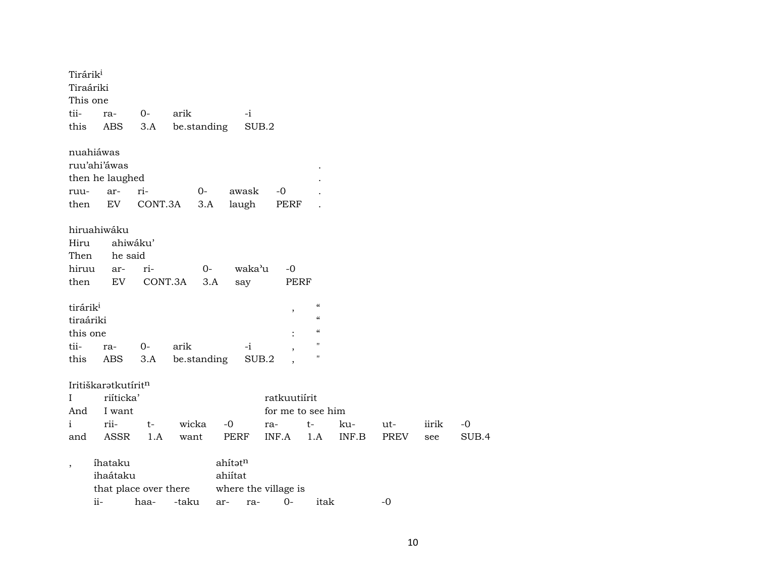| Tirárik <sup>i</sup><br>Tiraáriki<br>This one |                                                     |                            |             |                    |                                   |                                                                                                                            |       |      |       |       |
|-----------------------------------------------|-----------------------------------------------------|----------------------------|-------------|--------------------|-----------------------------------|----------------------------------------------------------------------------------------------------------------------------|-------|------|-------|-------|
| tii-                                          | ra-                                                 | $0-$                       | arik        | $-i$               |                                   |                                                                                                                            |       |      |       |       |
| this                                          | ABS                                                 | 3.A                        | be.standing |                    | SUB.2                             |                                                                                                                            |       |      |       |       |
| ruu-                                          | nuahiáwas<br>ruu'ahi'áwas<br>then he laughed<br>ar- | ri-                        | $O -$       | awask              | $-0$                              |                                                                                                                            |       |      |       |       |
| then                                          | EV                                                  | CONT.3A                    | 3.A         | laugh              | PERF                              |                                                                                                                            |       |      |       |       |
| Hiru<br>Then<br>hiruu<br>then                 | hiruahiwáku<br>he said<br>ar-<br>EV                 | ahiwáku'<br>ri-<br>CONT.3A |             | $0-$<br>3.A<br>say | waka'u<br>$-0$<br>PERF            |                                                                                                                            |       |      |       |       |
| tirárik <sup>i</sup><br>tiraáriki<br>this one |                                                     |                            |             |                    | $\overline{\phantom{a}}$          | $\boldsymbol{\zeta}\boldsymbol{\zeta}$<br>$\boldsymbol{\zeta}\boldsymbol{\zeta}$<br>$\boldsymbol{\zeta}\boldsymbol{\zeta}$ |       |      |       |       |
| tii-                                          | ra-                                                 | $0 -$                      | arik        | $-i$               |                                   | $\pmb{\mathsf{H}}$                                                                                                         |       |      |       |       |
| this                                          | ABS                                                 | 3.A                        | be.standing |                    | SUB.2                             | н                                                                                                                          |       |      |       |       |
| L<br>And                                      | Iritiškaratkutíritn<br>riíticka'<br>I want          |                            |             |                    | ratkuutiírit<br>for me to see him |                                                                                                                            |       |      |       |       |
| $\mathbf{i}$                                  | rii-                                                | $t-$                       | wicka       | $-0$               | ra-                               | t-                                                                                                                         | ku-   | ut-  | iirik | $-0$  |
| and                                           | <b>ASSR</b>                                         | 1.A                        | want        | PERF               | INF.A                             | 1.A                                                                                                                        | INF.B | PREV | see   | SUB.4 |
| $\overline{ }$                                | íhataku<br>ihaátaku<br>that place over there        |                            |             | ahítatn<br>ahiítat | where the village is              |                                                                                                                            |       |      |       |       |
|                                               | ii-                                                 | haa-                       | -taku       | ar-                | $0 -$<br>ra-                      | itak                                                                                                                       |       | -0   |       |       |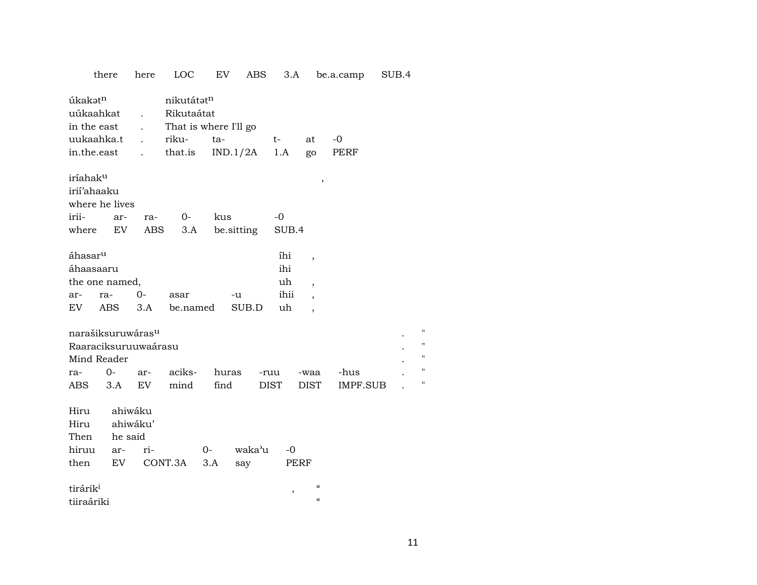|                                                                        | there                | here                                         | <b>LOC</b>                                                            | EV            |               | ABS                 | 3.A               |                                                        | be.a.camp        | SUB.4 |                       |
|------------------------------------------------------------------------|----------------------|----------------------------------------------|-----------------------------------------------------------------------|---------------|---------------|---------------------|-------------------|--------------------------------------------------------|------------------|-------|-----------------------|
| úkakətn<br>uúkaahkat<br>in the east<br>uukaahka.t<br>in.the.east       |                      | $\ddot{\phantom{a}}$<br>$\ddot{\phantom{a}}$ | nikutátatn<br>Rikutaátat<br>That is where I'll go<br>riku-<br>that.is | ta-           | IND.1/2A      | t-<br>1.A           |                   | at<br>go                                               | -0<br>PERF       |       |                       |
| iríahak <sup>u</sup><br>irií'ahaaku<br>where he lives<br>irii-         | ar-                  | ra-                                          | 0-                                                                    | kus           |               | -0                  |                   | ,                                                      |                  |       |                       |
| where                                                                  | EV                   | ABS                                          | 3.A                                                                   |               | be.sitting    |                     | SUB.4             |                                                        |                  |       |                       |
| áhasar <sup>u</sup><br>áhaasaaru<br>the one named,                     |                      |                                              |                                                                       |               |               |                     | íhi<br>ihi<br>uh  | $\overline{\phantom{a}}$<br>$\overline{\phantom{a}}$   |                  |       |                       |
| ar-<br>EV                                                              | ra-<br>ABS           | 0-<br>3.A                                    | asar<br>be.named                                                      |               | -u<br>SUB.D   |                     | ihii<br>uh        | $\overline{\phantom{a}}$<br>$\overline{\phantom{a}}$   |                  |       |                       |
| narašiksuruwárasu<br>Raaraciksuruuwaárasu<br>Mind Reader<br>ra-<br>ABS | $0-$<br>3.A          | ar-<br>EV                                    | aciks-<br>mind                                                        | huras<br>find |               | -ruu<br><b>DIST</b> |                   | -waa<br><b>DIST</b>                                    | -hus<br>IMPF.SUB |       | Ħ<br>Ħ<br>Ħ<br>Ħ<br>Ħ |
| Hiru<br>Hiru<br>Then<br>hiruu<br>then                                  | he said<br>ar-<br>EV | ahiwáku<br>ahiwáku'<br>ri-                   | CONT.3A                                                               | $O-$<br>3.A   | waka'u<br>say |                     | -0<br><b>PERF</b> |                                                        |                  |       |                       |
| tirárik <sup>i</sup><br>tiiraáriki                                     |                      |                                              |                                                                       |               |               |                     | ,                 | $\pmb{\zeta}\pmb{\zeta}$<br>$\boldsymbol{\mathcal{C}}$ |                  |       |                       |

11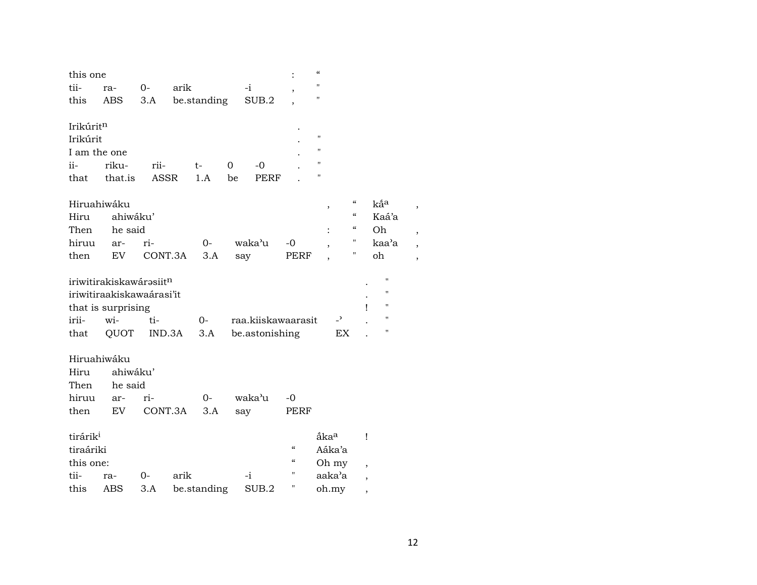| this one<br>tii-      | ra-                                 | $0-$        | arik   |             |    | $-i$               |                            | $\epsilon$<br>$\blacksquare$ |                                        |                          |                    |  |
|-----------------------|-------------------------------------|-------------|--------|-------------|----|--------------------|----------------------------|------------------------------|----------------------------------------|--------------------------|--------------------|--|
| this                  | <b>ABS</b>                          | 3.A         |        | be.standing |    | SUB.2              |                            | П                            |                                        |                          |                    |  |
| Irikúritn<br>Irikúrit |                                     |             |        |             |    |                    |                            | 11                           |                                        |                          |                    |  |
| I am the one          |                                     |             |        |             |    |                    |                            | П                            |                                        |                          |                    |  |
| ii-                   | riku-                               | rii-        |        | t-          | 0  | $-0$               |                            | П                            |                                        |                          |                    |  |
| that                  | that.is                             | <b>ASSR</b> |        | 1.A         | be | PERF               |                            | П                            |                                        |                          |                    |  |
| Hiruahiwáku           |                                     |             |        |             |    |                    |                            | ,                            | $\boldsymbol{\zeta}\boldsymbol{\zeta}$ |                          | kấ <sup>a</sup>    |  |
| Hiru                  | ahiwáku'                            |             |        |             |    |                    |                            |                              | $\boldsymbol{\mathcal{C}}$             |                          | Kaá'a              |  |
| Then                  | he said                             |             |        |             |    |                    |                            |                              | $\mathcal{C}\mathcal{C}$               |                          | Oh                 |  |
| hiruu                 | ar-                                 | ri-         |        | $O -$       |    | waka'u             | $-0$                       |                              | 11                                     |                          | kaa'a              |  |
| then                  | EV                                  | CONT.3A     |        | 3.A         |    | say                | PERF                       |                              | н                                      |                          | oh                 |  |
|                       | iriwitirakiskawárəsiit <sup>n</sup> |             |        |             |    |                    |                            |                              |                                        |                          | $^{\prime\prime}$  |  |
|                       | iriwitiraakiskawaárasi'it           |             |        |             |    |                    |                            |                              |                                        |                          | $\pmb{\mathsf{H}}$ |  |
|                       | that is surprising                  |             |        |             |    |                    |                            |                              |                                        | 1                        | $\pmb{\mathsf{H}}$ |  |
| irii-                 | wi-                                 | ti-         |        | $0 -$       |    | raa.kiiskawaarasit |                            |                              | $\overline{\phantom{0}}$               |                          | $\pmb{\mathsf{H}}$ |  |
| that                  | QUOT                                |             | IND.3A | 3.A         |    | be.astonishing     |                            |                              | EX                                     |                          | $\pmb{\mathsf{H}}$ |  |
| Hiruahiwáku           |                                     |             |        |             |    |                    |                            |                              |                                        |                          |                    |  |
| Hiru                  | ahiwáku'                            |             |        |             |    |                    |                            |                              |                                        |                          |                    |  |
| Then                  | he said                             |             |        |             |    |                    |                            |                              |                                        |                          |                    |  |
| hiruu                 | ar-                                 | ri-         |        | $0-$        |    | waka'u             | -0                         |                              |                                        |                          |                    |  |
| then                  | EV                                  | CONT.3A     |        | 3.A         |    | say                | PERF                       |                              |                                        |                          |                    |  |
| tirárik <sup>i</sup>  |                                     |             |        |             |    |                    |                            | åka <sup>a</sup>             |                                        | Ţ                        |                    |  |
| tiraáriki             |                                     |             |        |             |    |                    | $\mathcal{C}$              | Aáka'a                       |                                        |                          |                    |  |
| this one:             |                                     |             |        |             |    |                    | $\boldsymbol{\mathcal{C}}$ | Oh my                        |                                        |                          |                    |  |
| tii-                  | ra-                                 | 0-          | arik   |             |    | $-i$               | Π                          | aaka'a                       |                                        | $\overline{\phantom{a}}$ |                    |  |
| this                  | ABS                                 | 3.A         |        | be.standing |    | SUB.2              | Π                          | oh.my                        |                                        |                          |                    |  |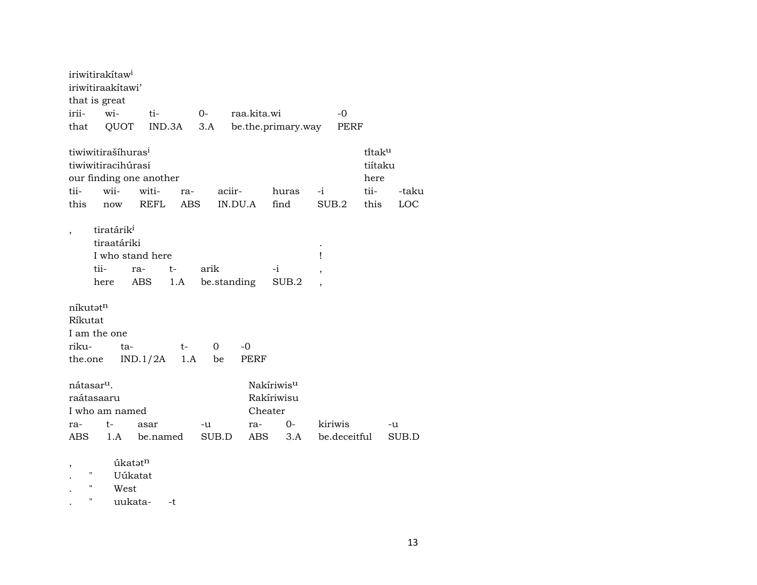|                                                     | iriwitirakitaw <sup>i</sup>                                         |                                                 |                   |                     |                   |                |                                            |        |              |                                                         |              |
|-----------------------------------------------------|---------------------------------------------------------------------|-------------------------------------------------|-------------------|---------------------|-------------------|----------------|--------------------------------------------|--------|--------------|---------------------------------------------------------|--------------|
|                                                     | iriwitiraakitawi'                                                   |                                                 |                   |                     |                   |                |                                            |        |              |                                                         |              |
|                                                     | that is great                                                       |                                                 |                   |                     |                   |                |                                            |        |              |                                                         |              |
| irii-                                               | wi-                                                                 | ti-                                             |                   | $0-$                |                   | raa.kita.wi    |                                            |        | $-0$         |                                                         |              |
| that                                                | QUOT                                                                | IND.3A                                          |                   | 3.A                 |                   |                | be.the.primary.way                         |        | PERF         |                                                         |              |
| tii-<br>this                                        | tiwiwitirašíhuras <sup>i</sup><br>tiwiwitiracihúrasi<br>wii-<br>now | our finding one another<br>witi-<br><b>REFL</b> | ra-<br><b>ABS</b> |                     | aciir-<br>IN.DU.A |                | huras<br>find                              | $-i$   | SUB.2        | ti̇̃tak <sup>u</sup><br>tiítaku<br>here<br>tii-<br>this | -taku<br>LOC |
| $\overline{\phantom{a}}$                            | tiratárik <sup>i</sup><br>tiraatáriki<br>tii-<br>here               | I who stand here<br>ra-<br>ABS                  | $t-$<br>1.A       | arik<br>be.standing |                   |                | -i<br>SUB.2                                | Ţ<br>, |              |                                                         |              |
| níkutat <sup>n</sup><br>Ríkutat<br>riku-<br>the.one | I am the one<br>ta-                                                 | IND.1/2A                                        | $t-$<br>1.A       | $\Omega$<br>be      | -0                | PERF           |                                            |        |              |                                                         |              |
| nátasar <sup>u</sup> .<br>ra-                       | raátasaaru<br>I who am named<br>t-                                  | asar                                            |                   | -u                  |                   | Cheater<br>ra- | Nakíriwis <sup>u</sup><br>Rakíriwisu<br>0- |        | kiriwis      |                                                         | -u           |
| ABS.                                                | 1.A                                                                 | be.named                                        |                   | SUB.D               |                   | <b>ABS</b>     | 3.A                                        |        | be.deceitful |                                                         | SUB.D        |
| $^\mathrm{,}$                                       |                                                                     | úkatatn                                         |                   |                     |                   |                |                                            |        |              |                                                         |              |

. " Uúkatat

. " West<br>. " uukat uukata- -t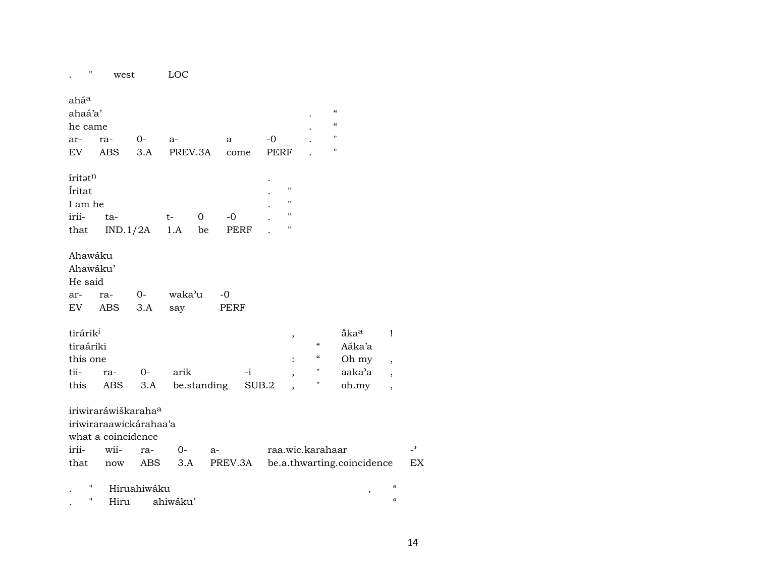| Π                                                     | west                                                                            |              | LOC           |             |                     |       |                                                    |                                                                   |                                                                                  |                               |                          |
|-------------------------------------------------------|---------------------------------------------------------------------------------|--------------|---------------|-------------|---------------------|-------|----------------------------------------------------|-------------------------------------------------------------------|----------------------------------------------------------------------------------|-------------------------------|--------------------------|
| aháa<br>ahaá'a'<br>he came                            |                                                                                 |              |               |             |                     |       |                                                    |                                                                   | $\boldsymbol{\zeta}\boldsymbol{\zeta}$<br>$\boldsymbol{\zeta}\boldsymbol{\zeta}$ |                               |                          |
| ar-                                                   | ra-                                                                             | $0-$         | a-            |             | a                   | $-0$  |                                                    |                                                                   | $\pmb{\mathsf{H}}$                                                               |                               |                          |
| EV                                                    | ABS                                                                             | 3.A          | PREV.3A       |             | come                |       | <b>PERF</b>                                        |                                                                   | $\pmb{\mathsf{H}}$                                                               |                               |                          |
| iritatn<br>Íritat<br>I am he<br>irii-                 | ta-                                                                             |              | t-            | 0           | $-0$                |       | $\pmb{\mathsf{H}}$<br>11<br>11<br>"                |                                                                   |                                                                                  |                               |                          |
| that                                                  | IND.1/2A                                                                        |              | 1.A           | be          | PERF                |       |                                                    |                                                                   |                                                                                  |                               |                          |
| Ahawáku<br>Ahawáku'<br>He said<br>ar-<br>EV           | ra-<br>ABS                                                                      | $O -$<br>3.A | waka'u<br>say |             | $-0$<br><b>PERF</b> |       |                                                    |                                                                   |                                                                                  |                               |                          |
| tirárik <sup>i</sup><br>tiraáriki<br>this one<br>tii- | ra-                                                                             | $O -$        | arik          |             | $-i$                |       | $\,$<br>$\ddot{\cdot}$<br>$\overline{\phantom{a}}$ | $\mathcal{C}$<br>$\boldsymbol{\mathcal{C}}$<br>$\pmb{\mathsf{H}}$ | åka <sup>a</sup><br>Aáka'a<br>Oh my<br>aaka'a                                    | Ţ<br>$\overline{\phantom{a}}$ |                          |
| this                                                  | ABS                                                                             | 3.A          |               | be.standing |                     | SUB.2 |                                                    | $\blacksquare$                                                    | oh.my                                                                            | $\overline{\phantom{a}}$      |                          |
|                                                       | iriwiraráwiškaraha <sup>a</sup><br>iriwiraraawickárahaa'a<br>what a coincidence |              |               |             |                     |       |                                                    |                                                                   |                                                                                  |                               |                          |
| irii-                                                 | wii-                                                                            | ra-          | 0-            | $a-$        |                     |       |                                                    | raa.wic.karahaar                                                  |                                                                                  |                               | $\overline{\phantom{0}}$ |
| that                                                  | now                                                                             | ABS          | 3.A           |             | PREV.3A             |       |                                                    |                                                                   | be.a.thwarting.coincidence                                                       |                               | EX                       |
| Ħ                                                     |                                                                                 | Hiruahiwáku  |               |             |                     |       |                                                    |                                                                   | ,                                                                                | $\epsilon$                    |                          |
| н                                                     | Hiru                                                                            |              | ahiwáku'      |             |                     |       |                                                    |                                                                   |                                                                                  | $\pmb{\zeta}\pmb{\zeta}$      |                          |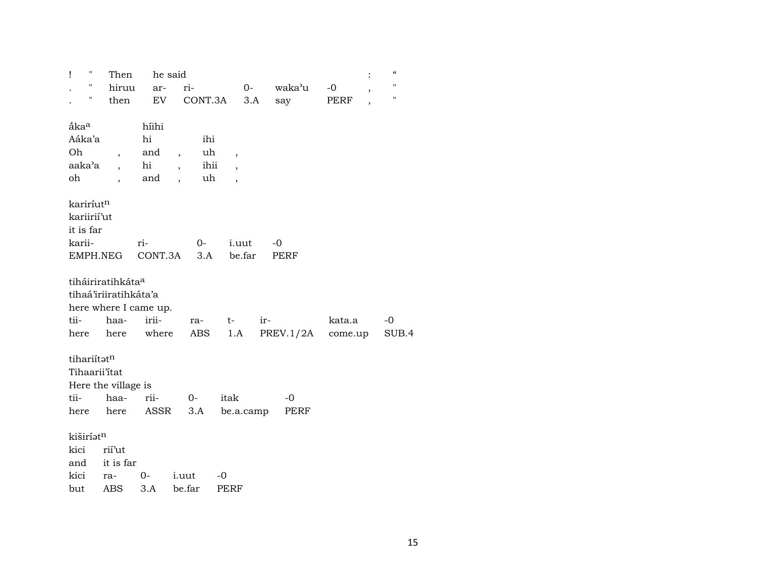| $\pmb{\mathsf{H}}$<br>Ī | Then                          | he said |                          |         |                          |      |             |         | $\epsilon\epsilon$                             |  |
|-------------------------|-------------------------------|---------|--------------------------|---------|--------------------------|------|-------------|---------|------------------------------------------------|--|
| Ħ                       | hiruu                         | ar-     |                          | ri-     |                          | $0-$ | waka'u      | $-0$    | $\pmb{\mathsf{H}}$<br>$\overline{\phantom{a}}$ |  |
| н                       | then                          | EV      |                          | CONT.3A |                          | 3.A  | say         | PERF    | $\mathbf{H}$<br>$\overline{ }$                 |  |
|                         |                               |         |                          |         |                          |      |             |         |                                                |  |
| ắka <sup>a</sup>        |                               | híihi   |                          |         |                          |      |             |         |                                                |  |
| Aáka'a                  |                               | hi      |                          | ihi     |                          |      |             |         |                                                |  |
| Oh                      | $\overline{ }$                | and     | $\overline{\phantom{a}}$ | uh      | $\overline{\phantom{a}}$ |      |             |         |                                                |  |
| aaka'a                  |                               | hi      |                          | ihii    |                          |      |             |         |                                                |  |
| oh                      |                               | and     | $\overline{\phantom{a}}$ | uh      |                          |      |             |         |                                                |  |
|                         |                               |         |                          |         |                          |      |             |         |                                                |  |
| kariríut <sup>n</sup>   |                               |         |                          |         |                          |      |             |         |                                                |  |
| kariirií'ut             |                               |         |                          |         |                          |      |             |         |                                                |  |
| it is far               |                               |         |                          |         |                          |      |             |         |                                                |  |
| karii-                  |                               | ri-     |                          | $0-$    | <i>i.uut</i>             |      | $-0$        |         |                                                |  |
|                         | EMPH.NEG                      | CONT.3A |                          | 3.A     | be.far                   |      | <b>PERF</b> |         |                                                |  |
|                         | tiháiriratihkáta <sup>a</sup> |         |                          |         |                          |      |             |         |                                                |  |
|                         | tihaá'iriiratihkáta'a         |         |                          |         |                          |      |             |         |                                                |  |
|                         | here where I came up.         |         |                          |         |                          |      |             |         |                                                |  |
| tii-                    | haa-                          | irii-   |                          | ra-     | $t-$                     | ir-  |             | kata.a  | -0                                             |  |
| here                    | here                          | where   |                          | ABS     | 1.A                      |      | PREV.1/2A   | come.up | SUB.4                                          |  |
|                         |                               |         |                          |         |                          |      |             |         |                                                |  |
| tihariítatn             |                               |         |                          |         |                          |      |             |         |                                                |  |
|                         | Tihaarii'itat                 |         |                          |         |                          |      |             |         |                                                |  |
|                         | Here the village is           |         |                          |         |                          |      |             |         |                                                |  |
| tii-                    | haa-                          | rii-    |                          | $0-$    | itak                     |      | -0          |         |                                                |  |
| here                    | here                          | ASSR    |                          | 3.A     | be.a.camp                |      | PERF        |         |                                                |  |
|                         |                               |         |                          |         |                          |      |             |         |                                                |  |
| kiširíatn               |                               |         |                          |         |                          |      |             |         |                                                |  |
| kici                    | rií'ut                        |         |                          |         |                          |      |             |         |                                                |  |
| and                     | it is far                     |         |                          |         |                          |      |             |         |                                                |  |
| kici                    | ra-                           | 0-      |                          | i.uut   | $-0$                     |      |             |         |                                                |  |
| but                     | ABS                           | 3.A     |                          | be.far  | <b>PERF</b>              |      |             |         |                                                |  |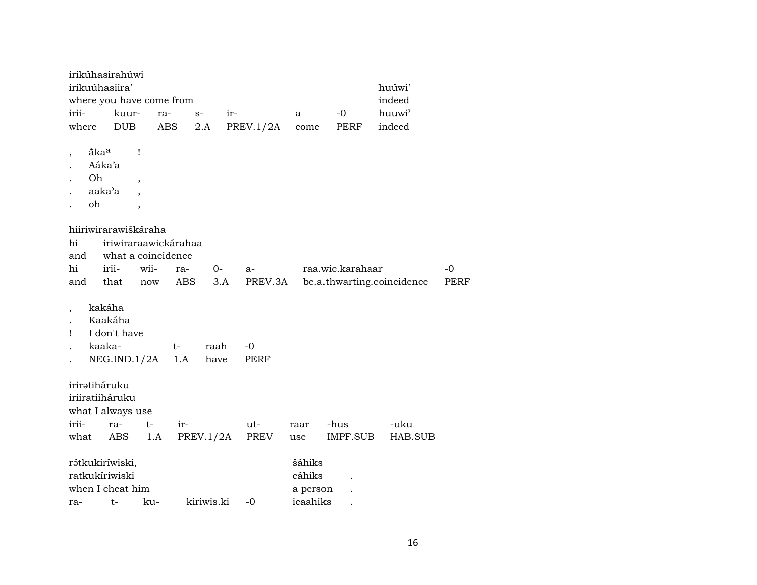|                        |                                                  | irikúhasirahúwi<br>irikuúhasiira'                            |                                                           | where you have come from                                        |            |     |               |                              |                  | huúwi'<br>indeed           |                   |
|------------------------|--------------------------------------------------|--------------------------------------------------------------|-----------------------------------------------------------|-----------------------------------------------------------------|------------|-----|---------------|------------------------------|------------------|----------------------------|-------------------|
| irii-                  |                                                  | kuur-                                                        |                                                           | ra-                                                             | $S-$       | ir- |               | a                            | -0               | huuwi'                     |                   |
| where                  |                                                  | <b>DUB</b>                                                   |                                                           | ABS                                                             | 2.A        |     | PREV.1/2A     | come                         | PERF             | indeed                     |                   |
|                        | åka <sup>a</sup><br>Aáka'a<br>Oh<br>aaka'a<br>oh |                                                              | Ţ<br>$\overline{\phantom{a}}$<br>$\overline{\phantom{a}}$ |                                                                 |            |     |               |                              |                  |                            |                   |
| hi<br>and<br>hi<br>and |                                                  | hiiriwirarawiškáraha<br>irii-<br>that                        | wii-<br>now                                               | iriwiraraawickárahaa<br>what a coincidence<br>ra-<br><b>ABS</b> | 0-         | 3.A | a-<br>PREV.3A |                              | raa.wic.karahaar | be.a.thwarting.coincidence | -0<br><b>PERF</b> |
| Ţ                      |                                                  | kakáha<br>Kaakáha<br>I don't have<br>kaaka-                  |                                                           | t-                                                              | raah       |     | -0            |                              |                  |                            |                   |
|                        |                                                  | NEG.IND.1/2A                                                 |                                                           | 1.A                                                             | have       |     | PERF          |                              |                  |                            |                   |
| irii-                  |                                                  | iriratiháruku<br>iriiratiiháruku<br>what I always use<br>ra- | t-                                                        | ir-                                                             |            |     | ut-           | raar                         | -hus             | -uku                       |                   |
| what                   |                                                  | ABS                                                          | 1.A                                                       |                                                                 | PREV.1/2A  |     | PREV          | use                          | IMPF.SUB         | HAB.SUB                    |                   |
|                        |                                                  | rátkukiríwiski,<br>ratkukíriwiski<br>when I cheat him        |                                                           |                                                                 |            |     |               | šáhiks<br>cáhiks<br>a person |                  |                            |                   |
| ra-                    |                                                  | $t-$                                                         | ku-                                                       |                                                                 | kiriwis.ki |     | $-0$          | icaahiks                     |                  |                            |                   |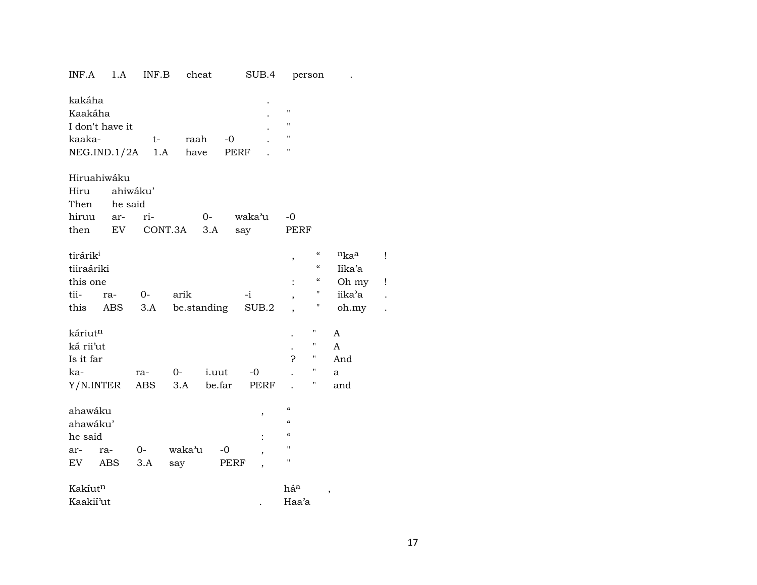| INF.A                                                             | 1.A                             | INF.B           |               | cheat           |              | SUB.4        |                                                                                                             | person                                                    |                                   |        |
|-------------------------------------------------------------------|---------------------------------|-----------------|---------------|-----------------|--------------|--------------|-------------------------------------------------------------------------------------------------------------|-----------------------------------------------------------|-----------------------------------|--------|
| kakáha<br>Kaakáha<br>kaaka-                                       | I don't have it<br>NEG.IND.1/2A | $t-$<br>1.A     | raah<br>have  |                 | $-0$<br>PERF |              | $\pmb{\mathsf{H}}$<br>$\pmb{\mathsf{H}}$<br>п<br>п                                                          |                                                           |                                   |        |
| Hiru<br>Then<br>hiruu                                             | Hiruahiwáku<br>he said<br>ar-   | ahiwáku'<br>ri- |               | $0-$            |              | waka'u       | $-0$                                                                                                        |                                                           |                                   |        |
| then                                                              | EV                              |                 | CONT.3A       | 3.A             | say          |              | PERF                                                                                                        |                                                           |                                   |        |
| tirárik <sup>i</sup><br>tiiraáriki<br>this one<br>tii-            | ra-                             | $O-$            | arik          |                 | -i           |              | ,                                                                                                           | $\epsilon\epsilon$<br>$\mathcal{C}\mathcal{C}$<br>"<br>11 | nkaa<br>Iíka'a<br>Oh my<br>iika'a | ļ<br>ļ |
| this                                                              | ABS                             | 3.A be.standing |               |                 |              | SUB.2        |                                                                                                             | П                                                         | oh.my                             |        |
| káriut <sup>n</sup><br>ká rii'ut<br>Is it far<br>ka-<br>Y/N.INTER |                                 | ra-<br>ABS      | $O-$<br>3.A   | i.uut<br>be.far |              | $-0$<br>PERF | 5.                                                                                                          | н<br>11<br>$\pmb{\mathsf{H}}$<br>11<br>н                  | A<br>A<br>And<br>a<br>and         |        |
| ahawáku<br>ahawáku'<br>he said<br>ar-<br>EV                       | ra-<br>ABS                      | $0-$<br>3.A     | waka'u<br>say | $-0$            | PERF         | ,<br>,       | $\mathcal{C}$<br>$\epsilon$<br>$\boldsymbol{\zeta}\boldsymbol{\zeta}$<br>$\mathbf{H}$<br>$\pmb{\mathsf{H}}$ |                                                           |                                   |        |
| Kakíutn<br>Kaakii'ut                                              |                                 |                 |               |                 |              |              | háa<br>Haa'a                                                                                                |                                                           | ,                                 |        |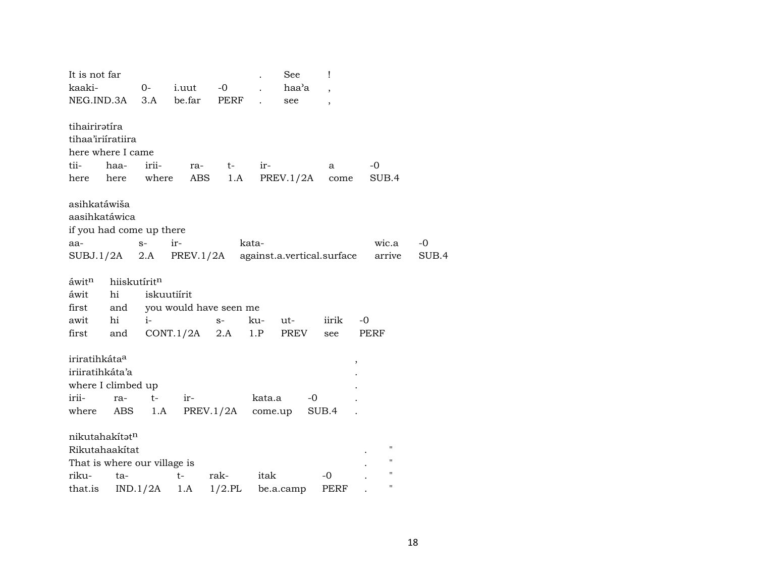| It is not far                |              |             |                        |                     |        | See                        | Ţ                        |                    |       |
|------------------------------|--------------|-------------|------------------------|---------------------|--------|----------------------------|--------------------------|--------------------|-------|
| kaaki-                       |              | $O-$        | <i>i.uut</i>           | $-0$                |        | haa'a                      | $\overline{\phantom{a}}$ |                    |       |
| NEG.IND.3A 3.A be.far        |              |             |                        | PERF                |        | see                        | $\overline{\phantom{a}}$ |                    |       |
|                              |              |             |                        |                     |        |                            |                          |                    |       |
| tihairiratíra                |              |             |                        |                     |        |                            |                          |                    |       |
| tihaa'iriiratiira            |              |             |                        |                     |        |                            |                          |                    |       |
| here where I came            |              |             |                        |                     |        |                            |                          |                    |       |
| tii-                         | haa-         | irii-       | ra-                    | $t-$                | ir-    |                            | a                        | $-0$               |       |
| here                         | here where   |             | ABS                    | 1.A                 |        | PREV.1/2A                  | come                     | SUB.4              |       |
| asihkatáwiša                 |              |             |                        |                     |        |                            |                          |                    |       |
| aasihkatáwica                |              |             |                        |                     |        |                            |                          |                    |       |
| if you had come up there     |              |             |                        |                     |        |                            |                          |                    |       |
| aa-                          |              | $S-$        | $ir-$                  |                     | kata-  |                            |                          | wic.a              | -0    |
| $SUBJ.1/2A$ 2.A PREV.1/2A    |              |             |                        |                     |        | against.a.vertical.surface |                          | arrive             | SUB.4 |
|                              |              |             |                        |                     |        |                            |                          |                    |       |
| áwit <sup>n</sup>            | hiiskutíritn |             |                        |                     |        |                            |                          |                    |       |
| áwit                         | hi           | iskuutiírit |                        |                     |        |                            |                          |                    |       |
| first                        | and          |             | you would have seen me |                     |        |                            |                          |                    |       |
| awit                         | hi           | $i-$        |                        | $S-$                | ku-    | ut-                        | iirik                    | -0                 |       |
| first                        | and          |             | CONT.1/2A              | 2.A                 | 1.P    | PREV                       | see                      | PERF               |       |
|                              |              |             |                        |                     |        |                            |                          |                    |       |
| iriratihkáta <sup>a</sup>    |              |             |                        |                     |        |                            |                          | $\, ,$             |       |
| iriiratihkáta'a              |              |             |                        |                     |        |                            |                          |                    |       |
| where I climbed up           |              |             |                        |                     |        |                            |                          |                    |       |
| irii-                        | ra-          | $t-$        | ir-                    |                     | kata.a | -0                         |                          |                    |       |
| where                        | ABS          | 1.A         |                        | $PREV.1/2A$ come.up |        |                            | SUB.4                    |                    |       |
|                              |              |             |                        |                     |        |                            |                          |                    |       |
| nikutahakítatn               |              |             |                        |                     |        |                            |                          |                    |       |
| Rikutahaakítat               |              |             |                        |                     |        |                            |                          | $\pmb{\mathsf{H}}$ |       |
| That is where our village is |              |             |                        |                     |        |                            |                          | 11                 |       |
| riku-                        | ta-          |             | $t-$                   | rak-                | itak   |                            | $-0$                     | $\pmb{\mathsf{H}}$ |       |
| that.is                      |              | IND.1/2A    | 1.A                    | $1/2$ .PL           |        | be.a.camp                  | PERF                     | Н                  |       |
|                              |              |             |                        |                     |        |                            |                          |                    |       |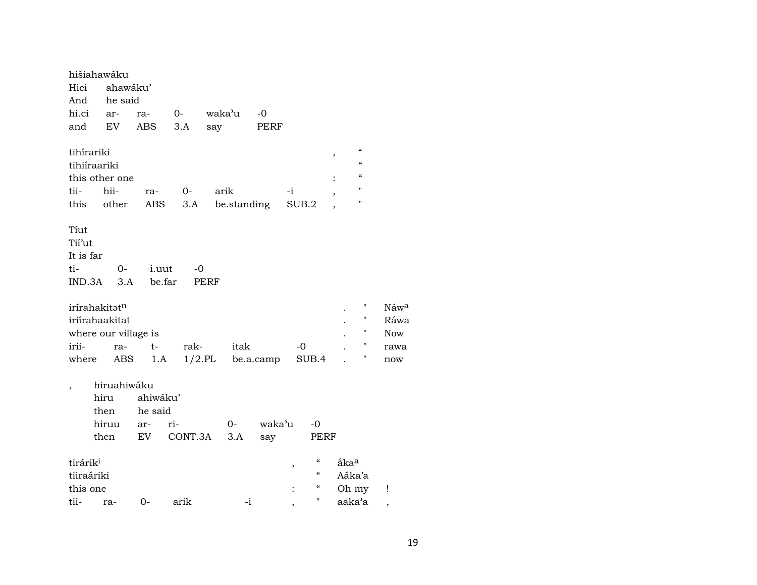| hišiahawáku<br>Hici<br>And<br>hi.ci ar-<br>and                            | ahawáku'<br>he said<br>EV                    | ra-<br><b>ABS</b>                | $O-$<br>3.A    | waka'u<br>say       | -0<br>PERF    |                                                                                                         |                                                                                                                              |                                                                               |
|---------------------------------------------------------------------------|----------------------------------------------|----------------------------------|----------------|---------------------|---------------|---------------------------------------------------------------------------------------------------------|------------------------------------------------------------------------------------------------------------------------------|-------------------------------------------------------------------------------|
| tihírariki<br>tihiíraariki<br>this other one<br>tii-<br>this              | hii-<br>other                                | ra-<br>ABS                       | $0-$<br>3.A    | arik<br>be.standing |               | -i<br>SUB.2                                                                                             | $\mathcal{C}$<br>,<br>$\boldsymbol{\zeta}\boldsymbol{\zeta}$<br>$\boldsymbol{\zeta}\boldsymbol{\zeta}$<br>$\pmb{\mathsf{H}}$ | н                                                                             |
| Tiut<br>Tii'ut<br>It is far<br>ti-<br>$IND.3A$ $3.A$                      | 0-                                           | <i>i.uut</i><br>be.far           | -0             | <b>PERF</b>         |               |                                                                                                         |                                                                                                                              |                                                                               |
| irírahakitatn<br>iriírahaakitat<br>where our village is<br>irii-<br>where | ra-<br>ABS                                   | t-<br>1.A                        | rak-           | itak<br>$1/2$ .PL   | be.a.camp     | -0<br>SUB.4                                                                                             |                                                                                                                              | н<br>Náwa<br>П<br>Ráwa<br>$\mathbf{H}$<br><b>Now</b><br>Ħ<br>rawa<br>Ħ<br>now |
|                                                                           | hiruahiwáku<br>hiru<br>then<br>hiruu<br>then | ahiwáku'<br>he said<br>ar-<br>EV | ri-<br>CONT.3A | 0-<br>3.A           | waka'u<br>say | -0<br>PERF                                                                                              |                                                                                                                              |                                                                               |
| tirárik <sup>i</sup><br>tiiraáriki<br>this one<br>tii-                    | ra-                                          | 0-                               | arik           | $-i$                |               | $\mathcal{C}$<br>$\,$<br>$\boldsymbol{\mathcal{C}}$<br>$\boldsymbol{\zeta}\boldsymbol{\zeta}$<br>Ħ<br>, | åka <sup>a</sup><br>Aáka'a<br>Oh my<br>aaka'a                                                                                | Ţ<br>,                                                                        |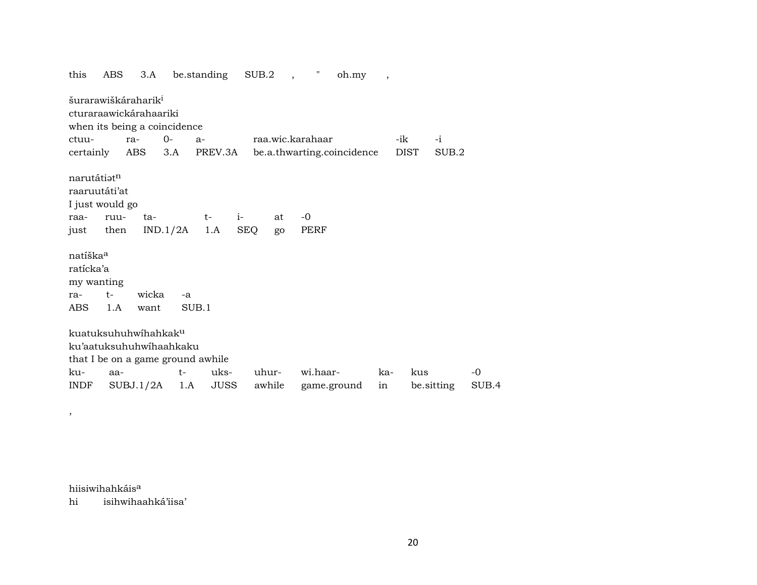$SUB.2$ be.standing this ABS  $3.A$  $\mathbf{u}$ oh.my  $\overline{\phantom{a}}$ šurarawiškáraharik<sup>i</sup> cturaraawickárahaariki when its being a coincidence  $0 -i$ ctuura $a$ raa.wic.karahaar -ik ABS  $3.A$ PREV.3A be.a.thwarting.coincidence certainly **DIST** SUB.2 narutátiatn raaruutáti'at I just would go  $i -0$ raaruuta $t$ at  $IND.1/2A$  $1.A$ SEQ PERF just then go natíška<sup>a</sup> ratícka'a my wanting ra $t$ wicka  $-a$  $1.A$ want SUB<sub>.1</sub> **ABS** kuatuksuhuhwihahkaku ku'aatuksuhuhwihaahkaku that I be on a game ground awhile kuaa $t$ uksuhurwi.haarkakus  $-0$ **JUSS** be.sitting **INDF**  $SUBJ.1/2A$  1.A awhile game.ground in SUB.4

hiisiwihahkáis<sup>a</sup>

 $\overline{\phantom{a}}$ 

hi isihwihaahká'iisa'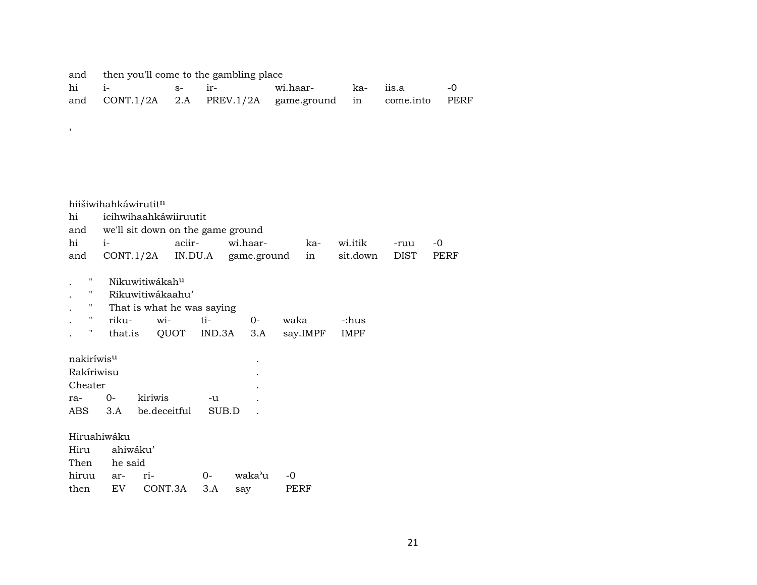and then you'll come to the gambling place

| hi i- | $s-$ ir- |  |                                                           |  |  |
|-------|----------|--|-----------------------------------------------------------|--|--|
|       |          |  | and CONT.1/2A 2.A PREV.1/2A game.ground in come.into PERF |  |  |

hiišiwihahkáwirutit<sup>n</sup>

,

| hi icihwihaahkáwiiruutit              |  |                                                         |  |                     |  |  |  |  |  |
|---------------------------------------|--|---------------------------------------------------------|--|---------------------|--|--|--|--|--|
| and we'll sit down on the game ground |  |                                                         |  |                     |  |  |  |  |  |
|                                       |  | hi i- aciir- wi.haar-                                   |  | ka- wi.itik -ruu -0 |  |  |  |  |  |
|                                       |  | and CONT.1/2A IN.DU.A game.ground in sit.down DIST PERF |  |                     |  |  |  |  |  |

- . " Nikuwitiwákah<sup>u</sup>
- . " Rikuwitiwákaahu'
- . " That is what he was saying

|  | riku- wi- ti- |  | $\Omega$ | waka                                  | -:hus |
|--|---------------|--|----------|---------------------------------------|-------|
|  |               |  |          | that.is QUOT IND.3A 3.A say.IMPF IMPF |       |

| nakiríwis <sup>u</sup> |             |              |       |   |  |  |  |  |  |
|------------------------|-------------|--------------|-------|---|--|--|--|--|--|
| Rakíriwisu             |             |              |       |   |  |  |  |  |  |
| Cheater                |             |              |       | ٠ |  |  |  |  |  |
| ra-                    | $O-$        | kiriwis      | -11   |   |  |  |  |  |  |
| ABS.                   | $\beta$ . A | be.deceitful | SUB D |   |  |  |  |  |  |

Hiruahiwáku

|               | Hiru ahiwáku' |                              |  |              |  |  |  |  |  |
|---------------|---------------|------------------------------|--|--------------|--|--|--|--|--|
| Then he said  |               |                              |  |              |  |  |  |  |  |
| hiruu ar- ri- |               |                              |  | 0- waka'u -0 |  |  |  |  |  |
|               |               | then EV CONT.3A 3.A say PERF |  |              |  |  |  |  |  |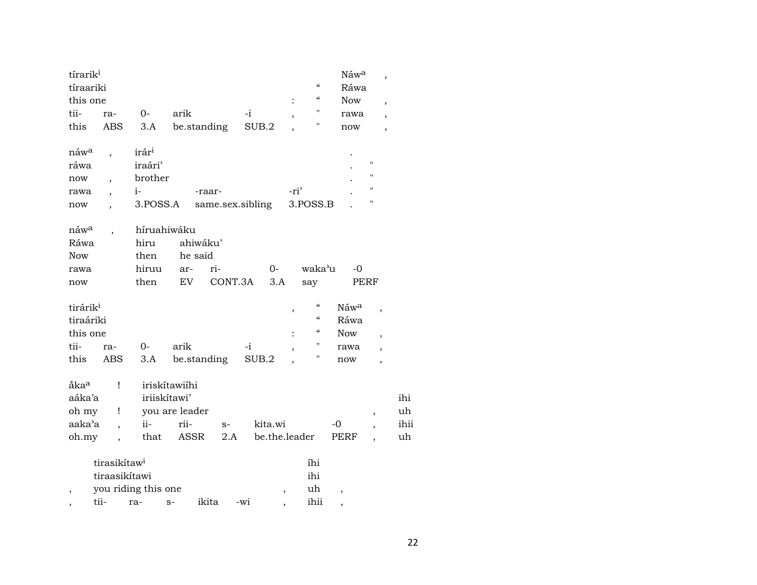| tírarik <sup>i</sup><br>tíraariki |                          |                     |                |                  |       |               |      | $\pmb{\zeta}\pmb{\zeta}$               | Náwa<br>Ráwa             | $\overline{\phantom{a}}$ |      |
|-----------------------------------|--------------------------|---------------------|----------------|------------------|-------|---------------|------|----------------------------------------|--------------------------|--------------------------|------|
| this one                          |                          |                     |                |                  |       |               |      | $\pmb{\zeta}\pmb{\zeta}$               | <b>Now</b>               | ,                        |      |
| tii-                              | ra-                      | 0-                  | arik           |                  | $-i$  |               |      | $\pmb{\mathsf{H}}$                     | rawa                     | $\overline{ }$           |      |
| this                              | ABS                      | 3.A                 |                | be.standing      | SUB.2 |               |      | $\pmb{\mathsf{H}}$                     | now                      | $\overline{\phantom{a}}$ |      |
| náw <sup>a</sup>                  | $\overline{\phantom{a}}$ | irár <sup>i</sup>   |                |                  |       |               |      |                                        |                          |                          |      |
| ráwa                              |                          | iraári'             |                |                  |       |               |      |                                        |                          | $\pmb{\mathsf{H}}$       |      |
| now                               | $\overline{\phantom{a}}$ | brother             |                |                  |       |               |      |                                        |                          | $\pmb{\mathsf{H}}$       |      |
| rawa                              |                          | $i-$                |                | -raar-           |       |               | -ri' |                                        |                          | $\pmb{\mathsf{H}}$       |      |
| now                               |                          | 3.POSS.A            |                | same.sex.sibling |       |               |      | 3.POSS.B                               |                          | н                        |      |
| náw <sup>a</sup>                  |                          | híruahiwáku         |                |                  |       |               |      |                                        |                          |                          |      |
| Ráwa                              |                          | hiru                |                | ahiwáku'         |       |               |      |                                        |                          |                          |      |
| <b>Now</b>                        |                          | then                | he said        |                  |       |               |      |                                        |                          |                          |      |
| rawa                              |                          | hiruu               | ar-            | ri-              |       | $0-$          |      | waka'u                                 | -0                       |                          |      |
| now                               |                          | then                | EV             | CONT.3A          |       | 3.A           |      | say                                    | PERF                     |                          |      |
| tirárik <sup>i</sup>              |                          |                     |                |                  |       |               | ,    | $\pmb{\zeta}\pmb{\zeta}$               | Náwa                     | $\overline{\phantom{a}}$ |      |
| tiraáriki                         |                          |                     |                |                  |       |               |      | $\boldsymbol{\zeta}\boldsymbol{\zeta}$ | Ráwa                     |                          |      |
| this one                          |                          |                     |                |                  |       |               |      | $\boldsymbol{\zeta}\boldsymbol{\zeta}$ | <b>Now</b>               | $\overline{\phantom{a}}$ |      |
| tii-                              | ra-                      | 0-                  | arik           |                  | -i    |               |      | "                                      | rawa                     | $\overline{\phantom{a}}$ |      |
| this                              | <b>ABS</b>               | 3.A                 |                | be.standing      | SUB.2 |               |      | П                                      | now                      | $\overline{ }$           |      |
| åka <sup>a</sup>                  | Ţ                        |                     | iriskítawiíhi  |                  |       |               |      |                                        |                          |                          |      |
| aáka'a                            |                          |                     | iriiskítawi'   |                  |       |               |      |                                        |                          |                          | ihi  |
| oh my                             | Ţ                        |                     | you are leader |                  |       |               |      |                                        |                          | ,                        | uh   |
| aaka'a                            | $\ddot{\phantom{0}}$     | $ii -$              | rii-           | $S-$             |       | kita.wi       |      |                                        | $-0$                     |                          | ihii |
| oh.my                             |                          | that                | ASSR           | 2.A              |       | be.the.leader |      |                                        | PERF                     |                          | uh   |
|                                   | tirasikítaw <sup>i</sup> |                     |                |                  |       |               |      | íhi                                    |                          |                          |      |
|                                   | tiraasikítawi            |                     |                |                  |       |               |      | ihi                                    |                          |                          |      |
| $\overline{\phantom{a}}$          |                          | you riding this one |                |                  |       | $\,$          |      | uh                                     | $\overline{\phantom{a}}$ |                          |      |
| ,                                 | tii-                     | ra-                 | $S-$           | ikita            | -wi   |               |      | ihii                                   | ,                        |                          |      |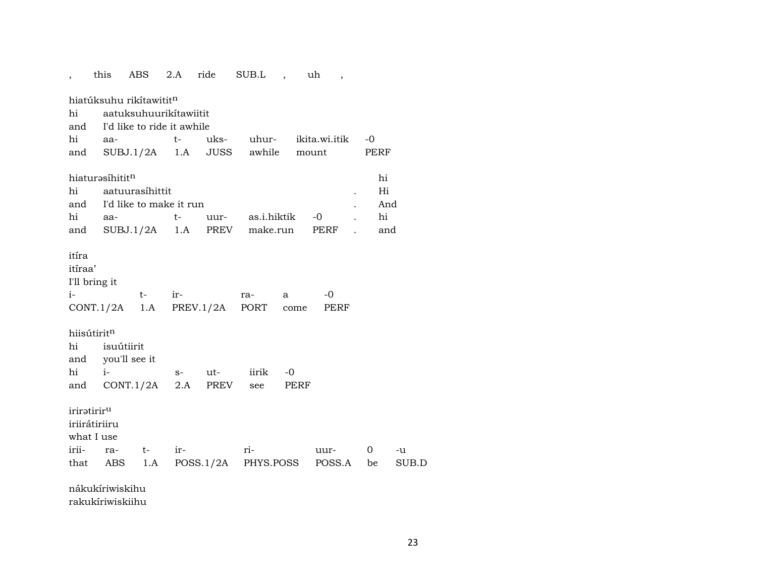|                                   | this                        | ABS                                 | 2.A  | ride     | SUB.L,              |          | uh,           |              |       |
|-----------------------------------|-----------------------------|-------------------------------------|------|----------|---------------------|----------|---------------|--------------|-------|
|                                   |                             | hiatúksuhu rikítawitit <sup>n</sup> |      |          |                     |          |               |              |       |
| hi                                |                             | aatuksuhuurikitawiitit              |      |          |                     |          |               |              |       |
| and                               |                             | I'd like to ride it awhile          |      |          |                     |          |               |              |       |
| hi                                | aa-                         |                                     | $t-$ | uks-     | uhur-               |          | ikita.wi.itik | -0           |       |
| and                               |                             | $SUBJ.1/2A$ 1.A JUSS                |      |          | awhile              |          | mount         | PERF         |       |
|                                   | hiaturasíhititn             |                                     |      |          |                     |          |               | hi           |       |
| hi                                |                             | aatuurasíhittit                     |      |          |                     |          |               | Hi           |       |
|                                   |                             | and I'd like to make it run         |      |          |                     |          |               |              | And   |
| hi                                | aa-                         |                                     | t-   |          | uur- as.i.hiktik    |          | -0            | hi           |       |
| and                               |                             | $SUBJ.1/2A$ 1.A PREV                |      |          |                     | make.run | PERF          |              | and   |
| itíra<br>itíraa'<br>I'll bring it |                             |                                     |      |          |                     |          |               |              |       |
| $i-$                              |                             | $t-$                                | ir-  |          | ra-                 | a        | -0            |              |       |
|                                   |                             | $CONT.1/2A$ 1.A                     |      |          | PREV.1/2A PORT      | come     | PERF          |              |       |
| hiisútiritn                       |                             |                                     |      |          |                     |          |               |              |       |
| hi                                |                             | isuútiirit                          |      |          |                     |          |               |              |       |
| hi                                |                             | and you'll see it                   |      |          | iirik               | -0       |               |              |       |
|                                   | $i-$                        |                                     |      | s- ut-   |                     |          |               |              |       |
| and                               |                             | CONT.1/2A                           |      | 2.A PREV | see                 | PERF     |               |              |       |
| iriratiriru                       | iriirátiriiru<br>what I use |                                     |      |          |                     |          |               |              |       |
| irii-                             | ra-                         | $t-$                                | ir-  |          | ri-                 |          | uur-          | $\mathbf{O}$ | -u    |
|                                   | that ABS                    | 1.A                                 |      |          | POSS.1/2A PHYS.POSS |          | POSS.A        | be           | SUB.D |
|                                   | nákukíriwiskihu             |                                     |      |          |                     |          |               |              |       |

rakukíriwiskiihu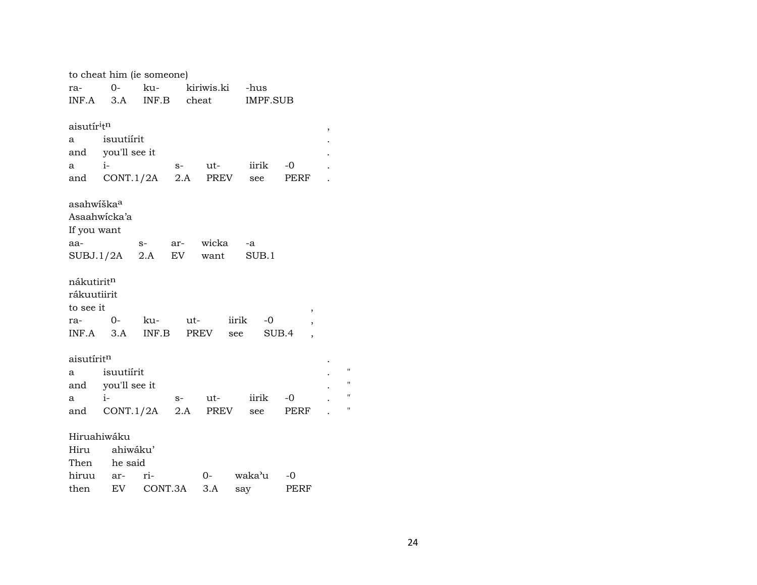|                                     | to cheat him (ie someone) |         |             |            |       |                 |            |   |    |
|-------------------------------------|---------------------------|---------|-------------|------------|-------|-----------------|------------|---|----|
| ra-                                 | $0-$                      | ku-     |             | kiriwis.ki |       | -hus            |            |   |    |
| INF.A                               | 3.A                       |         | INF.B cheat |            |       | <b>IMPF.SUB</b> |            |   |    |
|                                     |                           |         |             |            |       |                 |            |   |    |
| aisutír <sup>i</sup> t <sup>n</sup> |                           |         |             |            |       |                 |            | , |    |
| a                                   | isuutiírit                |         |             |            |       |                 |            |   |    |
|                                     | and you'll see it         |         |             |            |       |                 |            |   |    |
| а                                   | $i-$                      |         | $S-$        | ut-        |       | iirik           | $-0$       |   |    |
| and                                 | CONT.1/2A                 |         |             | 2.A PREV   |       | see             | PERF       |   |    |
|                                     |                           |         |             |            |       |                 |            |   |    |
| asahwíška <sup>a</sup>              |                           |         |             |            |       |                 |            |   |    |
|                                     | Asaahwicka'a              |         |             |            |       |                 |            |   |    |
| If you want                         |                           |         |             |            |       |                 |            |   |    |
| aa-                                 |                           | $S-$    | ar-         | wicka      |       | -a              |            |   |    |
|                                     | SUBJ.1/2A                 | 2.A     | EV          | want       |       | SUB.1           |            |   |    |
| nákutirit <sup>n</sup>              |                           |         |             |            |       |                 |            |   |    |
| rákuutiirit                         |                           |         |             |            |       |                 |            |   |    |
| to see it                           |                           |         |             |            |       |                 |            |   |    |
| ra-                                 | $0-$                      | ku-     |             | ut-        | iirik | $-0$            | ,          |   |    |
| $INF.A$ 3.A                         |                           | INF.B   |             | PREV see   |       |                 | ,<br>SUB.4 |   |    |
|                                     |                           |         |             |            |       |                 |            |   |    |
| aisutírit <sup>n</sup>              |                           |         |             |            |       |                 |            |   |    |
| a                                   | isuutiírit                |         |             |            |       |                 |            |   | Ħ  |
|                                     | and you'll see it         |         |             |            |       |                 |            |   | Ħ  |
| a                                   | $i-$                      |         | $S-$        | ut-        |       | iirik           | -0         |   | Ħ  |
| and                                 | CONT.1/2A                 |         | 2.A         | PREV       |       | see             | PERF       |   | 11 |
|                                     |                           |         |             |            |       |                 |            |   |    |
|                                     | Hiruahiwáku               |         |             |            |       |                 |            |   |    |
| Hiru                                | ahiwáku'                  |         |             |            |       |                 |            |   |    |
| Then                                | he said                   |         |             |            |       |                 |            |   |    |
| hiruu                               | ar-                       | ri-     |             | 0-         |       | waka'u          | -0         |   |    |
| then                                | EV                        | CONT.3A |             | 3.A        | say   |                 | PERF       |   |    |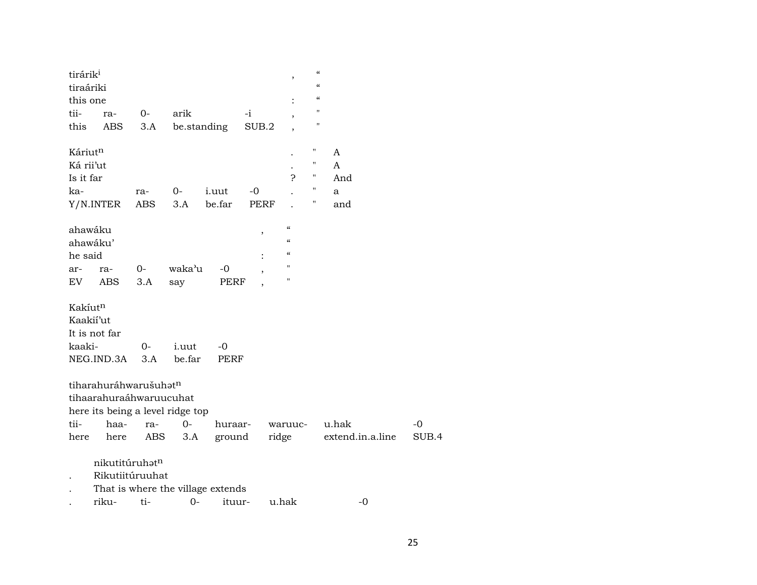| tirárik <sup>i</sup><br>tiraáriki |                         |       |                                   |              |             | $\overline{\phantom{a}}$   | $\pmb{\zeta}\pmb{\zeta}$<br>$\pmb{\zeta}\pmb{\zeta}$ |                  |       |
|-----------------------------------|-------------------------|-------|-----------------------------------|--------------|-------------|----------------------------|------------------------------------------------------|------------------|-------|
| this one                          |                         |       |                                   |              |             |                            | $\epsilon\epsilon$                                   |                  |       |
| tii-                              | ra-                     | $O -$ | arik                              |              | $-i$        |                            | "                                                    |                  |       |
| this                              | ABS                     | 3.A   | be.standing                       |              | SUB.2       |                            | "                                                    |                  |       |
| Káriutn                           |                         |       |                                   |              |             |                            | П                                                    | A                |       |
| Ká rii'ut                         |                         |       |                                   |              |             |                            | $\pmb{\mathsf{H}}$                                   | $\mathsf{A}$     |       |
| Is it far                         |                         |       |                                   |              |             | P                          | 11                                                   | And              |       |
| ka-                               |                         | ra-   | $O-$                              | <i>i.uut</i> | $-0$        |                            | $\pmb{\mathsf{H}}$                                   | a                |       |
|                                   | Y/N.INTER               | ABS   | 3.A                               | be.far       | <b>PERF</b> |                            | Ħ                                                    | and              |       |
| ahawáku                           |                         |       |                                   |              | $\, ,$      | $\boldsymbol{\mathcal{C}}$ |                                                      |                  |       |
| ahawáku'                          |                         |       |                                   |              |             | $\boldsymbol{\mathcal{C}}$ |                                                      |                  |       |
| he said                           |                         |       |                                   |              |             | $\mathcal{C}$              |                                                      |                  |       |
| ar-                               | ra-                     | $0-$  | waka'u                            | -0           | $\,$        | $\mathbf{H}$               |                                                      |                  |       |
| EV                                | <b>ABS</b>              | 3.A   | say                               | PERF         |             | $\pmb{\mathsf{H}}$         |                                                      |                  |       |
| Kakíut <sup>n</sup>               |                         |       |                                   |              |             |                            |                                                      |                  |       |
| Kaakii'ut                         |                         |       |                                   |              |             |                            |                                                      |                  |       |
|                                   | It is not far           |       |                                   |              |             |                            |                                                      |                  |       |
| kaaki-                            |                         | $O -$ | i.uut                             | -0           |             |                            |                                                      |                  |       |
|                                   | NEG.IND.3A              | 3.A   | be.far                            | <b>PERF</b>  |             |                            |                                                      |                  |       |
|                                   | tiharahuráhwarušuhatn   |       |                                   |              |             |                            |                                                      |                  |       |
|                                   | tihaarahuraáhwaruucuhat |       |                                   |              |             |                            |                                                      |                  |       |
|                                   |                         |       | here its being a level ridge top  |              |             |                            |                                                      |                  |       |
| tii-                              | haa-                    | ra-   | $0-$                              | huraar-      |             | waruuc-                    |                                                      | u.hak            | $-0$  |
| here                              | here                    | ABS   | 3.A                               | ground       |             | ridge                      |                                                      | extend.in.a.line | SUB.4 |
|                                   | nikutitúruhatn          |       |                                   |              |             |                            |                                                      |                  |       |
|                                   | Rikutiitúruuhat         |       |                                   |              |             |                            |                                                      |                  |       |
|                                   |                         |       | That is where the village extends |              |             |                            |                                                      |                  |       |
|                                   | riku-                   | ti-   | $0-$                              | ituur-       |             | u.hak                      |                                                      | $-0$             |       |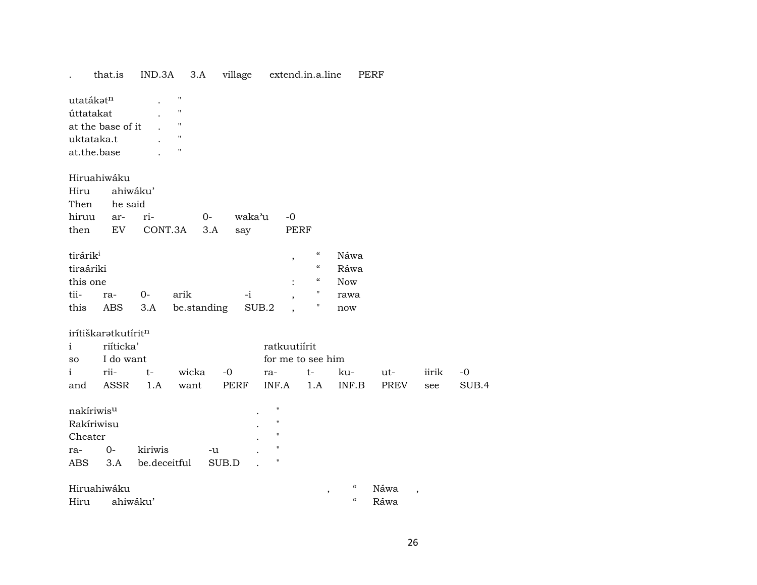|                        | that.is             | IND.3A       | 3.A                | village        |                    | extend.in.a.line           |                                           | PERF |                          |       |
|------------------------|---------------------|--------------|--------------------|----------------|--------------------|----------------------------|-------------------------------------------|------|--------------------------|-------|
| utatákat <sup>n</sup>  |                     |              | $\pmb{\mathsf{H}}$ |                |                    |                            |                                           |      |                          |       |
| úttatakat              |                     |              | $\pmb{\mathsf{H}}$ |                |                    |                            |                                           |      |                          |       |
|                        | at the base of it   |              | $\pmb{\mathsf{H}}$ |                |                    |                            |                                           |      |                          |       |
| uktataka.t             |                     |              | $\mathbf{H}$       |                |                    |                            |                                           |      |                          |       |
| at.the.base            |                     |              | $\mathbf{H}$       |                |                    |                            |                                           |      |                          |       |
|                        | Hiruahiwáku         |              |                    |                |                    |                            |                                           |      |                          |       |
| Hiru                   |                     | ahiwáku'     |                    |                |                    |                            |                                           |      |                          |       |
|                        | Then he said        |              |                    |                |                    |                            |                                           |      |                          |       |
| hiruu                  | ar-                 | ri-          |                    | $O-$<br>waka'u | $-0$               |                            |                                           |      |                          |       |
| then                   | EV                  | CONT.3A      |                    | 3.A<br>say     |                    | <b>PERF</b>                |                                           |      |                          |       |
| tirárik <sup>i</sup>   |                     |              |                    |                |                    | $\epsilon\epsilon$         |                                           |      |                          |       |
|                        |                     |              |                    |                | $^\mathrm{,}$      | $\boldsymbol{\mathcal{C}}$ | Náwa                                      |      |                          |       |
| tiraáriki              |                     |              |                    |                |                    | $\boldsymbol{\mathcal{U}}$ | Ráwa                                      |      |                          |       |
| this one               |                     |              |                    |                |                    | $\pmb{\mathsf{H}}$         | <b>Now</b>                                |      |                          |       |
| tii-                   | ra-                 | $0-$         | arik               | -i             |                    |                            | rawa                                      |      |                          |       |
| this                   | ABS                 | 3.A          | be.standing        |                | SUB.2              | Н                          | now                                       |      |                          |       |
|                        | irítiškaratkutíritn |              |                    |                |                    |                            |                                           |      |                          |       |
| $\mathbf{i}$           | riíticka'           |              |                    |                | ratkuutiírit       |                            |                                           |      |                          |       |
| so                     | I do want           |              |                    |                | for me to see him  |                            |                                           |      |                          |       |
| $\mathbf{i}$           | rii-                | $t-$         | wicka              | $-0$           | ra-                | $t-$                       | ku-                                       | ut-  | iirik                    | $-0$  |
| and                    | ASSR                | 1.A          | want               | PERF           | INF.A              | 1.A                        | INF.B                                     | PREV | see                      | SUB.4 |
| nakíriwis <sup>u</sup> |                     |              |                    |                | $\pmb{\mathsf{H}}$ |                            |                                           |      |                          |       |
| Rakíriwisu             |                     |              |                    |                | $\pmb{\mathsf{H}}$ |                            |                                           |      |                          |       |
| Cheater                |                     |              |                    |                | $\pmb{\mathsf{H}}$ |                            |                                           |      |                          |       |
| ra-                    | $O -$               | kiriwis      |                    | -u             | $\pmb{\mathsf{H}}$ |                            |                                           |      |                          |       |
| ABS                    | 3.A                 | be.deceitful |                    | SUB.D          | $\pmb{\mathsf{H}}$ |                            |                                           |      |                          |       |
|                        | Hiruahiwáku         |              |                    |                |                    |                            | $\mathcal{C}\mathcal{C}$<br>$^\mathrm{,}$ | Náwa | $\overline{\phantom{a}}$ |       |
| Hiru                   |                     | ahiwáku'     |                    |                |                    |                            | $\mathcal{C}$                             | Ráwa |                          |       |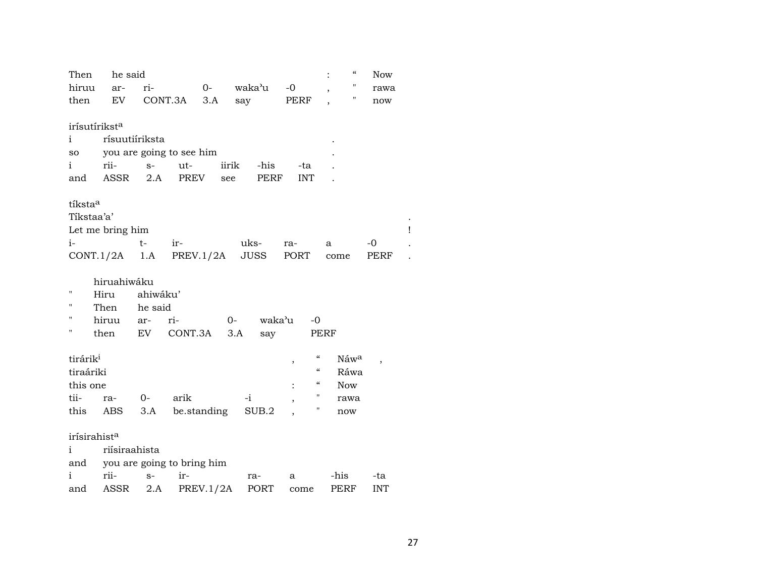| Then                     | he said                   |          |                            |             |       |        |            |                                        | $\epsilon\epsilon$  | <b>Now</b> |  |
|--------------------------|---------------------------|----------|----------------------------|-------------|-------|--------|------------|----------------------------------------|---------------------|------------|--|
| hiruu                    | ar-                       | ri-      |                            | $0-$        |       | waka'u | $-0$       |                                        | п<br>$\overline{ }$ | rawa       |  |
| then                     | EV                        |          | CONT.3A                    | 3.A         | say   |        | PERF       |                                        | П                   | now        |  |
|                          |                           |          |                            |             |       |        |            |                                        |                     |            |  |
|                          | irísutírikst <sup>a</sup> |          |                            |             |       |        |            |                                        |                     |            |  |
| $\mathbf{i}$             | rísuutiíriksta            |          |                            |             |       |        |            |                                        |                     |            |  |
| SO                       |                           |          | you are going to see him   |             |       |        |            |                                        |                     |            |  |
| i                        | rii-                      | $S-$     | ut-                        |             | iirik | -his   | -ta        |                                        |                     |            |  |
| and                      | ASSR                      | 2.A      | PREV                       |             | see   | PERF   | <b>INT</b> |                                        |                     |            |  |
|                          |                           |          |                            |             |       |        |            |                                        |                     |            |  |
| tíksta <sup>a</sup>      |                           |          |                            |             |       |        |            |                                        |                     |            |  |
| Tikstaa'a'               |                           |          |                            |             |       |        |            |                                        |                     |            |  |
|                          | Let me bring him          |          |                            |             |       |        |            |                                        |                     |            |  |
| $i-$                     |                           | $t-$     | ir-                        |             | uks-  |        | ra-        |                                        | a                   | -0         |  |
|                          | $CONT.1/2A$ 1.A PREV.1/2A |          |                            |             |       | JUSS   | PORT       |                                        | come                | PERF       |  |
|                          | hiruahiwáku               |          |                            |             |       |        |            |                                        |                     |            |  |
| 11                       | Hiru                      | ahiwáku' |                            |             |       |        |            |                                        |                     |            |  |
| п                        | Then                      | he said  |                            |             |       |        |            |                                        |                     |            |  |
| п                        | hiruu                     | ar-      | ri-                        |             | $0-$  | waka'u |            | $-0$                                   |                     |            |  |
| Н                        | then                      | EV       | CONT.3A                    |             | 3.A   |        |            | PERF                                   |                     |            |  |
|                          |                           |          |                            |             |       | say    |            |                                        |                     |            |  |
| tirárik <sup>i</sup>     |                           |          |                            |             |       |        | $\, ,$     | $\mathcal{C}$                          | Náwa                |            |  |
| tiraáriki                |                           |          |                            |             |       |        |            | $\boldsymbol{\zeta}\boldsymbol{\zeta}$ | Ráwa                |            |  |
| this one                 |                           |          |                            |             |       |        | $\vdots$   | $\epsilon$                             | <b>Now</b>          |            |  |
| tii-                     | ra-                       | $0-$     | arik                       |             | $-i$  |        |            | 11                                     | rawa                |            |  |
| this                     | ABS                       | 3.A      |                            | be.standing |       | SUB.2  | ,          | П                                      | now                 |            |  |
|                          |                           |          |                            |             |       |        |            |                                        |                     |            |  |
| irísirahist <sup>a</sup> |                           |          |                            |             |       |        |            |                                        |                     |            |  |
| $\mathbf{i}$             | riísiraahista             |          |                            |             |       |        |            |                                        |                     |            |  |
| and                      |                           |          | you are going to bring him |             |       |        |            |                                        |                     |            |  |
| i                        | rii-                      | $S-$     | ir-                        |             | ra-   |        | a          |                                        | -his                | -ta        |  |
| and                      | ASSR                      | 2.A      |                            | PREV.1/2A   |       | PORT   | come       |                                        | PERF                | <b>INT</b> |  |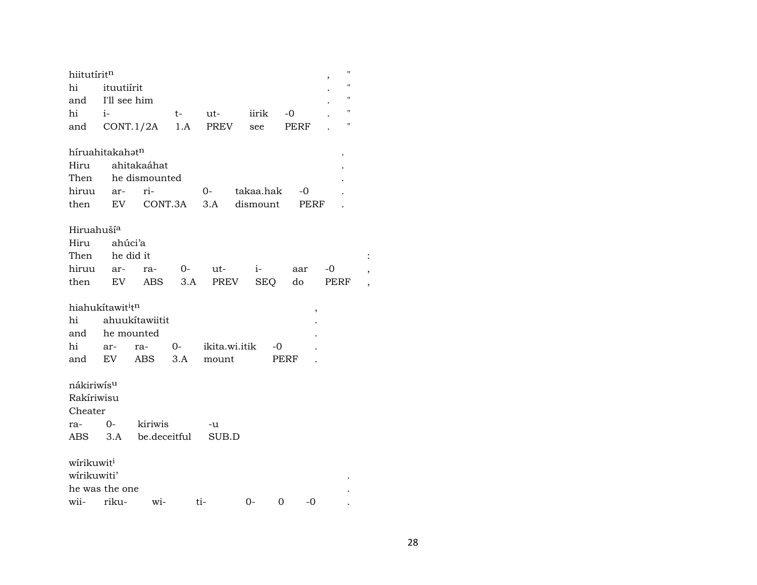| hiitutíritn                  |              |                |         |               |           |      |             |      | $\pmb{\mathsf{H}}$ |                          |
|------------------------------|--------------|----------------|---------|---------------|-----------|------|-------------|------|--------------------|--------------------------|
| hi                           | ituutiirit   |                |         |               |           |      |             |      | $\blacksquare$     |                          |
| and                          | I'll see him |                |         |               |           |      |             |      | $\pmb{\mathsf{H}}$ |                          |
| hi                           | $i-$         |                | $t-$    | ut-           | iirik     |      | $-0$        |      | 11                 |                          |
| and                          | CONT.1/2A    |                | 1.A     | PREV          | see       |      | <b>PERF</b> |      | н                  |                          |
|                              |              |                |         |               |           |      |             |      |                    |                          |
| híruahitakahatn              |              |                |         |               |           |      |             |      |                    |                          |
| Hiru                         |              | ahitakaáhat    |         |               |           |      |             |      |                    |                          |
| Then                         |              | he dismounted  |         |               |           |      |             |      |                    |                          |
| hiruu                        | ar-          | ri-            |         | $O-$          | takaa.hak |      | $-0$        |      |                    |                          |
| then                         | EV           |                | CONT.3A | 3.A           | dismount  |      | PERF        |      |                    |                          |
|                              |              |                |         |               |           |      |             |      |                    |                          |
| Hiruahuší <sup>a</sup>       |              |                |         |               |           |      |             |      |                    |                          |
| Hiru                         | ahúci'a      |                |         |               |           |      |             |      |                    |                          |
| Then                         | he did it    |                |         |               |           |      |             |      |                    | $\ddot{\cdot}$           |
| hiruu                        | ar-          | ra-            | $O-$    | ut-           | $i-$      |      | aar         | -0   |                    | $\overline{\phantom{a}}$ |
| then                         | EV           | ABS            | 3.A     | PREV          |           | SEQ  | do          | PERF |                    | $\overline{\phantom{a}}$ |
| hiahukítawit <sup>i</sup> tn |              |                |         |               |           |      |             |      |                    |                          |
| hi                           |              | ahuukítawiitit |         |               |           |      | ,           |      |                    |                          |
| and                          | he mounted   |                |         |               |           |      |             |      |                    |                          |
| hi                           | ar-          | ra-            | $0-$    | ikita.wi.itik |           | -0   |             |      |                    |                          |
| and                          | EV           | ABS            | 3.A     | mount         |           | PERF |             |      |                    |                          |
|                              |              |                |         |               |           |      |             |      |                    |                          |
| nákiriwís <sup>u</sup>       |              |                |         |               |           |      |             |      |                    |                          |
| Rakíriwisu                   |              |                |         |               |           |      |             |      |                    |                          |
| Cheater                      |              |                |         |               |           |      |             |      |                    |                          |
| ra- 0-                       |              | kiriwis        |         | -u            |           |      |             |      |                    |                          |
| ABS 3.A                      |              | be.deceitful   |         | SUB.D         |           |      |             |      |                    |                          |
|                              |              |                |         |               |           |      |             |      |                    |                          |
| wírikuwit <sup>i</sup>       |              |                |         |               |           |      |             |      |                    |                          |
| wírikuwiti'                  |              |                |         |               |           |      |             |      |                    |                          |
| he was the one               |              |                |         |               |           |      |             |      |                    |                          |
| wii-                         | riku-        | wi-            |         | ti-           | $0-$      | 0    | -0          |      |                    |                          |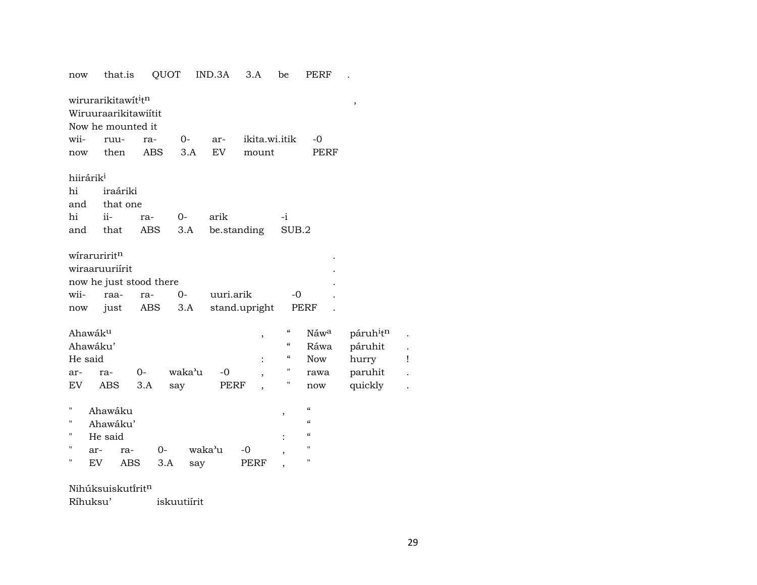| now                   | that.is                                                                                  | QUOT |        | IND.3A    | 3.A           | be                       | PERF                     |                                   |  |
|-----------------------|------------------------------------------------------------------------------------------|------|--------|-----------|---------------|--------------------------|--------------------------|-----------------------------------|--|
|                       | wirurarikitawit <sup>i</sup> t <sup>n</sup><br>Wiruuraarikitawiitit<br>Now he mounted it |      |        |           |               |                          |                          | ,                                 |  |
| wii-                  | ruu-                                                                                     | ra-  | 0-     | ar-       | ikita.wi.itik |                          | $-0$                     |                                   |  |
|                       | then                                                                                     | ABS  | 3.A    | EV        | mount         |                          | PERF                     |                                   |  |
| now                   |                                                                                          |      |        |           |               |                          |                          |                                   |  |
| hiirárik <sup>i</sup> |                                                                                          |      |        |           |               |                          |                          |                                   |  |
| hi                    | iraáriki                                                                                 |      |        |           |               |                          |                          |                                   |  |
| and                   | that one                                                                                 |      |        |           |               |                          |                          |                                   |  |
| hi                    | ii-                                                                                      | ra-  | $0-$   | arik      |               | $-1$                     |                          |                                   |  |
| and                   | that                                                                                     | ABS  | 3.A    |           | be.standing   | SUB.2                    |                          |                                   |  |
|                       |                                                                                          |      |        |           |               |                          |                          |                                   |  |
| wiraruriritn          |                                                                                          |      |        |           |               |                          |                          |                                   |  |
|                       | wiraaruuriírit                                                                           |      |        |           |               |                          |                          |                                   |  |
|                       | now he just stood there                                                                  |      |        |           |               |                          |                          |                                   |  |
| wii-                  | raa-                                                                                     | ra-  | $0-$   | uuri.arik |               | $-0$                     |                          |                                   |  |
| now                   | just                                                                                     | ABS  | 3.A    |           | stand.upright |                          | PERF                     |                                   |  |
|                       |                                                                                          |      |        |           |               |                          |                          |                                   |  |
| Ahawáku               |                                                                                          |      |        |           | ,             | $\epsilon$               | Náwa                     | páruh <sup>i</sup> t <sup>n</sup> |  |
| Ahawáku'              |                                                                                          |      |        |           |               | $\mathcal{C}\mathcal{C}$ | Ráwa                     | páruhit                           |  |
| He said               |                                                                                          |      |        |           |               | "                        | <b>Now</b>               | hurry                             |  |
| ar-                   | ra-                                                                                      | $0-$ | waka'u | $-0$      |               | п                        | rawa                     | paruhit                           |  |
| EV.                   | ABS                                                                                      | 3.A  | say    | PERF      |               | н                        | now                      | quickly                           |  |
|                       |                                                                                          |      |        |           |               |                          |                          |                                   |  |
| Н                     | Ahawáku                                                                                  |      |        |           |               | ,                        | $\epsilon\epsilon$       |                                   |  |
| Ħ                     | Ahawáku'                                                                                 |      |        |           |               |                          | $\mathcal{C}\mathcal{C}$ |                                   |  |
| н                     | He said                                                                                  |      |        |           |               | $\ddot{\cdot}$           | $\mathcal{C}\mathcal{C}$ |                                   |  |
| н<br>ar-              | ra-                                                                                      | $O-$ |        | waka'u    | -0            |                          | п                        |                                   |  |
| н<br>EV.              | ABS                                                                                      | 3.A  | say    |           | PERF          |                          | п                        |                                   |  |
|                       |                                                                                          |      |        |           |               |                          |                          |                                   |  |

 $N$ ihúksuiskutírit $^n$ 

Ríhuksu' iskuutiírit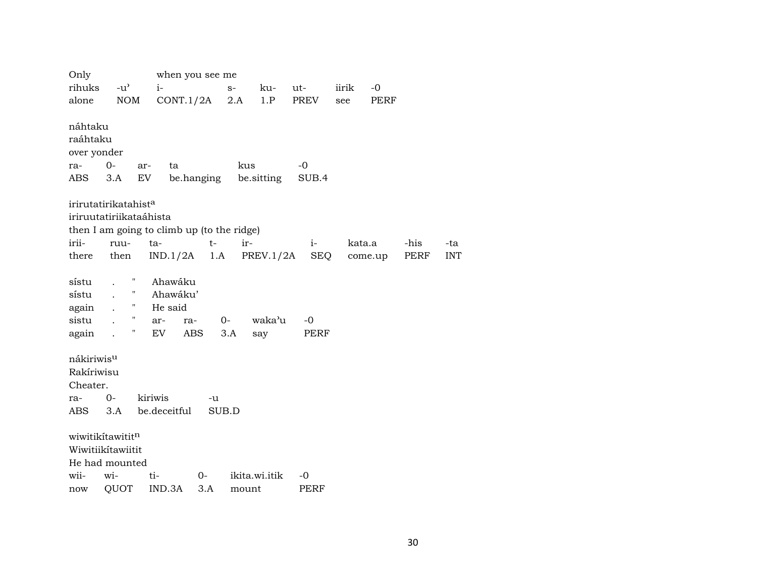| Only                   |                                  |                                            | when you see me |       |               |       |        |         |      |            |
|------------------------|----------------------------------|--------------------------------------------|-----------------|-------|---------------|-------|--------|---------|------|------------|
| rihuks                 | $-u^{\prime}$                    | $i-$                                       |                 | $S-$  | ku-           | ut-   | iirik  | $-0$    |      |            |
| alone                  | <b>NOM</b>                       | CONT.1/2A                                  |                 | 2.A   | 1.P           | PREV  | see    | PERF    |      |            |
|                        |                                  |                                            |                 |       |               |       |        |         |      |            |
| náhtaku                |                                  |                                            |                 |       |               |       |        |         |      |            |
| raáhtaku               |                                  |                                            |                 |       |               |       |        |         |      |            |
| over yonder            |                                  |                                            |                 |       |               |       |        |         |      |            |
| ra-                    | $0-$                             | ar-<br>ta                                  |                 | kus   |               | $-0$  |        |         |      |            |
| ABS                    | 3.A                              | EV                                         | be.hanging      |       | be.sitting    | SUB.4 |        |         |      |            |
|                        |                                  |                                            |                 |       |               |       |        |         |      |            |
|                        | irirutatirikatahist <sup>a</sup> |                                            |                 |       |               |       |        |         |      |            |
|                        | iriruutatiriikataáhista          |                                            |                 |       |               |       |        |         |      |            |
|                        |                                  | then I am going to climb up (to the ridge) |                 |       |               |       |        |         |      |            |
| irii-                  | ruu-                             | ta-                                        | $t-$            | ir-   |               | $i-$  | kata.a |         | -his | -ta        |
| there                  | then                             | $IND.1/2A$ 1.A                             |                 |       | PREV.1/2A     | SEQ   |        | come.up | PERF | <b>INT</b> |
|                        |                                  |                                            |                 |       |               |       |        |         |      |            |
| sístu                  | Η<br>$\mathbf{r}$                | Ahawáku                                    |                 |       |               |       |        |         |      |            |
| sístu                  | 11                               | Ahawáku'                                   |                 |       |               |       |        |         |      |            |
| again                  | н.                               | He said                                    |                 |       |               |       |        |         |      |            |
| sistu                  | $^{\prime\prime}$                | ar-                                        | ra-             | $O-$  | waka'u        | -0    |        |         |      |            |
| again.                 | Η                                | EV                                         | ABS             | 3.A   | say           | PERF  |        |         |      |            |
|                        |                                  |                                            |                 |       |               |       |        |         |      |            |
| nákiriwis <sup>u</sup> |                                  |                                            |                 |       |               |       |        |         |      |            |
| Rakíriwisu             |                                  |                                            |                 |       |               |       |        |         |      |            |
| Cheater.               |                                  |                                            |                 |       |               |       |        |         |      |            |
| ra-                    | $0-$                             | kiriwis                                    | -u              |       |               |       |        |         |      |            |
| ABS                    | 3.A                              | be.deceitful                               | SUB.D           |       |               |       |        |         |      |            |
|                        |                                  |                                            |                 |       |               |       |        |         |      |            |
|                        | wiwitikitawititn                 |                                            |                 |       |               |       |        |         |      |            |
|                        | Wiwitiikítawiitit                |                                            |                 |       |               |       |        |         |      |            |
|                        | He had mounted                   |                                            |                 |       |               |       |        |         |      |            |
| wii-                   | wi-                              | ti-                                        | $O -$           |       | ikita.wi.itik | -0    |        |         |      |            |
| now                    | QUOT                             | IND.3A                                     | 3.A             | mount |               | PERF  |        |         |      |            |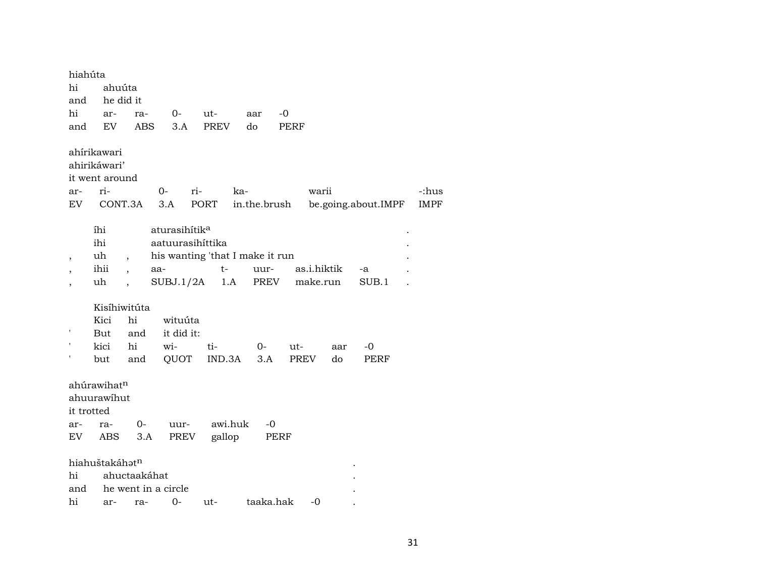| hiahúta<br>hi<br>and<br>hi<br>and | ahuúta<br>he did it<br>ar-<br>EV              | ra-<br><b>ABS</b>                   | $O-$<br>3.A                                                                                          | ut-<br>PREV | aar<br>do    | -0<br><b>PERF</b> |                         |                     |             |
|-----------------------------------|-----------------------------------------------|-------------------------------------|------------------------------------------------------------------------------------------------------|-------------|--------------|-------------------|-------------------------|---------------------|-------------|
|                                   | ahírikawari<br>ahirikáwari'<br>it went around |                                     |                                                                                                      |             |              |                   |                         |                     |             |
| ar-                               | ri-                                           |                                     | $0-$                                                                                                 | ri-         | ka-          |                   | warii                   |                     | -:hus       |
| EV                                | CONT.3A                                       |                                     | 3.A                                                                                                  | PORT        | in.the.brush |                   |                         | be.going.about.IMPF | <b>IMPF</b> |
| ,                                 | íhi<br>ihi<br>uh<br>ihii<br>uh                | $\ddot{\phantom{0}}$                | aturasihítik <sup>a</sup><br>aatuurasihittika<br>his wanting 'that I make it run<br>aa-<br>SUBJ.1/2A | $t-$<br>1.A | uur-<br>PREV |                   | as.i.hiktik<br>make.run | -a<br>SUB.1         |             |
|                                   | Kisíhiwitúta                                  |                                     |                                                                                                      |             |              |                   |                         |                     |             |
|                                   | Kici                                          | hi                                  | wituúta                                                                                              |             |              |                   |                         |                     |             |
|                                   | But                                           | and                                 | it did it:                                                                                           |             |              |                   |                         |                     |             |
|                                   | kici                                          | hi                                  | wi-                                                                                                  | ti-         | $0-$         | ut-               | aar                     | -0                  |             |
|                                   | but                                           | and                                 | QUOT                                                                                                 | IND.3A      | 3.A          | PREV              | do                      | PERF                |             |
| it trotted<br>ar-                 | ahúrawihatn<br>ahuurawihut<br>ra-             | $0-$                                | uur-                                                                                                 | awi.huk     | -0           |                   |                         |                     |             |
| EV                                | ABS                                           | 3.A                                 | PREV                                                                                                 | gallop      |              | PERF              |                         |                     |             |
| hi<br>and                         | hiahuštakáhatn                                | ahuctaakáhat<br>he went in a circle | hi ar- ra- ()- 111-                                                                                  |             | taaka hak    |                   | $-\Omega$               |                     |             |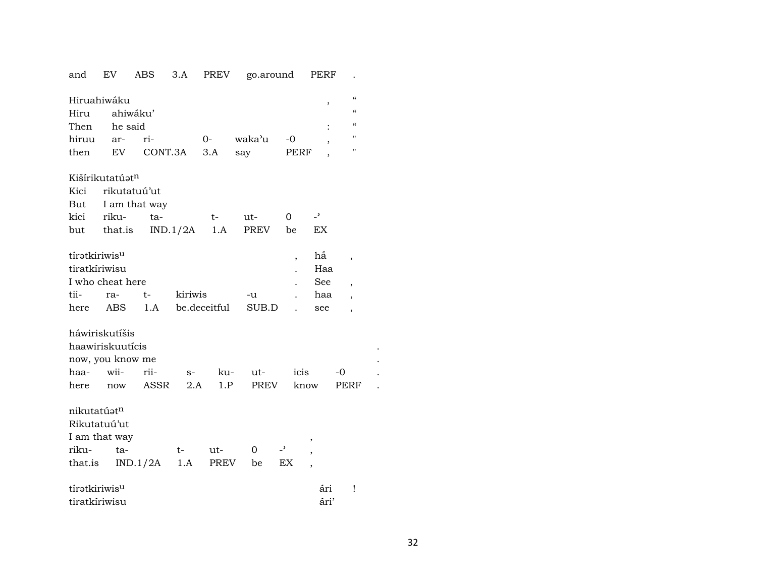| and                     | <b>EV</b>        | ABS           | 3.A      | PREV         | go.around |                          | PERF                     |                                        |  |  |  |  |
|-------------------------|------------------|---------------|----------|--------------|-----------|--------------------------|--------------------------|----------------------------------------|--|--|--|--|
| Hiruahiwáku             |                  |               |          |              |           |                          |                          | $\mathcal{C}$                          |  |  |  |  |
| Hiru                    |                  | ahiwáku'      |          |              |           |                          | ,                        | $\epsilon$                             |  |  |  |  |
| Then                    | he said          |               |          |              |           |                          |                          | $\boldsymbol{\zeta}\boldsymbol{\zeta}$ |  |  |  |  |
| hiruu                   | ar-              | ri-           |          | $O -$        | waka'u    | $-0$                     |                          | $\mathbf{H}$                           |  |  |  |  |
| then                    | EV               | CONT.3A       |          | 3.A          | say       | PERF                     | ,                        | $\mathbf{H}$                           |  |  |  |  |
|                         |                  |               |          |              |           |                          |                          |                                        |  |  |  |  |
| Kišírikutatúatn         |                  |               |          |              |           |                          |                          |                                        |  |  |  |  |
| Kici<br>rikutatuú'ut    |                  |               |          |              |           |                          |                          |                                        |  |  |  |  |
| But                     |                  | I am that way |          |              |           |                          |                          |                                        |  |  |  |  |
| kici                    | riku-            | ta-           |          | $t-$         | ut-       | 0                        | $\overline{\phantom{0}}$ |                                        |  |  |  |  |
|                         | but that.is      |               | IND.1/2A | 1.A          | PREV      | be                       | EX                       |                                        |  |  |  |  |
|                         |                  |               |          |              |           |                          |                          |                                        |  |  |  |  |
| tíratkiriwisu           |                  |               |          |              |           | ,                        | hấ                       | ,                                      |  |  |  |  |
| tiratkíriwisu           |                  |               |          |              |           |                          | Haa                      |                                        |  |  |  |  |
|                         | I who cheat here |               |          |              |           |                          | See                      | $\overline{\phantom{a}}$               |  |  |  |  |
| tii-                    | ra-              | t-            | kiriwis  |              | -u        |                          | haa                      | $\overline{\phantom{a}}$               |  |  |  |  |
| here                    | ABS              | 1.A           |          | be.deceitful | SUB.D     |                          | see                      | $\overline{\phantom{a}}$               |  |  |  |  |
|                         |                  |               |          |              |           |                          |                          |                                        |  |  |  |  |
|                         | háwiriskutíšis   |               |          |              |           |                          |                          |                                        |  |  |  |  |
|                         | haawiriskuutícis |               |          |              |           |                          |                          |                                        |  |  |  |  |
|                         | now, you know me |               |          |              |           |                          |                          |                                        |  |  |  |  |
| haa-                    | wii-             | rii-          | $S-$     | ku-          | ut-       | icis                     |                          | -0                                     |  |  |  |  |
| here                    | now              | ASSR          | 2.A      | 1.P          | PREV      | know                     |                          | PERF                                   |  |  |  |  |
|                         |                  |               |          |              |           |                          |                          |                                        |  |  |  |  |
| nikutatúət <sup>n</sup> |                  |               |          |              |           |                          |                          |                                        |  |  |  |  |
| Rikutatuú'ut            |                  |               |          |              |           |                          |                          |                                        |  |  |  |  |
|                         | I am that way    |               |          |              |           |                          |                          |                                        |  |  |  |  |
| riku-                   | ta-              |               | t-       | ut-          | 0         | $\overline{\phantom{0}}$ |                          |                                        |  |  |  |  |
| that.is                 |                  | IND.1/2A      | 1.A      | PREV         | be        | EX                       |                          |                                        |  |  |  |  |
|                         |                  |               |          |              |           |                          |                          |                                        |  |  |  |  |
| tíratkiriwisu           |                  |               |          |              |           |                          | ári                      | Ţ                                      |  |  |  |  |
| tiratkíriwisu           |                  |               |          |              |           |                          | ári'                     |                                        |  |  |  |  |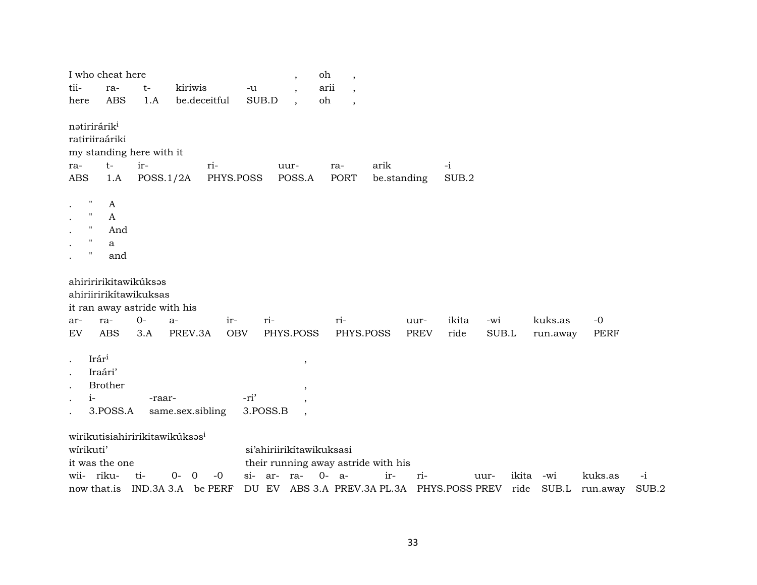|                                                                                            | I who cheat here                                                                |        |                                            |              |            | $\overline{\phantom{a}}$                                        | oh                       | $\overline{\phantom{a}}$ |             |             |                                            |       |       |          |                |       |
|--------------------------------------------------------------------------------------------|---------------------------------------------------------------------------------|--------|--------------------------------------------|--------------|------------|-----------------------------------------------------------------|--------------------------|--------------------------|-------------|-------------|--------------------------------------------|-------|-------|----------|----------------|-------|
| tii-                                                                                       | ra-                                                                             | t-     | kiriwis                                    |              | $-u$       |                                                                 | arii                     |                          |             |             |                                            |       |       |          |                |       |
| here                                                                                       | <b>ABS</b>                                                                      | 1.A    |                                            | be.deceitful | SUB.D      |                                                                 | oh                       | $\cdot$                  |             |             |                                            |       |       |          |                |       |
| natirirárik <sup>i</sup>                                                                   | ratiriiraáriki<br>my standing here with it                                      |        |                                            |              |            |                                                                 |                          |                          |             |             |                                            |       |       |          |                |       |
| ra-                                                                                        | $t-$                                                                            | ir-    |                                            | ri-          |            | uur-                                                            |                          | ra-                      | arik        |             | $-i$                                       |       |       |          |                |       |
| <b>ABS</b>                                                                                 | 1.A                                                                             |        | POSS.1/2A                                  |              | PHYS.POSS  | POSS.A                                                          |                          | <b>PORT</b>              | be.standing |             | SUB.2                                      |       |       |          |                |       |
| п<br>$\bullet$<br>Ħ<br>$\bullet$<br>п<br>$\bullet$<br>п<br>$\pmb{\mathsf{H}}$<br>$\bullet$ | A<br>A<br>And<br>a<br>and                                                       |        |                                            |              |            |                                                                 |                          |                          |             |             |                                            |       |       |          |                |       |
|                                                                                            | ahiriririkitawikúksas<br>ahiriiririkítawikuksas<br>it ran away astride with his |        |                                            |              |            |                                                                 |                          |                          |             |             |                                            |       |       |          |                |       |
| ar-                                                                                        | ra-                                                                             | $0 -$  | $a-$                                       | ir-          |            | ri-                                                             |                          | ri-                      |             | uur-        | ikita                                      | -wi   |       | kuks.as  | $-0$           |       |
| EV                                                                                         | <b>ABS</b>                                                                      | 3.A    | PREV.3A                                    |              | <b>OBV</b> | PHYS.POSS                                                       |                          | PHYS.POSS                |             | <b>PREV</b> | ride                                       | SUB.L |       | run.away | <b>PERF</b>    |       |
| $\bullet$<br>$i-$                                                                          | Irári<br>Iraári'<br><b>Brother</b>                                              | -raar- |                                            |              | -ri'       |                                                                 | $\overline{\phantom{a}}$ |                          |             |             |                                            |       |       |          |                |       |
| $\bullet$                                                                                  | 3.POSS.A                                                                        |        | same.sex.sibling                           |              |            | 3.POSS.B                                                        |                          |                          |             |             |                                            |       |       |          |                |       |
| wirikuti'                                                                                  | it was the one                                                                  |        | wirikutisiahiririkitawikúksas <sup>i</sup> |              |            | si'ahiriirikitawikuksasi<br>their running away astride with his |                          |                          |             |             |                                            |       |       |          |                |       |
| wii-                                                                                       | riku-                                                                           | ti-    | $0 -$<br>$\overline{0}$                    | $-0$         | si- ar-    | ra-                                                             | $0-$                     | $a-$                     | ir-         | ri-         |                                            | uur-  | ikita | -wi      | kuks.as        | $-i$  |
|                                                                                            | now that is                                                                     |        | IND.3A 3.A be PERF                         |              |            |                                                                 |                          |                          |             |             | DU EV ABS 3.A PREV.3A PL.3A PHYS.POSS PREV |       | ride  |          | SUB.L run.away | SUB.2 |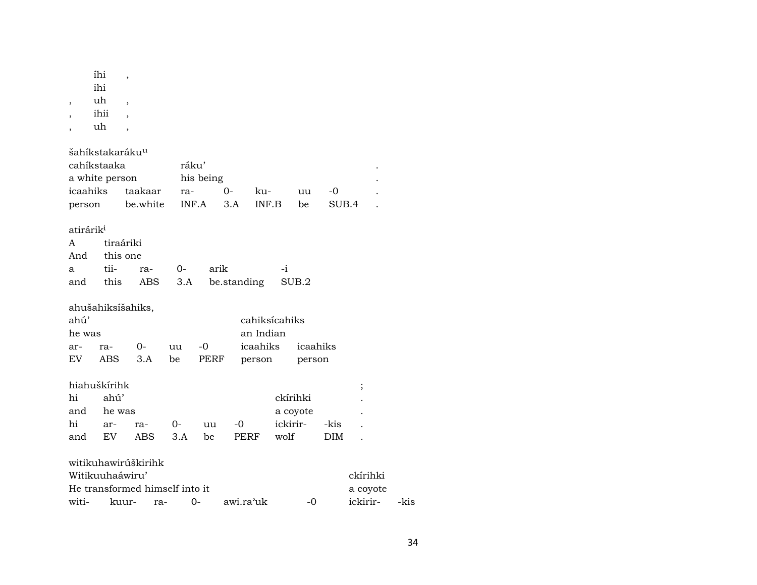| $\,$                  | íhi<br>ihi<br>uh<br>ihii<br>uh             | $\overline{\phantom{a}}$<br>$\overline{\phantom{a}}$<br>$\overline{\phantom{a}}$<br>$\overline{\phantom{a}}$ |       |           |             |               |          |            |          |      |  |  |
|-----------------------|--------------------------------------------|--------------------------------------------------------------------------------------------------------------|-------|-----------|-------------|---------------|----------|------------|----------|------|--|--|
|                       | šahíkstakaráku <sup>u</sup><br>cahíkstaaka |                                                                                                              | ráku' |           |             |               |          |            |          |      |  |  |
| a white person        |                                            |                                                                                                              |       | his being |             |               |          |            |          |      |  |  |
| icaahiks              |                                            | taakaar                                                                                                      | ra-   |           | $0-$        | ku-           | uu       | -0         |          |      |  |  |
| person                |                                            | be.white                                                                                                     |       | INF.A     | 3.A         | INF.B         | be       | SUB.4      |          |      |  |  |
| atirárik <sup>i</sup> |                                            |                                                                                                              |       |           |             |               |          |            |          |      |  |  |
| A                     |                                            | tiraáriki                                                                                                    |       |           |             |               |          |            |          |      |  |  |
| And                   | this one                                   |                                                                                                              |       |           |             |               |          |            |          |      |  |  |
| a                     | tii-                                       | ra-                                                                                                          | 0-    | arik      |             | -i            |          |            |          |      |  |  |
| and                   | this                                       | ABS                                                                                                          | 3.A   |           | be.standing |               | SUB.2    |            |          |      |  |  |
|                       |                                            |                                                                                                              |       |           |             |               |          |            |          |      |  |  |
| ahú'                  |                                            | ahušahiksíšahiks,                                                                                            |       |           |             | cahiksícahiks |          |            |          |      |  |  |
| he was                |                                            |                                                                                                              |       |           |             | an Indian     |          |            |          |      |  |  |
| ar-                   | ra-                                        | $O -$                                                                                                        | uu    | $-0$      |             | icaahiks      | icaahiks |            |          |      |  |  |
| EV.                   | ABS                                        | 3.A                                                                                                          | be    | PERF      |             | person        | person   |            |          |      |  |  |
|                       | hiahuškírihk                               |                                                                                                              |       |           |             |               |          |            | $\vdots$ |      |  |  |
| hi                    | ahú'                                       |                                                                                                              |       |           |             |               | ckírihki |            |          |      |  |  |
| and                   | he was                                     |                                                                                                              |       |           |             |               | a coyote |            |          |      |  |  |
| hi                    | ar-                                        | ra-                                                                                                          | $O -$ | uu        | $-0$        |               | ickirir- | -kis       |          |      |  |  |
| and                   | EV                                         | ABS                                                                                                          | 3.A   | be        | PERF        | wolf          |          | <b>DIM</b> |          |      |  |  |
|                       |                                            |                                                                                                              |       |           |             |               |          |            |          |      |  |  |
|                       |                                            | witikuhawirúškirihk                                                                                          |       |           |             |               |          |            |          |      |  |  |
|                       | Witikuuhaáwiru'                            |                                                                                                              |       |           |             |               |          |            | ckírihki |      |  |  |
|                       |                                            | He transformed himself into it                                                                               |       |           |             |               |          |            | a coyote |      |  |  |
| witi-                 |                                            | kuur-<br>ra-                                                                                                 |       | 0-        | awi.ra'uk   |               | -0       |            | ickirir- | -kis |  |  |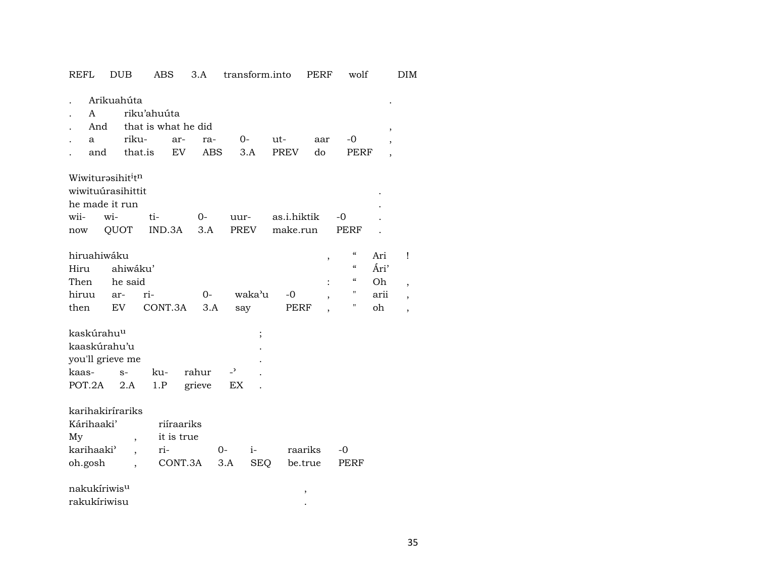| יינייי                                                                        | ്ധ്യ                               | טעם                                                  | J.A                     |                                | u ansiorm.mio      |                         | L EVLI.                            | WUIL                            |                                  | ו ש |
|-------------------------------------------------------------------------------|------------------------------------|------------------------------------------------------|-------------------------|--------------------------------|--------------------|-------------------------|------------------------------------|---------------------------------|----------------------------------|-----|
| A<br>And<br>a<br>and                                                          | Arikuahúta<br>riku-                | riku'ahuúta<br>that is what he did<br>ar-<br>that.is | ra-<br>EV<br><b>ABS</b> | 0-                             | 3.A                | ut-<br><b>PREV</b>      | aar<br>do                          | -0<br>PERF                      | ,                                |     |
| Wiwiturasihit <sup>i</sup> t <sup>n</sup><br>wiwituúrasihittit<br>wii-<br>now | he made it run<br>wi-<br>QUOT      | ti-<br>IND.3A                                        | $O -$<br>3.A            | uur-<br>PREV                   |                    | as.i.hiktik<br>make.run |                                    | -0<br>PERF                      |                                  |     |
| hiruahiwáku<br>Hiru<br>Then<br>hiruu<br>then                                  | ahiwáku'<br>he said<br>ar-<br>EV   | ri-<br>CONT.3A                                       | $0-$<br>3.A             | say                            | waka'u             | -0<br>PERF              | $\, ,$<br>$\overline{\phantom{a}}$ | $\epsilon$<br>"<br>"<br>11<br>н | Ari<br>Ári'<br>Oh.<br>arii<br>oh | Ţ   |
| kaskúrahu <sup>u</sup><br>kaaskúrahu'u<br>you'll grieve me<br>kaas-<br>POT.2A | $S-$<br>2.A                        | ku-<br>1.P                                           | rahur<br>grieve         | $\overline{\phantom{a}}$<br>EX | $\vdots$           |                         |                                    |                                 |                                  |     |
| Kárihaaki'<br>My<br>karihaaki <sup>3</sup><br>oh.gosh                         | karihakirírariks<br>$\overline{ }$ | it is true<br>ri-                                    | riíraariks<br>CONT.3A   | $0-$<br>3.A                    | $i-$<br><b>SEQ</b> | raariks<br>be.true      |                                    | -0<br>PERF                      |                                  |     |
| nakukíriwis <sup>u</sup><br>rakukíriwisu                                      |                                    |                                                      |                         |                                |                    | $\, ,$                  |                                    |                                 |                                  |     |

REFL DUB ABS 3.A transform.into PERF wolf DIM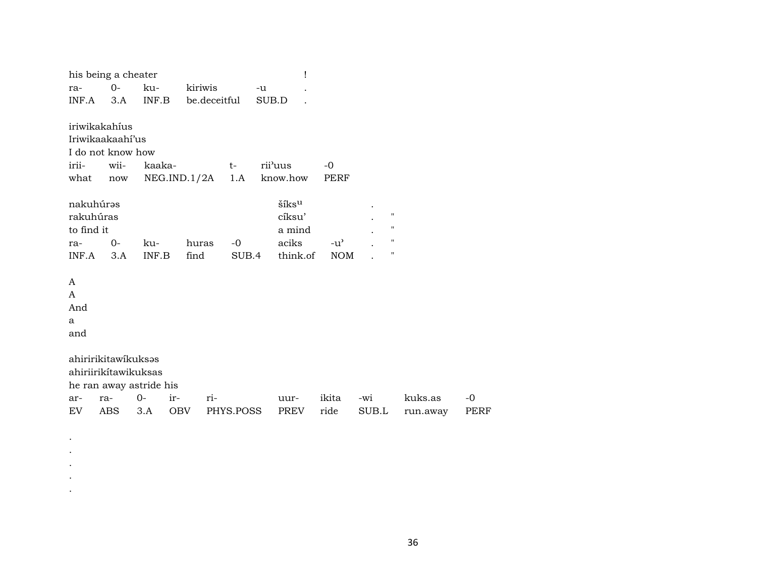|            | his being a cheater                         |                         |              |              | 1       |          |               |                    |          |      |
|------------|---------------------------------------------|-------------------------|--------------|--------------|---------|----------|---------------|--------------------|----------|------|
| ra-        | $O -$                                       | ku-                     | kiriwis      |              | $-u$    |          |               |                    |          |      |
| INF.A      | 3.A                                         | INF.B                   |              | be.deceitful | SUB.D   |          |               |                    |          |      |
|            | iriwikakahíus                               |                         |              |              |         |          |               |                    |          |      |
|            | Iriwikaakaahi'us                            |                         |              |              |         |          |               |                    |          |      |
|            | I do not know how                           |                         |              |              |         |          |               |                    |          |      |
| irii-      | wii-                                        | kaaka-                  |              | $t-$         | rii'uus |          | $-0$          |                    |          |      |
| what       | $\operatorname{now}$                        |                         | NEG.IND.1/2A | 1.A          |         | know.how | PERF          |                    |          |      |
| nakuhúrəs  |                                             |                         |              |              |         | šíksu    |               |                    |          |      |
| rakuhúras  |                                             |                         |              |              |         | cíksu'   |               | $\pmb{\mathsf{H}}$ |          |      |
| to find it |                                             |                         |              |              |         | a mind   |               | "                  |          |      |
| ra-        | 0-                                          | ku-                     | huras        | $-0$         |         | aciks    | $-u^{\prime}$ | $\pmb{\mathsf{H}}$ |          |      |
| INF.A      | 3.A                                         | INF.B                   | find         | SUB.4        |         | think.of | <b>NOM</b>    | $\pmb{\mathsf{H}}$ |          |      |
| A          |                                             |                         |              |              |         |          |               |                    |          |      |
| A          |                                             |                         |              |              |         |          |               |                    |          |      |
| And        |                                             |                         |              |              |         |          |               |                    |          |      |
| a          |                                             |                         |              |              |         |          |               |                    |          |      |
| and        |                                             |                         |              |              |         |          |               |                    |          |      |
|            |                                             |                         |              |              |         |          |               |                    |          |      |
|            | ahiririkitawikuksas<br>ahiriirikítawikuksas |                         |              |              |         |          |               |                    |          |      |
|            |                                             |                         |              |              |         |          |               |                    |          |      |
|            |                                             | he ran away astride his |              |              |         |          |               |                    |          |      |
| ar-        | ra-                                         | $0-$                    | ir-          | ri-          |         | uur-     | ikita         | -wi                | kuks.as  | $-0$ |
| EV         | ABS                                         | 3.A                     | OBV          | PHYS.POSS    |         | PREV     | ride          | SUB.L              | run.away | PERF |
|            |                                             |                         |              |              |         |          |               |                    |          |      |
|            |                                             |                         |              |              |         |          |               |                    |          |      |

 $\bullet$  $\bullet$  $\cdot$  $\bullet$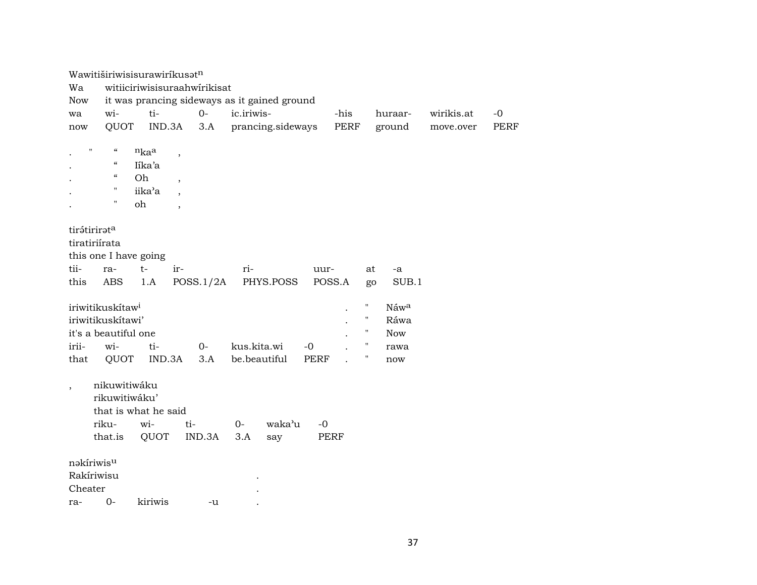|                          | Wawitiširiwisisurawiríkusat <sup>n</sup> |                      |                              |                                              |             |        |                                  |            |             |
|--------------------------|------------------------------------------|----------------------|------------------------------|----------------------------------------------|-------------|--------|----------------------------------|------------|-------------|
| Wa                       |                                          |                      | witiiciriwisisuraahwirikisat |                                              |             |        |                                  |            |             |
| <b>Now</b>               |                                          |                      |                              | it was prancing sideways as it gained ground |             |        |                                  |            |             |
| wa                       | wi-                                      | ti-                  | $O -$                        | ic.iriwis-                                   |             | -his   | huraar-                          | wirikis.at | $-0$        |
| now                      | QUOT                                     | IND.3A               | 3.A                          | prancing.sideways                            |             | PERF   | ground                           | move.over  | <b>PERF</b> |
|                          |                                          |                      |                              |                                              |             |        |                                  |            |             |
|                          | $\pmb{\mathsf{H}}$<br>$\epsilon\epsilon$ | nkaa                 | $\overline{\phantom{a}}$     |                                              |             |        |                                  |            |             |
|                          | $\zeta\zeta$                             | Iíka'a               |                              |                                              |             |        |                                  |            |             |
|                          | $\boldsymbol{\mathcal{C}}$               | Oh                   | $\overline{\phantom{a}}$     |                                              |             |        |                                  |            |             |
|                          | Ħ                                        | iika'a               | $\overline{\phantom{a}}$     |                                              |             |        |                                  |            |             |
|                          | $\pmb{\mathsf{H}}$                       | oh                   | $\overline{\phantom{a}}$     |                                              |             |        |                                  |            |             |
|                          |                                          |                      |                              |                                              |             |        |                                  |            |             |
|                          | tirátirirata                             |                      |                              |                                              |             |        |                                  |            |             |
|                          | tiratiriírata                            |                      |                              |                                              |             |        |                                  |            |             |
|                          | this one I have going                    |                      |                              |                                              |             |        |                                  |            |             |
| tii-                     | ra-                                      | $t-$                 | ir-                          | ri-                                          | uur-        |        | at<br>-a                         |            |             |
| this                     | ABS                                      | 1.A                  | POSS.1/2A                    | PHYS.POSS                                    |             | POSS.A | SUB.1<br>go                      |            |             |
|                          |                                          |                      |                              |                                              |             |        |                                  |            |             |
|                          | iriwitikuskítaw <sup>i</sup>             |                      |                              |                                              |             |        | "<br>Náwa                        |            |             |
|                          | iriwitikuskítawi'                        |                      |                              |                                              |             |        | $\pmb{\mathsf{H}}$<br>Ráwa       |            |             |
|                          | it's a beautiful one                     |                      |                              |                                              |             |        | $\pmb{\mathsf{H}}$<br><b>Now</b> |            |             |
| irii-                    | wi-                                      | ti-                  | $0-$                         | kus.kita.wi                                  | $-0$        |        | rawa                             |            |             |
| that                     | QUOT                                     | IND.3A               | 3.A                          | be.beautiful                                 | <b>PERF</b> |        | "<br>now                         |            |             |
|                          |                                          |                      |                              |                                              |             |        |                                  |            |             |
| $\overline{\phantom{a}}$ | nikuwitiwáku                             |                      |                              |                                              |             |        |                                  |            |             |
|                          | rikuwitiwáku'                            |                      |                              |                                              |             |        |                                  |            |             |
|                          |                                          | that is what he said |                              |                                              |             |        |                                  |            |             |
|                          | riku-                                    | wi-                  | ti-                          | waka'u<br>$0-$                               | $-0$        |        |                                  |            |             |
|                          | that.is                                  | QUOT                 | IND.3A                       | 3.A<br>say                                   |             | PERF   |                                  |            |             |
|                          |                                          |                      |                              |                                              |             |        |                                  |            |             |
|                          | nakíriwis <sup>u</sup>                   |                      |                              |                                              |             |        |                                  |            |             |
|                          | Rakíriwisu                               |                      |                              |                                              |             |        |                                  |            |             |
| Cheater                  |                                          |                      |                              |                                              |             |        |                                  |            |             |
| ra-                      | $O -$                                    | kiriwis              | -u                           |                                              |             |        |                                  |            |             |
|                          |                                          |                      |                              |                                              |             |        |                                  |            |             |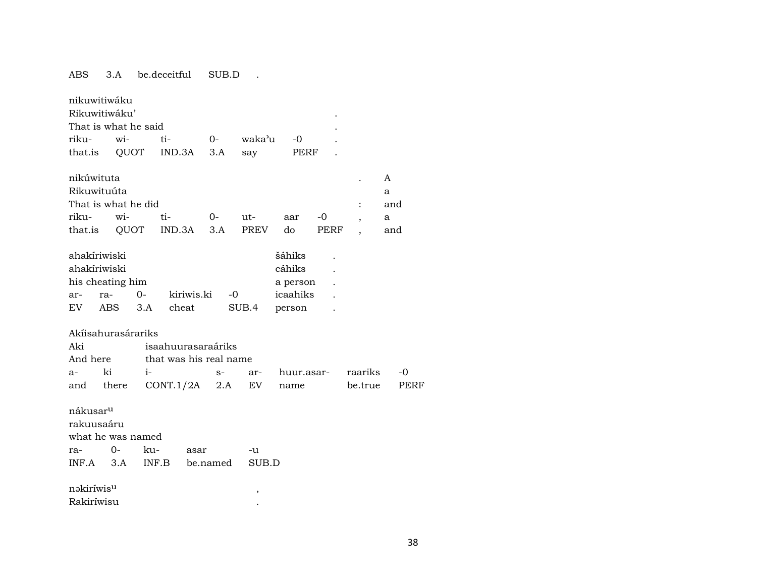# ABS 3.A be.deceitful SUB.D .

| riku-                               | nikuwitiwáku<br>Rikuwitiwáku'<br>That is what he said<br>wi- |       | ti-                    | $O -$      |      | waka'u      | -0                                       |      |         |      |             |
|-------------------------------------|--------------------------------------------------------------|-------|------------------------|------------|------|-------------|------------------------------------------|------|---------|------|-------------|
| that.is                             | QUOT                                                         |       | IND.3A                 | 3.A        |      | say         | PERF                                     |      |         |      |             |
|                                     |                                                              |       |                        |            |      |             |                                          |      |         |      |             |
| nikúwituta                          |                                                              |       |                        |            |      |             |                                          |      |         | A    |             |
| Rikuwituúta                         |                                                              |       |                        |            |      |             |                                          |      |         | a    |             |
|                                     | That is what he did                                          |       |                        |            |      |             |                                          |      |         | and  |             |
| riku-                               | wi-                                                          |       | ti-                    | 0-         |      | ut-         | aar                                      | -0   |         | a    |             |
| that.is                             | QUOT                                                         |       | IND.3A                 | 3.A        |      | <b>PREV</b> | do                                       | PERF |         | and  |             |
| ahakíriwiski<br>ahakíriwiski<br>ar- | his cheating him<br>ra-                                      | $0-$  |                        | kiriwis.ki | -0   |             | šáhiks<br>cáhiks<br>a person<br>icaahiks |      |         |      |             |
| EV                                  | <b>ABS</b>                                                   | 3.A   | cheat                  |            |      | SUB.4       | person                                   |      |         |      |             |
|                                     |                                                              |       |                        |            |      |             |                                          |      |         |      |             |
| Akíisahurasárariks                  |                                                              |       |                        |            |      |             |                                          |      |         |      |             |
| Aki                                 |                                                              |       | isaahuurasaraáriks     |            |      |             |                                          |      |         |      |             |
| And here                            |                                                              |       | that was his real name |            |      |             |                                          |      |         |      |             |
| $a-$                                | ki                                                           | i-    |                        |            | $S-$ | ar-         | huur.asar-                               |      | raariks | $-0$ |             |
| and                                 | there                                                        |       | CONT.1/2A              |            | 2.A  | EV.         | name                                     |      | be.true |      | <b>PERF</b> |
| nákusar <sup>u</sup><br>rakuusaáru  | what he was named                                            |       |                        |            |      |             |                                          |      |         |      |             |
| ra-                                 | 0-                                                           | ku-   |                        | asar       |      | -u          |                                          |      |         |      |             |
| INF.A                               | 3.A                                                          | INF.B |                        | be.named   |      | SUB.D       |                                          |      |         |      |             |
| nəkiríwis <sup>u</sup>              |                                                              |       |                        |            |      | ,           |                                          |      |         |      |             |
| Rakiríwisu                          |                                                              |       |                        |            |      |             |                                          |      |         |      |             |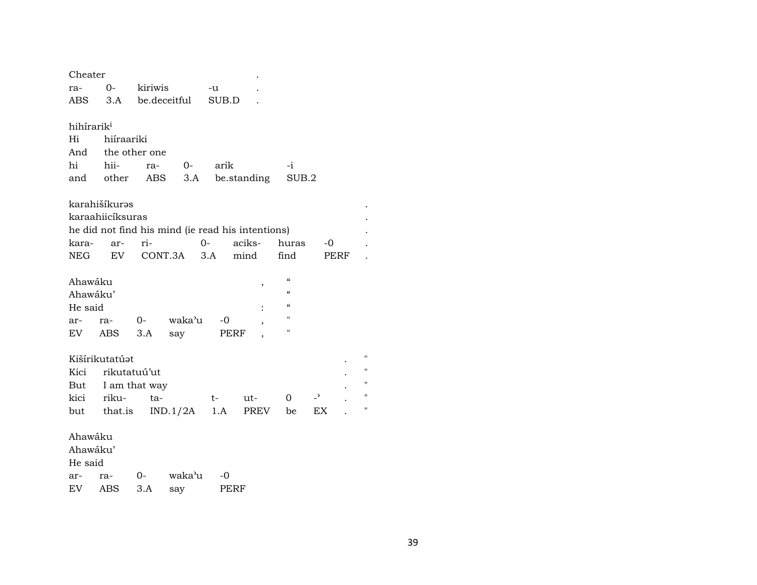| Cheater                |                   |               |                                                   |       |             |                                        |                          |      |                    |  |
|------------------------|-------------------|---------------|---------------------------------------------------|-------|-------------|----------------------------------------|--------------------------|------|--------------------|--|
| ra-                    | 0-                | kiriwis       |                                                   | -u    |             |                                        |                          |      |                    |  |
| ABS                    | 3.A               |               | be.deceitful                                      | SUB.D |             |                                        |                          |      |                    |  |
|                        |                   |               |                                                   |       |             |                                        |                          |      |                    |  |
| hihírarik <sup>i</sup> |                   |               |                                                   |       |             |                                        |                          |      |                    |  |
| Hi                     | hiíraariki        |               |                                                   |       |             |                                        |                          |      |                    |  |
|                        | And the other one |               |                                                   |       |             |                                        |                          |      |                    |  |
| hi                     | hii-              | ra-           | 0-                                                | arik  |             | -i                                     |                          |      |                    |  |
| and                    | other             | ABS           | 3.A                                               |       | be.standing | SUB.2                                  |                          |      |                    |  |
|                        |                   |               |                                                   |       |             |                                        |                          |      |                    |  |
|                        | karahišíkurəs     |               |                                                   |       |             |                                        |                          |      |                    |  |
|                        | karaahiicíksuras  |               |                                                   |       |             |                                        |                          |      |                    |  |
|                        |                   |               | he did not find his mind (ie read his intentions) |       |             |                                        |                          |      |                    |  |
| kara-                  | ar-               | ri-           |                                                   | $0-$  | aciks-      | huras                                  | -0                       |      |                    |  |
| NEG                    | EV                |               | CONT.3A                                           | 3.A   | mind        | find                                   |                          | PERF |                    |  |
|                        |                   |               |                                                   |       |             |                                        |                          |      |                    |  |
| Ahawáku                |                   |               |                                                   |       | ,           | $\boldsymbol{\zeta}\boldsymbol{\zeta}$ |                          |      |                    |  |
| Ahawáku'               |                   |               |                                                   |       |             | $\epsilon$                             |                          |      |                    |  |
| He said                |                   |               |                                                   |       |             | $\epsilon\epsilon$                     |                          |      |                    |  |
| ar-                    | ra-               | $0-$          | waka'u                                            | -0    | ,           | п                                      |                          |      |                    |  |
| EV                     | ABS               | 3.A           | say                                               | PERF  |             | п                                      |                          |      |                    |  |
|                        |                   |               |                                                   |       |             |                                        |                          |      |                    |  |
|                        | Kišírikutatúat    |               |                                                   |       |             |                                        |                          |      | п                  |  |
| Kici                   |                   | rikutatuú'ut  |                                                   |       |             |                                        |                          |      | 11                 |  |
| But                    |                   | I am that way |                                                   |       |             |                                        |                          |      | $\pmb{\mathsf{H}}$ |  |
| kici                   | riku-             | ta-           |                                                   | t-    | ut-         | 0                                      | $\overline{\phantom{0}}$ |      | 11                 |  |
| but                    | that.is           |               | IND.1/2A                                          | 1.A   | <b>PREV</b> | be                                     | <b>EX</b>                |      | п                  |  |
|                        |                   |               |                                                   |       |             |                                        |                          |      |                    |  |
| Ahawáku                |                   |               |                                                   |       |             |                                        |                          |      |                    |  |
| Ahawáku'               |                   |               |                                                   |       |             |                                        |                          |      |                    |  |
| He said                |                   |               |                                                   |       |             |                                        |                          |      |                    |  |
| ar-                    | ra-               | 0-            | waka'u                                            | -0    |             |                                        |                          |      |                    |  |
| EV                     |                   |               |                                                   |       |             |                                        |                          |      |                    |  |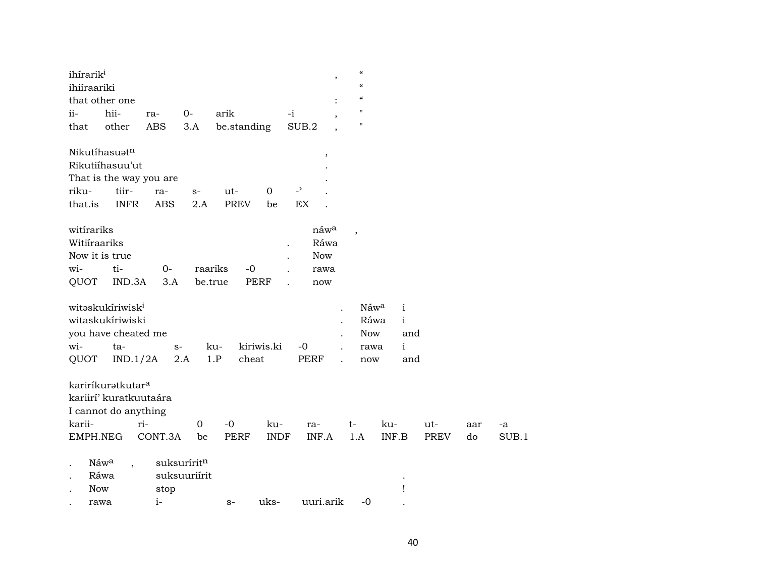| ihírarik <sup>i</sup><br>ihiíraariki<br>that other one                                                    |                   |                             |                     |                      |                                | $\boldsymbol{\mathcal{C}}$<br>$^\mathrm{,}$<br>$\epsilon$<br>$\epsilon\epsilon$ |                                           |                                                            |                    |           |             |
|-----------------------------------------------------------------------------------------------------------|-------------------|-----------------------------|---------------------|----------------------|--------------------------------|---------------------------------------------------------------------------------|-------------------------------------------|------------------------------------------------------------|--------------------|-----------|-------------|
| hii-<br>ii-<br>other<br>that                                                                              | ra-<br><b>ABS</b> | $0-$<br>3.A                 | arik<br>be.standing |                      | $-i$<br>SUB.2                  | $\mathbf{H}$<br>$\pmb{\mathsf{H}}$                                              |                                           |                                                            |                    |           |             |
| Nikutíhasuatn<br>Rikutiíhasuu'ut<br>That is the way you are<br>tiir-<br>riku-<br>that.is<br><b>INFR</b>   | ra-<br><b>ABS</b> | $S-$<br>2.A                 | ut-<br><b>PREV</b>  | $\overline{0}$<br>be | $\overline{\phantom{a}}$<br>EX | $\, ,$                                                                          |                                           |                                                            |                    |           |             |
| witirariks<br>Witiiraariks<br>Now it is true<br>ti-<br>wi-<br>QUOT<br>IND.3A                              | $0-$<br>3.A       | raariks<br>be.true          | $-0$                | <b>PERF</b>          | <b>Now</b><br>rawa<br>now      | náwa<br>$\overline{\phantom{a}}$<br>Ráwa                                        |                                           |                                                            |                    |           |             |
| witəskukíriwisk <sup>i</sup><br>witaskukíriwiski<br>you have cheated me<br>wi-<br>ta-<br>QUOT<br>IND.1/2A |                   | $S-$<br>2.A                 | ku-<br>1.P<br>cheat | kiriwis.ki           | $-0$<br><b>PERF</b>            | $\ddot{\phantom{0}}$                                                            | Náwa<br>Ráwa<br><b>Now</b><br>rawa<br>now | $\mathbf{i}$<br>$\mathbf{i}$<br>and<br>$\mathbf{i}$<br>and |                    |           |             |
| kariríkuratkutar <sup>a</sup><br>kariirí' kuratkuutaára<br>I cannot do anything<br>karii-<br>EMPH.NEG     | ri-<br>CONT.3A    | $\mathbf 0$<br>be           | $-0$<br><b>PERF</b> | ku-<br><b>INDF</b>   | ra-<br>INF.A                   | $t-$<br>1.A                                                                     | ku-                                       | INF.B                                                      | ut-<br><b>PREV</b> | aar<br>do | -a<br>SUB.1 |
| Náwa<br>Ráwa<br>Now<br>rawa                                                                               | stop<br>$i-$      | suksuríritn<br>suksuuriírit | $S-$                | uks-                 | uuri.arik                      |                                                                                 | $-0$                                      | Ţ                                                          |                    |           |             |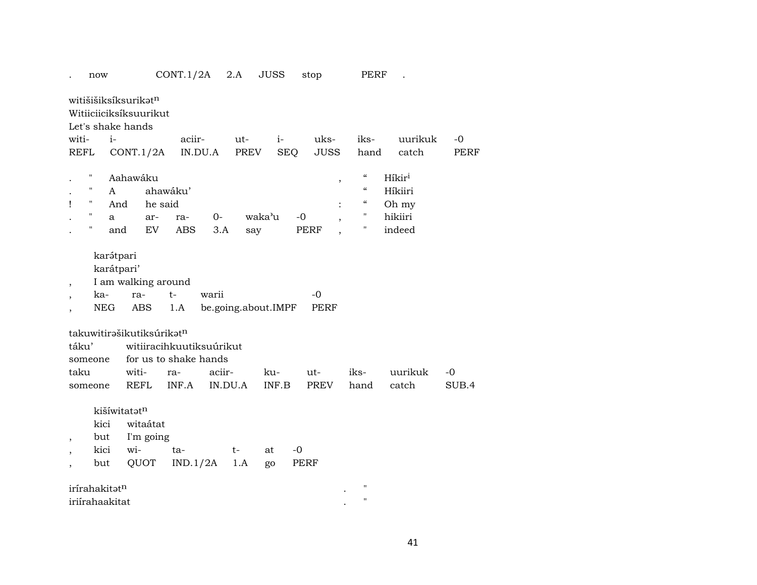| now                                                                 |                                                        | CONT.1/2A                | 2.A                          | <b>JUSS</b>  | stop               |               | PERF                       |                    |               |
|---------------------------------------------------------------------|--------------------------------------------------------|--------------------------|------------------------------|--------------|--------------------|---------------|----------------------------|--------------------|---------------|
| witišišiksíksurikatn<br>Witiiciiciksíksuurikut<br>Let's shake hands |                                                        |                          |                              |              |                    |               |                            |                    |               |
| witi-<br>$i-$                                                       |                                                        | aciir-                   | ut-                          | $i-$         |                    | uks-          | iks-                       | uurikuk            | -0            |
| REFL                                                                | CONT.1/2A                                              | IN.DU.A                  |                              | PREV         | SEQ                | JUSS          | hand                       | catch              | <b>PERF</b>   |
|                                                                     | Aahawáku                                               |                          |                              |              |                    | $^\mathrm{,}$ | $\zeta\zeta$               | Híkir <sup>i</sup> |               |
| п<br>A                                                              |                                                        | ahawáku'                 |                              |              |                    |               | $\boldsymbol{\mathcal{C}}$ | Híkiiri            |               |
| н.<br>Ţ                                                             | And                                                    | he said                  |                              |              |                    |               | $\boldsymbol{\mathcal{C}}$ | Oh my              |               |
| 11<br>a                                                             | ar-                                                    | ra-                      | 0-                           | waka'u       | $-0$               | $\, ,$        | 11                         | hikiiri            |               |
| 11                                                                  | EV<br>and                                              | ABS                      | 3.A                          | say          | PERF               |               | "                          | indeed             |               |
| karátpari<br>ka-<br>$\cdot$<br><b>NEG</b>                           | karátpari'<br>I am walking around<br>ra-<br><b>ABS</b> | t-<br>1.A                | warii<br>be.going.about.IMPF |              | $-0$               | <b>PERF</b>   |                            |                    |               |
| takuwitirašikutiksúrikatn                                           |                                                        |                          |                              |              |                    |               |                            |                    |               |
| táku'                                                               |                                                        | witiiracihkuutiksuúrikut |                              |              |                    |               |                            |                    |               |
| someone                                                             |                                                        | for us to shake hands    |                              |              |                    |               |                            |                    |               |
| taku                                                                | witi-<br><b>REFL</b>                                   | ra-<br>INF.A             | aciir-<br>IN.DU.A            | ku-<br>INF.B | ut-<br><b>PREV</b> |               | iks-<br>hand               | uurikuk<br>catch   | $-0$<br>SUB.4 |
| someone                                                             | kišíwitatatn                                           |                          |                              |              |                    |               |                            |                    |               |
| kici                                                                | witaátat                                               |                          |                              |              |                    |               |                            |                    |               |
| but                                                                 | I'm going                                              |                          |                              |              |                    |               |                            |                    |               |
| kici                                                                | wi-                                                    | ta-                      | t-                           | at           | $-0$               |               |                            |                    |               |
| but                                                                 | QUOT                                                   | IND.1/2A                 | 1.A                          | go           | PERF               |               |                            |                    |               |
| irírahakitatn                                                       |                                                        |                          |                              |              |                    |               | $^{\prime}$                |                    |               |
| iriirahaakitat                                                      |                                                        |                          |                              |              |                    |               | $\pmb{\mathsf{H}}$         |                    |               |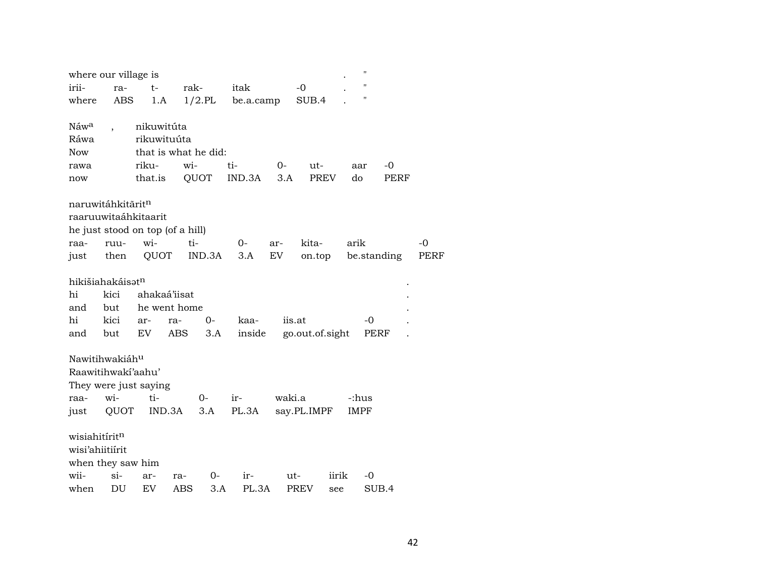| where our village is             |                          |             |              |                      |           |        |                 |       | П           |       |             |
|----------------------------------|--------------------------|-------------|--------------|----------------------|-----------|--------|-----------------|-------|-------------|-------|-------------|
| irii-                            | ra-                      | $t-$        | rak-         |                      | itak      |        | $-0$            |       | "           |       |             |
| where                            | ABS                      | 1.A         |              | $1/2$ .PL            | be.a.camp |        | SUB.4           |       | н           |       |             |
|                                  |                          |             |              |                      |           |        |                 |       |             |       |             |
| Náwa                             | $\overline{\phantom{a}}$ | nikuwitúta  |              |                      |           |        |                 |       |             |       |             |
| Ráwa                             |                          | rikuwituúta |              |                      |           |        |                 |       |             |       |             |
| <b>Now</b>                       |                          |             |              | that is what he did: |           |        |                 |       |             |       |             |
| rawa                             |                          | riku-       | wi-          |                      | ti-       | $0-$   | ut-             |       | aar         | -0    |             |
| now                              |                          | that.is     |              | QUOT                 | IND.3A    | 3.A    | PREV            |       | do          | PERF  |             |
|                                  |                          |             |              |                      |           |        |                 |       |             |       |             |
| naruwitáhkitārit <sup>n</sup>    |                          |             |              |                      |           |        |                 |       |             |       |             |
| raaruuwitaáhkitaarit             |                          |             |              |                      |           |        |                 |       |             |       |             |
| he just stood on top (of a hill) |                          |             |              |                      |           |        |                 |       |             |       |             |
| raa-                             | ruu-                     | wi-         | ti-          |                      | $0-$      | ar-    | kita-           |       | arik        |       | $-0$        |
| just                             | then                     | QUOT        |              | IND.3A               | 3.A       | EV     | on.top          |       | be.standing |       | <b>PERF</b> |
|                                  |                          |             |              |                      |           |        |                 |       |             |       |             |
| hikišiahakáisat <sup>n</sup>     |                          |             |              |                      |           |        |                 |       |             |       |             |
| hi                               | kici                     |             | ahakaá'iisat |                      |           |        |                 |       |             |       |             |
| and                              | but                      |             | he went home |                      |           |        |                 |       |             |       |             |
| hi                               | kici                     | ar-         | ra-          | $0-$                 | kaa-      |        | iis.at          |       | -0          |       |             |
| and                              | but                      | EV          | ABS          | 3.A                  | inside    |        | go.out.of.sight |       | PERF        |       |             |
|                                  |                          |             |              |                      |           |        |                 |       |             |       |             |
| Nawitihwakiáh <sup>u</sup>       |                          |             |              |                      |           |        |                 |       |             |       |             |
| Raawitihwaki'aahu'               |                          |             |              |                      |           |        |                 |       |             |       |             |
| They were just saying            |                          |             |              |                      |           |        |                 |       |             |       |             |
| raa-                             | wi-                      | ti-         |              | $O-$                 | ir-       | waki.a |                 |       | -:hus       |       |             |
| just                             | QUOT                     |             | IND.3A       | 3.A                  | PL.3A     |        | say.PL.IMPF     |       | IMPF        |       |             |
| wisiahitírit <sup>n</sup>        |                          |             |              |                      |           |        |                 |       |             |       |             |
|                                  |                          |             |              |                      |           |        |                 |       |             |       |             |
| wisi'ahiitiirit                  |                          |             |              |                      |           |        |                 |       |             |       |             |
| when they saw him                |                          |             |              |                      |           |        |                 |       |             |       |             |
| wii-                             | $\sin$                   | ar-         | ra-          | 0-                   | ir-       | ut-    |                 | iirik | -0          |       |             |
| when                             | DU                       | EV          | ABS          | 3.A                  | PL.3A     |        | <b>PREV</b>     | see   |             | SUB.4 |             |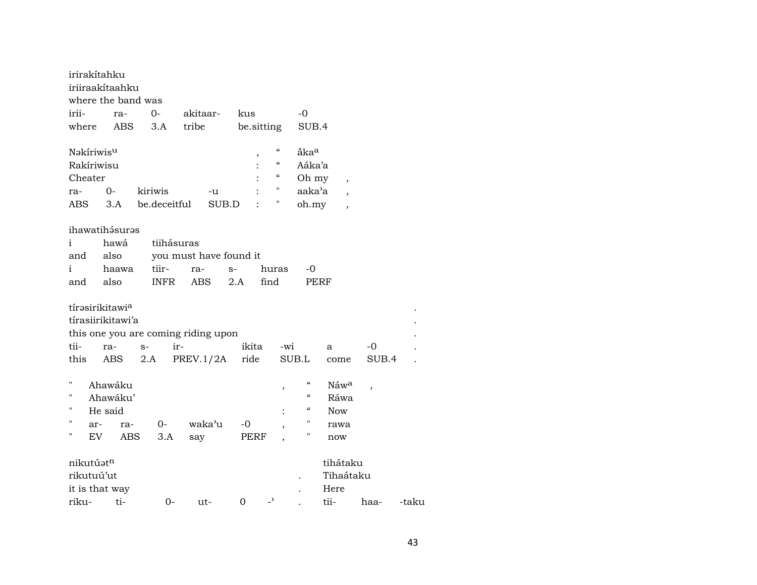| irirakítahku           |                    |              |                                     |                                      |                                        |                    |                          |       |       |
|------------------------|--------------------|--------------|-------------------------------------|--------------------------------------|----------------------------------------|--------------------|--------------------------|-------|-------|
|                        | iriiraakítaahku    |              |                                     |                                      |                                        |                    |                          |       |       |
|                        | where the band was |              |                                     |                                      |                                        |                    |                          |       |       |
| irii-                  | ra-                | $0-$         | akitaar-                            | kus                                  |                                        | -0                 |                          |       |       |
| where                  | ABS                | 3.A          | tribe                               | be.sitting                           |                                        | SUB.4              |                          |       |       |
| Nəkiriwis <sup>u</sup> |                    |              |                                     | ,                                    | $\pmb{\zeta}\pmb{\zeta}$               | åka <sup>a</sup>   |                          |       |       |
| Rakíriwisu             |                    |              |                                     |                                      | $\boldsymbol{\zeta}\boldsymbol{\zeta}$ | Aáka'a             |                          |       |       |
| Cheater                |                    |              |                                     |                                      | "                                      | Oh my              | $\overline{\phantom{a}}$ |       |       |
| ra-                    | $O -$              | kiriwis      | -u                                  |                                      | "                                      | aaka'a             |                          |       |       |
| ABS                    | 3.A                | be.deceitful | SUB.D                               |                                      | Ħ                                      | oh.my              |                          |       |       |
|                        | ihawatihásurəs     |              |                                     |                                      |                                        |                    |                          |       |       |
| i                      | hawá               | tiihásuras   |                                     |                                      |                                        |                    |                          |       |       |
| and                    | also               |              | you must have found it              |                                      |                                        |                    |                          |       |       |
|                        | haawa              | tiir-        |                                     |                                      |                                        |                    |                          |       |       |
| i                      | also               | <b>INFR</b>  | ra-<br>ABS                          | $S-$<br>find<br>2.A                  | huras                                  | -0                 |                          |       |       |
| and                    |                    |              |                                     |                                      |                                        |                    | PERF                     |       |       |
| tírasirikitawia        |                    |              |                                     |                                      |                                        |                    |                          |       |       |
|                        |                    |              |                                     |                                      |                                        |                    |                          |       |       |
|                        | tírasiirikitawi'a  |              |                                     |                                      |                                        |                    |                          |       |       |
|                        |                    |              | this one you are coming riding upon |                                      |                                        |                    |                          |       |       |
| tii-                   | ra-                | ir-<br>$S-$  |                                     | ikita                                | -wi                                    |                    | a                        | -0    |       |
| this                   | ABS                | 2.A          | PREV.1/2A                           | ride                                 |                                        | SUB.L              | come                     | SUB.4 |       |
| 11                     | Ahawáku            |              |                                     |                                      | ,                                      | $\epsilon\epsilon$ | Náwa                     | ,     |       |
| "                      | Ahawáku'           |              |                                     |                                      |                                        | $\epsilon$         | Ráwa                     |       |       |
| Н                      | He said            |              |                                     |                                      |                                        | "                  | Now                      |       |       |
| "<br>ar-               | ra-                | 0-           | waka'u                              | $-0$                                 |                                        | 11                 | rawa                     |       |       |
| 11<br>EV               | ABS                | 3.A          | say                                 | PERF                                 |                                        | П                  | now                      |       |       |
| nikutúatn              |                    |              |                                     |                                      |                                        |                    | tihátaku                 |       |       |
| rikutuú'ut             |                    |              |                                     |                                      |                                        |                    | Tihaátaku                |       |       |
| it is that way         |                    |              |                                     |                                      |                                        |                    | Here                     |       |       |
| riku-                  | ti-                | 0-           |                                     | $\overline{\phantom{0}}$<br>$\Omega$ |                                        |                    | tii-                     |       | -taku |
|                        |                    |              | ut-                                 |                                      |                                        |                    |                          | haa-  |       |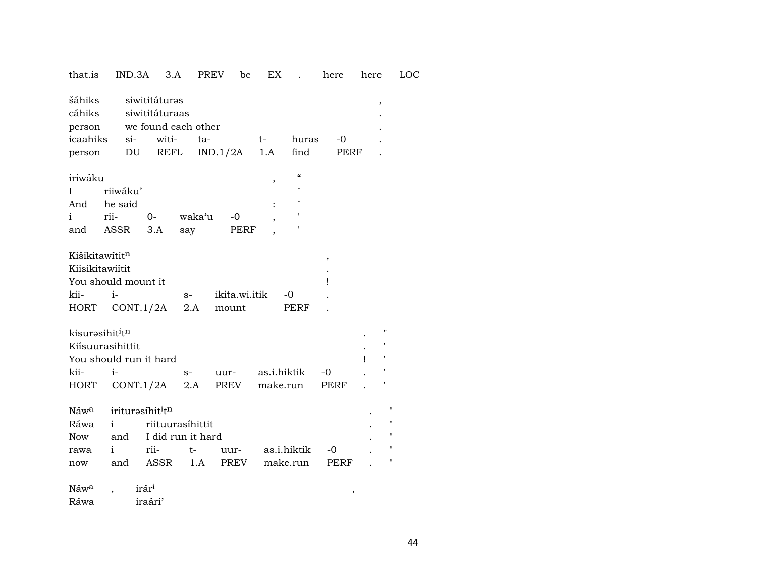| that.is                    |                     | $IND.3A$ $3.A$                                         |        | PREV     | be            | EX .               | here | here                     |                    | LOC |
|----------------------------|---------------------|--------------------------------------------------------|--------|----------|---------------|--------------------|------|--------------------------|--------------------|-----|
| šáhiks<br>cáhiks<br>person |                     | siwititáturəs<br>siwititáturaas<br>we found each other |        |          |               |                    |      | $\overline{\phantom{a}}$ |                    |     |
| icaahiks                   |                     | si- witi-                                              | ta-    |          | $t-$          | huras              | $-0$ |                          |                    |     |
| person                     |                     | DU REFL                                                |        | IND.1/2A | 1.A           | find               | PERF |                          |                    |     |
|                            |                     |                                                        |        |          |               |                    |      |                          |                    |     |
| iriwáku                    |                     |                                                        |        |          | $\, ,$        | $\epsilon\epsilon$ |      |                          |                    |     |
| I                          | riiwáku'            |                                                        |        |          |               |                    |      |                          |                    |     |
| And                        | he said             |                                                        |        |          |               |                    |      |                          |                    |     |
| i                          | rii-                | $0 -$                                                  | waka'u | $-0$     |               |                    |      |                          |                    |     |
| and                        | ASSR                | 3.A                                                    | say    |          | PERF          |                    |      |                          |                    |     |
|                            |                     |                                                        |        |          |               |                    |      |                          |                    |     |
| Kišikitawítitn             |                     |                                                        |        |          |               |                    | $\,$ |                          |                    |     |
| Kiisikitawiítit            |                     |                                                        |        |          |               |                    |      |                          |                    |     |
|                            | You should mount it |                                                        |        |          |               |                    | Ţ    |                          |                    |     |
| kii-                       | $i-$                |                                                        | $S-$   |          | ikita.wi.itik | $-0$               |      |                          |                    |     |
| HORT                       |                     | CONT.1/2A                                              | 2.A    | mount    |               | PERF               |      |                          |                    |     |
|                            |                     |                                                        |        |          |               |                    |      |                          | $\blacksquare$     |     |
| kisurasihititn             |                     |                                                        |        |          |               |                    |      |                          |                    |     |
|                            | Kiísuurasihittit    |                                                        |        |          |               |                    |      |                          |                    |     |
|                            |                     | You should run it hard                                 |        |          |               |                    |      |                          |                    |     |
| kii-                       | $i-$                |                                                        | $S-$   | uur-     |               | as.i.hiktik        | -0   |                          |                    |     |
| HORT                       |                     | CONT.1/2A                                              | 2.A    | PREV     |               | make.run           | PERF |                          |                    |     |
| Náw <sup>a</sup>           |                     | iriturasíhit <sup>i</sup> tn                           |        |          |               |                    |      |                          | $^{\prime\prime}$  |     |
| Ráwa                       | i.                  | riituurasíhittit                                       |        |          |               |                    |      |                          | $\pmb{\mathsf{H}}$ |     |
| Now                        |                     | and I did run it hard                                  |        |          |               |                    |      |                          | н                  |     |
|                            | i.                  | rii-                                                   | $t-$   |          |               | as.i.hiktik        | -0   |                          | $\pmb{\mathsf{H}}$ |     |
| rawa                       |                     | and ASSR                                               |        | uur-     |               |                    |      |                          | $\pmb{\mathsf{H}}$ |     |
| now                        |                     |                                                        | 1.A    | PREV     |               | make.run           | PERF |                          |                    |     |
| Náw <sup>a</sup>           |                     | irár <sup>i</sup>                                      |        |          |               |                    |      |                          |                    |     |

Ráwa iraári'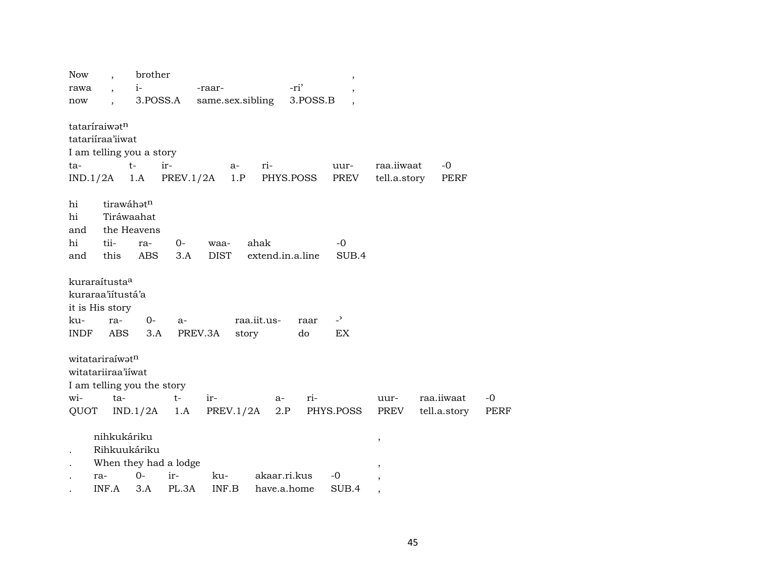| <b>Now</b>           |                            | brother     |                       |                  |             |                  |          | $^\mathrm{,}$            |              |              |      |
|----------------------|----------------------------|-------------|-----------------------|------------------|-------------|------------------|----------|--------------------------|--------------|--------------|------|
| rawa                 |                            | $i-$        |                       | -raar-           |             |                  | -ri'     |                          |              |              |      |
| now                  |                            |             | 3.POSS.A              | same.sex.sibling |             |                  | 3.POSS.B |                          |              |              |      |
|                      | tataríraiwatn              |             |                       |                  |             |                  |          |                          |              |              |      |
|                      | tatariiraa'iiwat           |             |                       |                  |             |                  |          |                          |              |              |      |
|                      | I am telling you a story   |             |                       |                  |             |                  |          |                          |              |              |      |
| ta-                  |                            | $t-$        | ir-                   |                  | a-          | ri-              |          | uur-                     | raa.iiwaat   | $-0$         |      |
|                      | IND.1/2A                   | 1.A         | PREV.1/2A             |                  | 1.P         | PHYS.POSS        |          | PREV                     | tell.a.story | PERF         |      |
|                      |                            |             |                       |                  |             |                  |          |                          |              |              |      |
| hi                   |                            | tirawáhotn  |                       |                  |             |                  |          |                          |              |              |      |
| hi                   |                            | Tiráwaahat  |                       |                  |             |                  |          |                          |              |              |      |
| and                  |                            | the Heavens |                       |                  |             |                  |          |                          |              |              |      |
| hi                   | tii-                       | ra-         | 0-                    | waa-             | ahak        |                  |          | $-0$                     |              |              |      |
| and                  | this                       | ABS         | 3.A                   | <b>DIST</b>      |             | extend.in.a.line |          | SUB.4                    |              |              |      |
|                      |                            |             |                       |                  |             |                  |          |                          |              |              |      |
|                      | kuraraítusta <sup>a</sup>  |             |                       |                  |             |                  |          |                          |              |              |      |
|                      | kuraraa'iitustá'a          |             |                       |                  |             |                  |          |                          |              |              |      |
|                      | it is His story            |             |                       |                  |             |                  |          |                          |              |              |      |
| ku-                  | ra-                        | $0-$        | $a-$                  |                  | raa.iit.us- |                  | raar     | $\overline{\phantom{0}}$ |              |              |      |
| INDF                 | <b>ABS</b>                 | 3.A         |                       | PREV.3A          | story       |                  | do       | EX                       |              |              |      |
|                      | witatariraíwatn            |             |                       |                  |             |                  |          |                          |              |              |      |
|                      | witatariiraa'iiwat         |             |                       |                  |             |                  |          |                          |              |              |      |
|                      | I am telling you the story |             |                       |                  |             |                  |          |                          |              |              |      |
| wi-                  | ta-                        |             | $t-$                  | ir-              |             | $a-$             | ri-      |                          | uur-         | raa.iiwaat   | $-0$ |
| QUOT                 |                            | IND.1/2A    | 1.A                   |                  | PREV.1/2A   | 2.P              |          | PHYS.POSS                | PREV         | tell.a.story | PERF |
|                      |                            |             |                       |                  |             |                  |          |                          |              |              |      |
|                      | nihkukáriku                |             |                       |                  |             |                  |          |                          | $\,$         |              |      |
| $\ddot{\phantom{0}}$ | Rihkuukáriku               |             |                       |                  |             |                  |          |                          |              |              |      |
| $\bullet$            |                            |             | When they had a lodge |                  |             |                  |          |                          |              |              |      |
|                      | ra-                        | $0 -$       | ir-                   | ku-              |             | akaar.ri.kus     |          | -0                       |              |              |      |
|                      | INF.A                      | 3.A         | PL.3A                 | INF.B            |             | have.a.home      |          | SUB.4                    |              |              |      |
|                      |                            |             |                       |                  |             |                  |          |                          |              |              |      |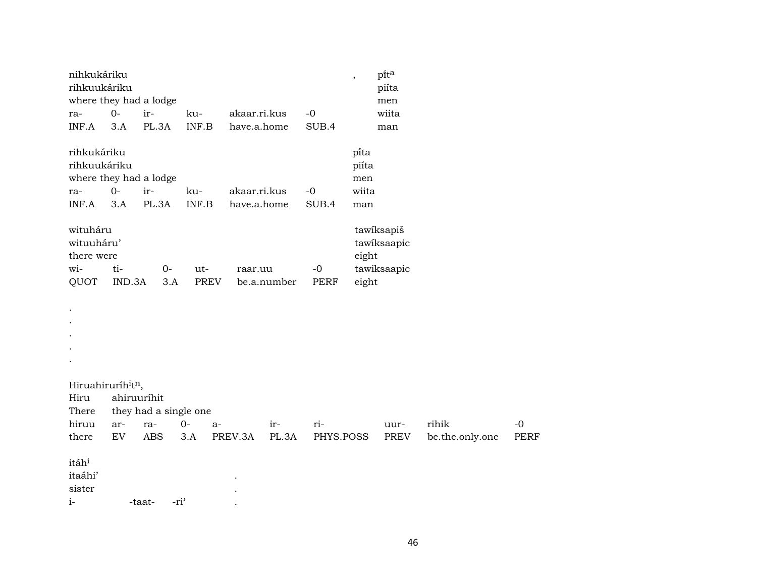| nihkukáriku<br>rihkuukáriku                                           |              |                            |              |                             |       |               | $^\mathrm{,}$                          | pita<br>piíta             |                 |             |
|-----------------------------------------------------------------------|--------------|----------------------------|--------------|-----------------------------|-------|---------------|----------------------------------------|---------------------------|-----------------|-------------|
| where they had a lodge                                                |              |                            |              |                             |       |               |                                        | men                       |                 |             |
| ra-                                                                   | $0-$         | ir-                        | ku-          | akaar.ri.kus                |       | $-0$          |                                        | wiita                     |                 |             |
| INF.A                                                                 | 3.A          | PL.3A                      | INF.B        | have.a.home                 |       | SUB.4         |                                        | man                       |                 |             |
| rihkukáriku<br>rihkuukáriku<br>where they had a lodge<br>ra-<br>INF.A | $O -$<br>3.A | ir-<br>PL.3A               | ku-<br>INF.B | akaar.ri.kus<br>have.a.home |       | $-0$<br>SUB.4 | pi̇̃ta<br>piíta<br>men<br>wiita<br>man |                           |                 |             |
| wituháru<br>wituuháru'<br>there were                                  |              |                            |              |                             |       |               | eight                                  | tawiksapiš<br>tawiksaapic |                 |             |
| wi-                                                                   | ti-          | $0-$                       | ut-          | raar.uu                     |       | $-0$          |                                        | tawiksaapic               |                 |             |
| QUOT                                                                  | IND.3A       | 3.A                        | PREV         | be.a.number                 |       | PERF          | eight                                  |                           |                 |             |
|                                                                       |              |                            |              |                             |       |               |                                        |                           |                 |             |
| Hiruahiruríh <sup>i</sup> t <sup>n</sup> ,                            |              |                            |              |                             |       |               |                                        |                           |                 |             |
| Hiru                                                                  | ahiruuríhit  |                            |              |                             |       |               |                                        |                           |                 |             |
| There                                                                 |              | they had a single one      |              |                             |       |               |                                        |                           |                 |             |
| hiruu                                                                 | ar-          | ra-                        | $0-$<br>a-   | ir-                         |       | ri-           |                                        | uur-                      | rihik           | $-0$        |
| there                                                                 | EV           | <b>ABS</b>                 | 3.A          | PREV.3A                     | PL.3A | PHYS.POSS     |                                        | <b>PREV</b>               | be.the.only.one | <b>PERF</b> |
| itáh <sup>i</sup><br>itaáhi'<br>sister<br>$i-$                        |              | -ri <sup>3</sup><br>-taat- |              |                             |       |               |                                        |                           |                 |             |
|                                                                       |              |                            |              |                             |       |               |                                        |                           |                 |             |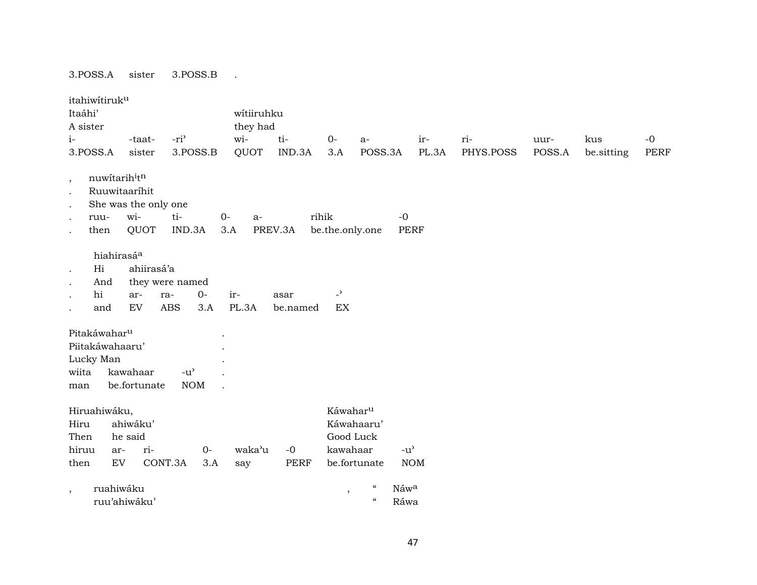3.POSS.A sister 3.POSS.B .

| itahiwitiruku<br>Itaáhi'                                                 |                                                                      |                                 |                                                   | wítiiruhku           |                  |                                |                                                 |                                     |           |        |            |             |
|--------------------------------------------------------------------------|----------------------------------------------------------------------|---------------------------------|---------------------------------------------------|----------------------|------------------|--------------------------------|-------------------------------------------------|-------------------------------------|-----------|--------|------------|-------------|
| A sister                                                                 |                                                                      |                                 |                                                   | they had             |                  |                                |                                                 |                                     |           |        |            |             |
| $i-$                                                                     | -taat-                                                               |                                 | -ri <sup>3</sup>                                  | wi-                  | $ti-$            | $O -$                          | $a-$                                            | ir-                                 | ri-       | uur-   | kus        | $-0$        |
| 3.POSS.A                                                                 | sister                                                               |                                 | 3.POSS.B                                          | QUOT                 | IND.3A           | 3.A                            | POSS.3A                                         | PL.3A                               | PHYS.POSS | POSS.A | be.sitting | <b>PERF</b> |
| $\,$<br>$\bullet$<br>$\cdot$<br>ruu-<br>$\bullet$<br>then<br>$\bullet$   | nuwitarihitn<br>Ruuwitaaríhit<br>She was the only one<br>wi-<br>QUOT |                                 | ti-<br>IND.3A                                     | $O -$<br>$a-$<br>3.A | PREV.3A          | rihik<br>be.the.only.one       |                                                 | $-0$<br><b>PERF</b>                 |           |        |            |             |
| Hi<br>$\bullet$<br>And<br>hi<br>$\bullet$<br>and                         | hiahirasá <sup>a</sup><br>ar-<br>EV                                  | ahiirasá'a<br>ra-<br><b>ABS</b> | they were named<br>$0-$<br>3.A                    | ir-<br>PL.3A         | asar<br>be.named | $\overline{\phantom{0}}$<br>EX |                                                 |                                     |           |        |            |             |
| Pitakáwahar <sup>u</sup><br>Piitakáwahaaru'<br>Lucky Man<br>wiita<br>man | kawahaar<br>be.fortunate                                             |                                 | $-u$ <sup><math>\prime</math></sup><br><b>NOM</b> |                      |                  |                                |                                                 |                                     |           |        |            |             |
| Hiruahiwáku,<br>Hiru<br>Then                                             | ahiwáku'<br>he said                                                  |                                 |                                                   |                      |                  |                                | Káwahar <sup>u</sup><br>Káwahaaru'<br>Good Luck |                                     |           |        |            |             |
| hiruu                                                                    | ar-                                                                  | ri-                             | $O -$                                             | waka'u               | $-0$             |                                | kawahaar                                        | $-u$ <sup><math>\prime</math></sup> |           |        |            |             |
| then                                                                     | $\mathop{\rm EV}\nolimits$                                           | CONT.3A                         | 3.A                                               | say                  | PERF             |                                | be.fortunate                                    | <b>NOM</b>                          |           |        |            |             |
| $\overline{\phantom{a}}$                                                 | ruahiwáku<br>ruu'ahiwáku'                                            |                                 |                                                   |                      |                  | $^\mathrm{^{^\circ}}$          | $\epsilon$<br>$\epsilon$                        | Náwa<br>Ráwa                        |           |        |            |             |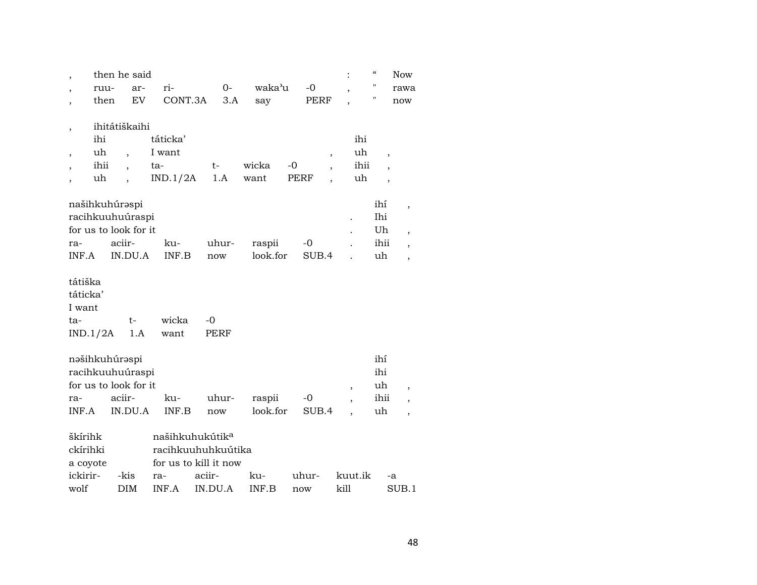|          |          | then he said          |                             |                       |          |           |         | $\epsilon\epsilon$<br><b>Now</b>      |  |
|----------|----------|-----------------------|-----------------------------|-----------------------|----------|-----------|---------|---------------------------------------|--|
|          | ruu-     | ar-                   | ri-                         | 0-                    | waka'u   | $-0$      |         | п<br>rawa                             |  |
| ,        | then     | EV                    | CONT.3A                     | 3.A                   | say      | PERF      |         | н<br>now                              |  |
|          |          |                       |                             |                       |          |           |         |                                       |  |
| ,        |          | ihitátiškaihi         |                             |                       |          |           |         |                                       |  |
|          | ihi      |                       | táticka'                    |                       |          |           | ihi     |                                       |  |
| ,        | uh       |                       | I want                      |                       |          | ,         | uh      | ,                                     |  |
|          | ihii     |                       | ta-                         | t-                    | wicka    | $-0$      | ihii    |                                       |  |
|          | uh       |                       | IND.1/2A                    | 1.A                   | want     | PERF<br>, | uh      | ,                                     |  |
|          |          | našihkuhúrəspi        |                             |                       |          |           |         | ihí                                   |  |
|          |          | racihkuuhuúraspi      |                             |                       |          |           |         | ,<br>Ihi                              |  |
|          |          | for us to look for it |                             |                       |          |           |         | Uh                                    |  |
| ra-      |          | aciir-                | ku-                         | uhur-                 | raspii   | $-0$      |         | ,<br>ihii<br>$\overline{\phantom{a}}$ |  |
| INF.A    |          | IN.DU.A               | INF.B                       | now                   | look.for | SUB.4     |         | uh<br>$\overline{\phantom{a}}$        |  |
|          |          |                       |                             |                       |          |           |         |                                       |  |
| tátiška  |          |                       |                             |                       |          |           |         |                                       |  |
| táticka' |          |                       |                             |                       |          |           |         |                                       |  |
| I want   |          |                       |                             |                       |          |           |         |                                       |  |
| ta-      |          | t-                    | wicka                       | $-0$                  |          |           |         |                                       |  |
|          | IND.1/2A | 1.A                   | want                        | PERF                  |          |           |         |                                       |  |
|          |          |                       |                             |                       |          |           |         |                                       |  |
|          |          | nəšihkuhúrəspi        |                             |                       |          |           |         | ihí                                   |  |
|          |          | racihkuuhuúraspi      |                             |                       |          |           |         | ihi                                   |  |
|          |          | for us to look for it |                             |                       |          |           | $\, ,$  | uh<br>$\overline{\phantom{a}}$        |  |
| ra-      |          | aciir-                | ku-                         | uhur-                 | raspii   | $-0$      | ,       | ihii<br>$\overline{\phantom{a}}$      |  |
| INF.A    |          | IN.DU.A               | INF.B                       | now                   | look.for | SUB.4     |         | uh                                    |  |
| škírihk  |          |                       | našihkuhukútik <sup>a</sup> |                       |          |           |         |                                       |  |
| ckírihki |          |                       |                             | racihkuuhuhkuútika    |          |           |         |                                       |  |
| a coyote |          |                       |                             | for us to kill it now |          |           |         |                                       |  |
| ickirir- |          | -kis                  | ra-                         | aciir-                | ku-      | uhur-     | kuut.ik | -a                                    |  |
| wolf     |          | DIM                   | INF.A                       | IN.DU.A               | INF.B    | now       | kill    | SUB.1                                 |  |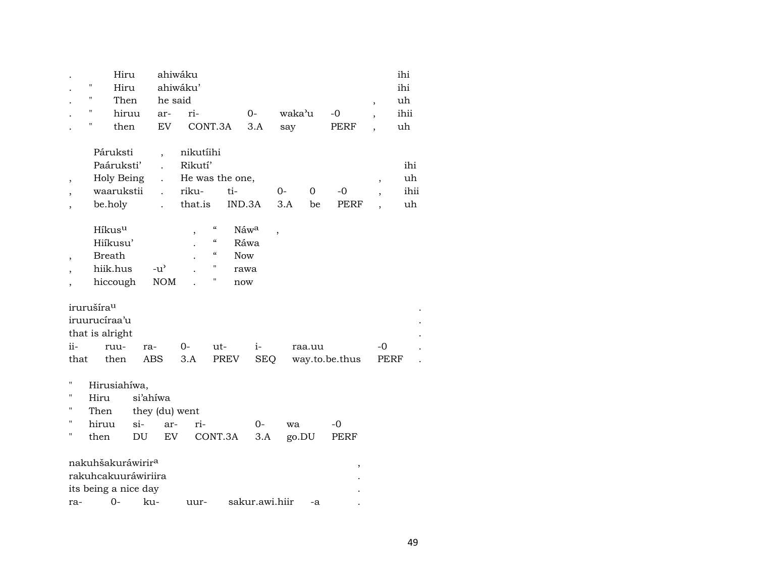|                                                          | 11<br>11<br>п<br>П                                                                   | Hiru<br>Hiru<br>Then<br>hiruu<br>then | he said<br>ar-<br>EV                                             | ahiwáku<br>ahiwáku'<br>ri-<br>CONT.3A                       |                                                                                                                  |                                                       | $O -$<br>3.A       | waka'u<br>say |                    | $-0$<br>PERF   | $\, ,$<br>,<br>,                                     | ihi<br>ihi<br>uh<br>ihii<br>uh |
|----------------------------------------------------------|--------------------------------------------------------------------------------------|---------------------------------------|------------------------------------------------------------------|-------------------------------------------------------------|------------------------------------------------------------------------------------------------------------------|-------------------------------------------------------|--------------------|---------------|--------------------|----------------|------------------------------------------------------|--------------------------------|
| $\overline{\phantom{a}}$                                 | Páruksti<br>Paáruksti'<br>be.holy                                                    | Holy Being<br>waarukstii              | $\overline{\phantom{a}}$<br>$\mathbf{r}$<br>$\ddot{\phantom{a}}$ | nikutíihi<br>Rikutí'<br>He was the one,<br>riku-<br>that.is |                                                                                                                  | ti-<br>IND.3A                                         |                    | $O -$<br>3.A  | $\mathbf{O}$<br>be | $-0$<br>PERF   | $\overline{\phantom{a}}$<br>$\overline{\phantom{a}}$ | ihi<br>uh<br>ihii<br>uh        |
| $\overline{\phantom{a}}$                                 | Híkus <sup>u</sup><br>Hiíkusu'<br><b>Breath</b><br>hiik.hus<br>hiccough              |                                       | $-u^{\prime}$<br><b>NOM</b>                                      |                                                             | $\boldsymbol{\zeta}\boldsymbol{\zeta}$<br>$\epsilon\epsilon$<br>$\boldsymbol{\zeta}\boldsymbol{\zeta}$<br>н<br>Π | Náw <sup>a</sup><br>Ráwa<br><b>Now</b><br>rawa<br>now |                    | ,             |                    |                |                                                      |                                |
| ii-<br>that                                              | irurušíra <sup>u</sup><br>iruurucíraa'u<br>that is alright<br>ruu-<br>then           | ra-                                   | ABS                                                              | $0-$<br>3.A                                                 | ut-                                                                                                              | PREV                                                  | $i-$<br><b>SEQ</b> |               | raa.uu             | way.to.be.thus | -0<br>PERF                                           |                                |
| П<br>$\pmb{\mathsf{H}}$<br>$\pmb{\mathsf{H}}$<br>11<br>П | Hirusiahíwa,<br>Hiru<br>Then<br>hiruu<br>then                                        | $si-$<br>DU                           | si'ahiwa<br>they (du) went<br>ar-<br>EV                          | ri-                                                         |                                                                                                                  | CONT.3A                                               | $0-$<br>3.A        | wa<br>go.DU   |                    | $-0$<br>PERF   |                                                      |                                |
| ra-                                                      | nakuhšakuráwirir <sup>a</sup><br>rakuhcakuuráwiriira<br>its being a nice day<br>$0-$ | ku-                                   |                                                                  | uur-                                                        |                                                                                                                  | sakur.awi.hiir                                        |                    |               | -a                 | ,              |                                                      |                                |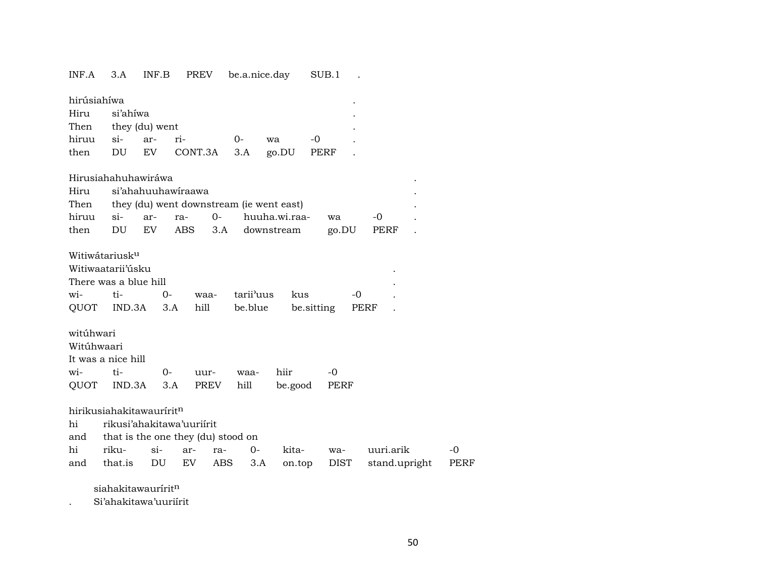INF.A 3.A INF.B PREV be.a.nice.day SUB.1 . hirúsiahíwa . Hiru si'ahíwa . Then they (du) went hiruu si- ar- ri- 0- wa -0 . then DU EV CONT.3A 3.A go.DU PERF . Hirusiahahuhawiráwa . Hiru si'ahahuuhawíraawa . Then they (du) went downstream (ie went east) hiruu si- ar- ra- 0- huuha.wi.raa- wa -0 . then DU EV ABS 3.A downstream go.DU PERF . Witiwátariusk<sup>u</sup> Witiwaatarii'úsku . There was a blue hill . wi- ti- 0- waa- tarii"uus kus -0 . QUOT IND.3A 3.A hill be.blue be.sitting PERF . witúhwari Witúhwaari It was a nice hill wi- ti- 0- uur- waa- hiir -0 QUOT IND.3A 3.A PREV hill be.good PERF hirikusiahakitawaurírit<sup>n</sup> hi rikusi'ahakitawa'uuriírit and that is the one they (du) stood on<br>his security of the contract of the contract of the contract of the contract of the contract of the contract of the contract of the contract of the contract of the contract of the con

|  |  |  |  | hi riku- si- ar- ra- 0- kita- wa- uuri.arik -0           |  |
|--|--|--|--|----------------------------------------------------------|--|
|  |  |  |  | and that.is DU EV ABS 3.A on.top DIST stand.upright PERF |  |

siahakitawaurírit<sup>n</sup>

. Si'ahakitawa'uuriírit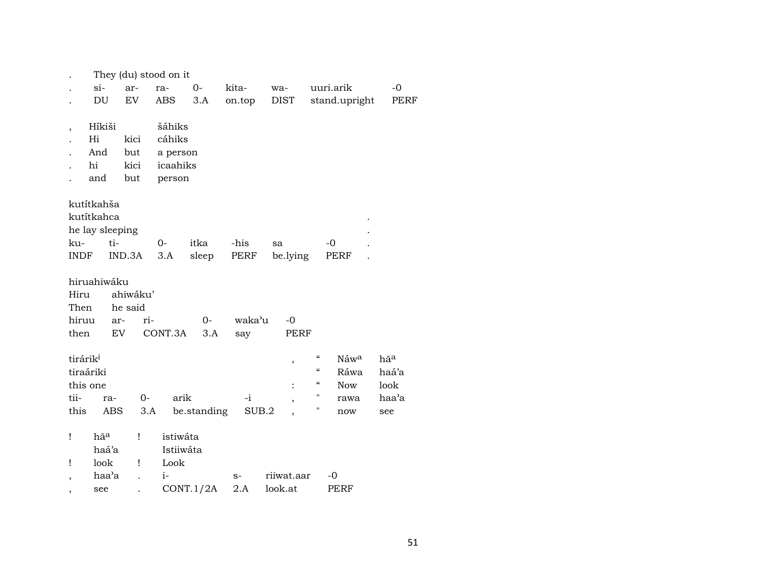|                      |                 |           | They (du) stood on it |             |        |                |                                                      |                 |  |  |
|----------------------|-----------------|-----------|-----------------------|-------------|--------|----------------|------------------------------------------------------|-----------------|--|--|
|                      | si-             | ar-       | ra-                   | $O -$       | kita-  | wa-            | uuri.arik                                            | $-0$            |  |  |
|                      | DU              | <b>EV</b> | ABS                   | 3.A         | on.top | DIST           | stand.upright                                        | PERF            |  |  |
|                      |                 |           |                       |             |        |                |                                                      |                 |  |  |
| ,                    | Híkiši          |           | šáhiks                |             |        |                |                                                      |                 |  |  |
|                      | Hi              | kici      | cáhiks                |             |        |                |                                                      |                 |  |  |
|                      | And             | but       | a person              |             |        |                |                                                      |                 |  |  |
|                      | hi              | kici      | icaahiks              |             |        |                |                                                      |                 |  |  |
|                      | and             | but       | person                |             |        |                |                                                      |                 |  |  |
|                      | kutítkahša      |           |                       |             |        |                |                                                      |                 |  |  |
|                      | kutítkahca      |           |                       |             |        |                |                                                      |                 |  |  |
|                      | he lay sleeping |           |                       |             |        |                |                                                      |                 |  |  |
| ku-                  | ti-             |           | $0-$                  | itka        | -his   | sa             | $-0$                                                 |                 |  |  |
| <b>INDF</b>          |                 | IND.3A    | 3.A                   | sleep       | PERF   | be.lying       | PERF                                                 |                 |  |  |
|                      |                 |           |                       |             |        |                |                                                      |                 |  |  |
|                      | hiruahiwáku     |           |                       |             |        |                |                                                      |                 |  |  |
| Hiru                 |                 | ahiwáku'  |                       |             |        |                |                                                      |                 |  |  |
| Then                 |                 | he said   |                       |             |        |                |                                                      |                 |  |  |
| hiruu                | ar-             | ri-       |                       | $0-$        | waka'u | $-0$           |                                                      |                 |  |  |
| then                 | <b>EV</b>       |           | CONT.3A               | 3.A         | say    | <b>PERF</b>    |                                                      |                 |  |  |
|                      |                 |           |                       |             |        |                |                                                      |                 |  |  |
| tirárik <sup>i</sup> |                 |           |                       |             |        | ,              | $\boldsymbol{\zeta}\boldsymbol{\zeta}$<br>Náwa       | hã <sup>a</sup> |  |  |
| tiraáriki            |                 |           |                       |             |        |                | $\boldsymbol{\zeta}\boldsymbol{\zeta}$<br>Ráwa       | haá'a           |  |  |
| this one             |                 |           |                       |             |        | $\ddot{\cdot}$ | $\boldsymbol{\zeta}\boldsymbol{\zeta}$<br><b>Now</b> | look            |  |  |
| tii-                 | ra-             | $0 -$     | arik                  |             | $-i$   | ,              | "<br>rawa                                            | haa'a           |  |  |
| this                 | ABS             | 3.A       |                       | be.standing | SUB.2  |                | Π<br>now                                             | see             |  |  |
|                      |                 |           |                       |             |        |                |                                                      |                 |  |  |
| Ţ                    | hã <sup>a</sup> | Ţ         | istiwáta              |             |        |                |                                                      |                 |  |  |
|                      | haá'a           |           | Istiiwáta             |             |        |                |                                                      |                 |  |  |
| Ţ                    | look            | Ţ         | Look                  |             |        |                |                                                      |                 |  |  |
| ,                    | haa'a           |           | $i-$                  |             | $S-$   | riiwat.aar     | -0                                                   |                 |  |  |
| see                  |                 |           |                       | CONT.1/2A   | 2.A    | look.at        | PERF                                                 |                 |  |  |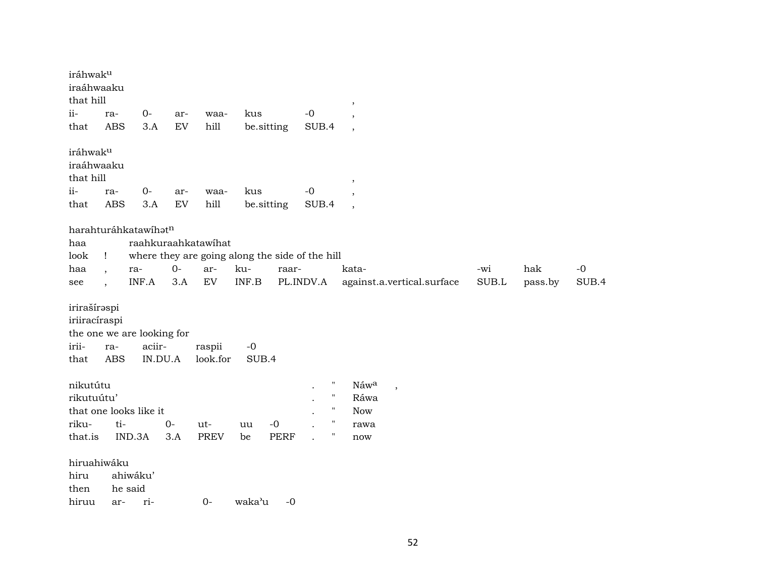| iráhwak <sup>u</sup><br>iraáhwaaku<br>that hill                |                                                 |                   |                            |                     |                                                 |             |                    | ,                         |                            |       |         |       |
|----------------------------------------------------------------|-------------------------------------------------|-------------------|----------------------------|---------------------|-------------------------------------------------|-------------|--------------------|---------------------------|----------------------------|-------|---------|-------|
| ii-                                                            | ra-                                             | $O -$             | ar-                        | waa-                | kus                                             |             | $-0$               |                           |                            |       |         |       |
| that                                                           | <b>ABS</b>                                      | 3.A               | $\mathop{\rm EV}\nolimits$ | hill                | be.sitting                                      |             | SUB.4              | $\overline{\phantom{a}}$  |                            |       |         |       |
| iráhwak <sup>u</sup><br>iraáhwaaku<br>that hill<br>ii-<br>that | ra-<br><b>ABS</b>                               | $0-$<br>3.A       | ar-<br>${\rm EV}$          | waa-<br>hill        | kus<br>be.sitting                               |             | $-0$<br>SUB.4      | $\cdot$<br>$\overline{ }$ |                            |       |         |       |
|                                                                | harahturáhkatawíhatn                            |                   |                            |                     |                                                 |             |                    |                           |                            |       |         |       |
| haa                                                            |                                                 |                   |                            | raahkuraahkatawihat |                                                 |             |                    |                           |                            |       |         |       |
| look                                                           | $\mathbf{I}$                                    |                   |                            |                     | where they are going along the side of the hill |             |                    |                           |                            |       |         |       |
| haa                                                            | ra-                                             |                   | $O -$                      | ar-                 | ku-                                             | raar-       |                    | kata-                     |                            | -wi   | hak     | $-0$  |
| see                                                            | $\overline{\phantom{a}}$                        | INF.A             | 3.A                        | ${\rm EV}$          | INF.B                                           |             | PL.INDV.A          |                           | against.a.vertical.surface | SUB.L | pass.by | SUB.4 |
| irirašíraspi<br>iriiracíraspi<br>irii-<br>that                 | the one we are looking for<br>ra-<br><b>ABS</b> | aciir-<br>IN.DU.A |                            | raspii<br>look.for  | $-0$<br>SUB.4                                   |             |                    |                           |                            |       |         |       |
| nikutútu                                                       |                                                 |                   |                            |                     |                                                 |             |                    | Náwa                      | $\overline{\phantom{a}}$   |       |         |       |
| rikutuútu'                                                     |                                                 |                   |                            |                     |                                                 |             | $\blacksquare$     | Ráwa                      |                            |       |         |       |
|                                                                | that one looks like it                          |                   |                            |                     |                                                 |             | $\pmb{\mathsf{H}}$ | <b>Now</b>                |                            |       |         |       |
| riku-                                                          | ti-                                             |                   | $0-$                       | ut-                 | uu                                              | $-0$        | $\pmb{\mathsf{H}}$ | rawa                      |                            |       |         |       |
| that.is                                                        | IND.3A                                          |                   | 3.A                        | PREV                | be                                              | <b>PERF</b> | $\pmb{\mathsf{H}}$ | now                       |                            |       |         |       |
| hiruahiwáku<br>hiru<br>then<br>hiruu                           | ahiwáku'<br>he said<br>ar-                      | ri-               |                            | $0-$                | waka'u                                          | $-0$        |                    |                           |                            |       |         |       |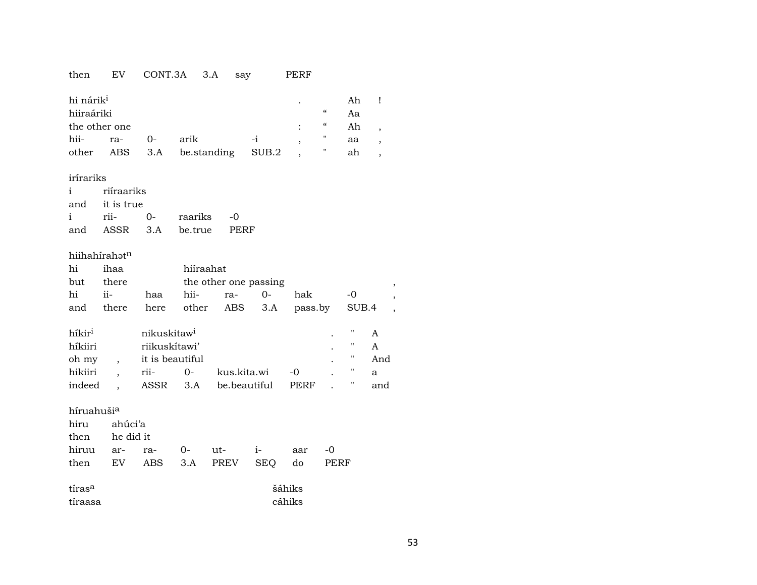# then EV CONT.3A 3.A say PERF

| hi nárik <sup>i</sup> |     |            |                           |      |  | Ah |  |
|-----------------------|-----|------------|---------------------------|------|--|----|--|
| hiiraáriki            |     | $\epsilon$ | Aa                        |      |  |    |  |
| the other one         |     | $\epsilon$ | Ah                        |      |  |    |  |
| hii-                  | ra- | $\Omega$   | arik                      | $-1$ |  | aa |  |
| other                 |     |            | ABS 3.A be.standing SUB.2 |      |  | ah |  |
|                       |     |            |                           |      |  |    |  |

### irírariks

|                | i riíraariks |                           |  |  |  |  |  |  |  |
|----------------|--------------|---------------------------|--|--|--|--|--|--|--|
| and it is true |              |                           |  |  |  |  |  |  |  |
|                |              | i rii- 0- raariks -0      |  |  |  |  |  |  |  |
|                |              | and ASSR 3.A be.true PERF |  |  |  |  |  |  |  |

### hiihahírah $\mathfrak{t}^{\mathrm{n}}$

| hi                     | ihaa    |                         |       | hiíraahat             |            |         |      |       |     |                          |  |
|------------------------|---------|-------------------------|-------|-----------------------|------------|---------|------|-------|-----|--------------------------|--|
| but                    | there   |                         |       | the other one passing |            |         |      |       |     | ,                        |  |
| hi                     | ii-     | haa                     | hii-  | ra-                   | 0-         | hak     |      | -0    |     | ,                        |  |
| and                    | there   | here                    | other | ABS                   | 3.A        | pass.by |      | SUB.4 |     | $\overline{\phantom{a}}$ |  |
|                        |         |                         |       |                       |            |         |      |       |     |                          |  |
| híkir <sup>i</sup>     |         | nikuskitaw <sup>i</sup> |       |                       |            |         |      | "     | A   |                          |  |
| híkiiri                |         | riikuskítawi'           |       |                       |            |         |      | "     | A   |                          |  |
| oh my                  |         | it is beautiful         |       |                       |            |         |      | "     | And |                          |  |
| hikiiri                |         | rii-                    | $0-$  | kus.kita.wi           |            | -0      |      | "     | a   |                          |  |
| indeed                 |         | ASSR                    | 3.A   | be beautiful          |            | PERF    |      | "     | and |                          |  |
|                        |         |                         |       |                       |            |         |      |       |     |                          |  |
| híruahuši <sup>a</sup> |         |                         |       |                       |            |         |      |       |     |                          |  |
| hiru                   | ahúci'a |                         |       |                       |            |         |      |       |     |                          |  |
| then                   |         | he did it               |       |                       |            |         |      |       |     |                          |  |
| hiruu                  | ar-     | ra-                     | 0-    | ut-                   | $i-$       | aar     | -0   |       |     |                          |  |
| then                   | EV      | ABS                     | 3.A   | <b>PREV</b>           | <b>SEQ</b> | do      | PERF |       |     |                          |  |

| tíras <sup>a</sup> | šáhiks |
|--------------------|--------|
| tíraasa            | cáhiks |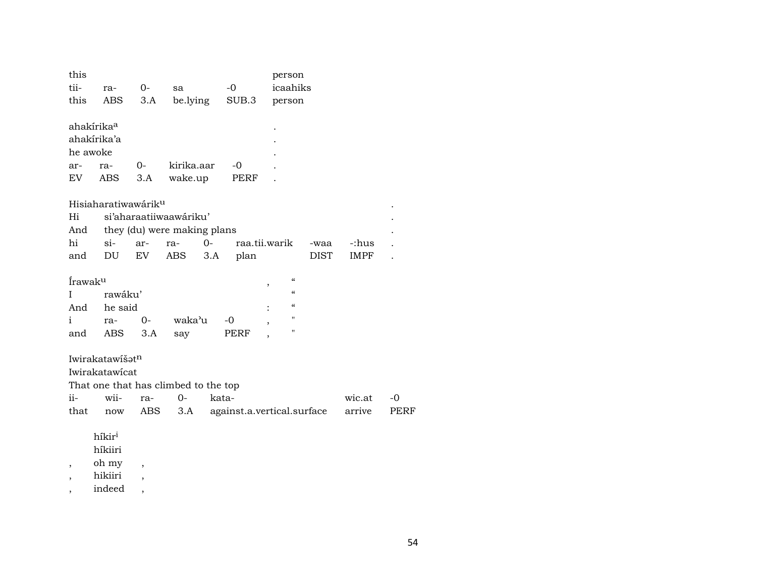| this<br>tii-<br>this                | ra-<br>ABS                                          | 0-<br>3.A                | sa<br>be.lying                                                      | $-0$<br>SUB.3        | person<br>icaahiks<br>person                                 |                  |              |
|-------------------------------------|-----------------------------------------------------|--------------------------|---------------------------------------------------------------------|----------------------|--------------------------------------------------------------|------------------|--------------|
| he awoke<br>ar-<br>EV               | ahakírika <sup>a</sup><br>ahakírika'a<br>ra-<br>ABS | $0-$<br>3.A              | kirika.aar<br>wake.up                                               | $-0$<br>PERF         |                                                              |                  |              |
| Hi<br>And<br>hi<br>and              | Hisiaharatiwawárik <sup>u</sup><br>$\sin$ -<br>DU   | ar-<br>EV                | si'aharaatiiwaawáriku'<br>they (du) were making plans<br>ra-<br>ABS | $0 -$<br>3.A<br>plan | raa.tii.warik<br>-waa<br>DIST                                | -:hus<br>IMPF    |              |
| Írawaku<br>L<br>$\mathbf{i}$<br>and | rawáku'<br>And he said<br>ra-<br>ABS                | $0-$<br>3.A              | waka'u<br>say                                                       | $-0$<br>PERF         | $\epsilon$<br>$\, ,$<br>$\epsilon$<br>$\epsilon$<br>11<br>11 |                  |              |
| ii-<br>that                         | Iwirakatawišatn<br>Iwirakatawicat<br>wii-<br>now    | ra-<br>ABS               | That one that has climbed to the top<br>$O -$<br>3.A                | kata-                | against.a.vertical.surface                                   | wic.at<br>arrive | $-0$<br>PERF |
| $\overline{\phantom{a}}$            | híkir <sup>i</sup><br>híkiiri<br>oh my<br>hikiiri   | $\overline{\phantom{a}}$ |                                                                     |                      |                                                              |                  |              |

, indeed ,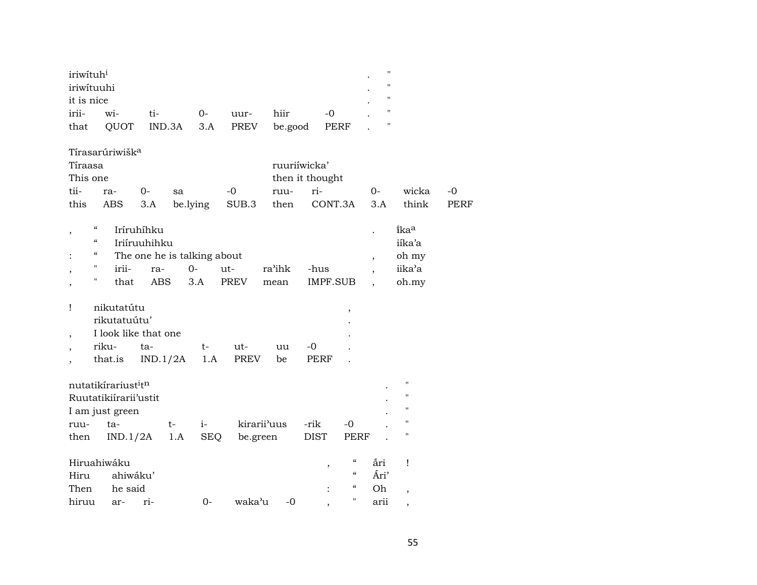| iriwituh <sup>i</sup> |     |     |      |      |                                   |      | $^{\prime\prime}$ |
|-----------------------|-----|-----|------|------|-----------------------------------|------|-------------------|
| iriwituuhi            |     |     |      |      |                                   |      | ,,                |
| it is nice            |     |     |      |      |                                   |      |                   |
| irii-                 | wi- | ti- | $O-$ | uur- | hiir                              | $-0$ |                   |
| that                  |     |     |      |      | QUOT IND.3A 3.A PREV be.good PERF |      |                   |

Tírasarúriwišk<sup>a</sup>

|          | Tíraasa     |  |    |      |                 | ruuriiwicka'                                 |    |          |      |  |  |  |
|----------|-------------|--|----|------|-----------------|----------------------------------------------|----|----------|------|--|--|--|
| This one |             |  |    |      | then it thought |                                              |    |          |      |  |  |  |
|          | tii- ra- 0- |  | sa | $-0$ |                 | ruu- ri-                                     | ∩– | wicka -0 |      |  |  |  |
|          |             |  |    |      |                 | this ABS 3.A be.lying SUB.3 then CONT.3A 3.A |    | think    | PERF |  |  |  |

| $\epsilon\epsilon$ | Iríruhíhku |                             |       |       |        |          | $\overline{\phantom{a}}$ | ika <sup>a</sup> |  |
|--------------------|------------|-----------------------------|-------|-------|--------|----------|--------------------------|------------------|--|
| $\epsilon\epsilon$ |            | Iriíruuhihku                |       |       |        |          |                          | iíka'a           |  |
| $\alpha$           |            | The one he is talking about |       | oh my |        |          |                          |                  |  |
| "                  | irii-      | ra-                         | $O -$ | ut-   | ra'ihk | -hus     |                          | iika'a           |  |
| "                  | that       | ABS                         | 3.A   | PREV  | mean   | IMPF.SUB |                          | oh.my            |  |

| nikutatútu   |                      |      |       |    |             |   |  |
|--------------|----------------------|------|-------|----|-------------|---|--|
| rikutatuútu' |                      |      |       |    |             | ٠ |  |
|              | I look like that one |      |       |    |             |   |  |
| riku-        | ta-                  | $t-$ | $ut-$ | uu | $-()$       |   |  |
| that.is      | $IND.1/2A$ 1.A PREV  |      |       | be | <b>PERF</b> |   |  |

| nutatikírariust <sup>i</sup> t <sup>n</sup> |          |       |     |            |                          |    |                      |                                                | ٠    | $^{\prime\prime}$ |
|---------------------------------------------|----------|-------|-----|------------|--------------------------|----|----------------------|------------------------------------------------|------|-------------------|
| Ruutatikiirarii'ustit                       |          |       |     |            |                          |    |                      |                                                | ٠    | $^{\prime\prime}$ |
| I am just green                             |          |       |     |            |                          |    |                      |                                                |      | $^{\prime\prime}$ |
| ruu-                                        | ta-      |       | t-  | $i-$       | kirarii <sup>3</sup> uus |    | -rik                 | $-0$                                           |      | $^{\prime\prime}$ |
| then                                        | IND.1/2A |       | 1.A | <b>SEQ</b> | be.green                 |    | DIST                 | PERF                                           |      | $^{\prime\prime}$ |
|                                             |          |       |     |            |                          |    |                      |                                                |      |                   |
| Hiruahiwáku                                 |          |       |     |            |                          |    | $\cdot$              | "                                              | ắri  | $\mathbf{I}$      |
| Hiru                                        | ahiwáku' |       |     |            |                          |    |                      | $\boldsymbol{\varsigma}\boldsymbol{\varsigma}$ | Ári' |                   |
| Then                                        | he said  |       |     |            |                          |    | $\ddot{\phantom{a}}$ | $\epsilon$                                     | Oh   |                   |
| hiruu                                       | ar-      | $ri-$ |     | $()$ -     | waka'u                   | -0 |                      | 11                                             | arii |                   |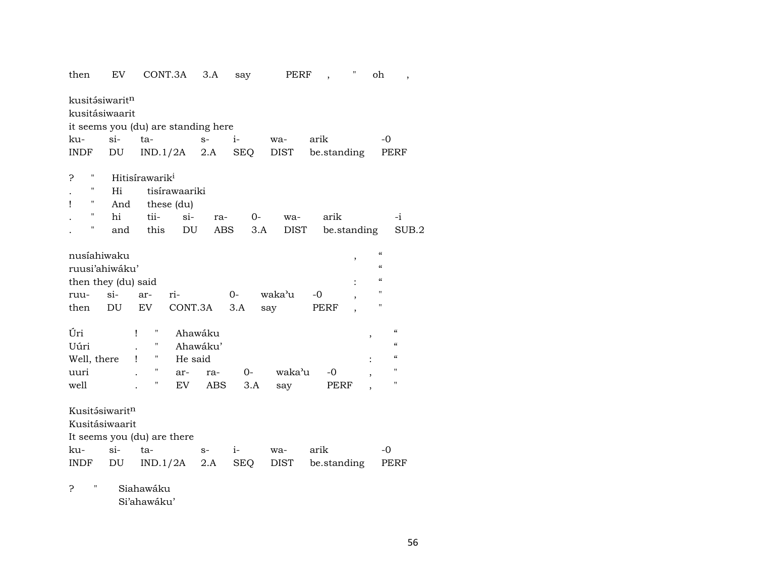| then                                         | EV     | CONT.3A                             | 3.A      | say        | PERF   | Н<br>$\overline{\phantom{a}}$ | oh<br>$\overline{\phantom{a}}$         |
|----------------------------------------------|--------|-------------------------------------|----------|------------|--------|-------------------------------|----------------------------------------|
| kusitásiwarit <sup>n</sup><br>kusitásiwaarit |        | it seems you (du) are standing here |          |            |        |                               |                                        |
| ku-                                          | $si-$  | ta-                                 | $S-$     | $i-$       |        | arik                          | -0                                     |
|                                              |        |                                     |          |            | wa-    |                               |                                        |
| INDF                                         | DU     | $IND.1/2A$ 2.A                      |          | SEQ        | DIST   | be.standing                   | PERF                                   |
| н<br>5                                       |        | Hitisírawarik <sup>i</sup>          |          |            |        |                               |                                        |
|                                              | Hi     | tisírawaariki                       |          |            |        |                               |                                        |
| "<br>Ţ                                       | And    | these (du)                          |          |            |        |                               |                                        |
| 11                                           | hi     | tii-<br>$\sin$                      | ra-      | 0-         | wa-    | arik                          | -i                                     |
| Н                                            | and    | this                                | DU       | ABS<br>3.A | DIST   | be.standing                   | SUB.2                                  |
|                                              |        |                                     |          |            |        |                               |                                        |
| nusíahiwaku                                  |        |                                     |          |            |        | ,                             | $\epsilon$                             |
| ruusi'ahiwáku'                               |        |                                     |          |            |        |                               | $\epsilon$                             |
| then they (du) said                          |        |                                     |          |            |        |                               | $\epsilon$                             |
| ruu-                                         | $si$ - | ri-<br>ar-                          |          | $0-$       | waka'u | -0                            | п                                      |
| then                                         | DU     | CONT.3A<br>EV                       |          | 3.A        | say    | PERF                          | 11                                     |
|                                              |        |                                     |          |            |        |                               |                                        |
| Úri                                          |        | Ħ<br>Ţ                              | Ahawáku  |            |        |                               | $\boldsymbol{\zeta}\boldsymbol{\zeta}$ |
| Uúri                                         |        | 11                                  | Ahawáku' |            |        |                               | $\epsilon$                             |
| Well, there                                  |        | н.<br>He said<br>Ţ                  |          |            |        |                               | $\pmb{\zeta}\pmb{\zeta}$               |
| uuri                                         |        | 11<br>ar-                           | ra-      | $O-$       | waka'u | -0                            | 11                                     |
| well                                         |        | Н<br>EV                             | ABS      | 3.A        | say    | PERF                          | $\pmb{\mathsf{H}}$                     |
|                                              |        |                                     |          |            |        |                               |                                        |
| Kusitásiwaritn                               |        |                                     |          |            |        |                               |                                        |
| Kusitásiwaarit                               |        |                                     |          |            |        |                               |                                        |
|                                              |        | It seems you (du) are there         |          |            |        |                               |                                        |
| ku-                                          | $\sin$ | ta-                                 | $S-$     | $i-$       | wa-    | arik                          | -0                                     |
| INDF                                         | DU     | IND.1/2A                            | 2.A      | SEQ        | DIST   | be.standing                   | PERF                                   |
|                                              |        |                                     |          |            |        |                               |                                        |
| 11<br>5                                      |        | Siahawáku                           |          |            |        |                               |                                        |

Si'ahawáku'

56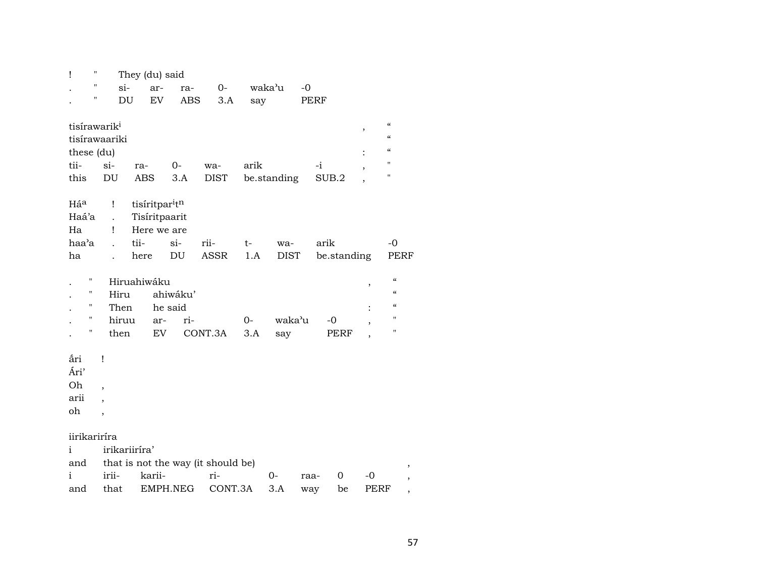| $\pmb{\mathsf{H}}$<br>Ţ                                    |                                    | They (du) said                               |                                                                        |                            |                                                      |             |               |             |              |                          |                                                                                       |
|------------------------------------------------------------|------------------------------------|----------------------------------------------|------------------------------------------------------------------------|----------------------------|------------------------------------------------------|-------------|---------------|-------------|--------------|--------------------------|---------------------------------------------------------------------------------------|
| $\blacksquare$                                             |                                    | si-                                          | ar-                                                                    | ra-                        | $0-$                                                 |             | waka'u        | $-0$        |              |                          |                                                                                       |
| $\pmb{\mathsf{H}}$                                         |                                    | DU                                           | <b>EV</b>                                                              | ABS                        | 3.A                                                  | say         |               |             | PERF         |                          |                                                                                       |
| tisírawarik <sup>i</sup><br>tisírawaariki<br>these (du)    |                                    |                                              |                                                                        |                            |                                                      |             |               |             |              | $\overline{\phantom{a}}$ | $\mathcal{C}$<br>$\boldsymbol{\zeta}\boldsymbol{\zeta}$<br>$\epsilon$                 |
| tii-                                                       | $si-$                              | ra-                                          |                                                                        | $0-$                       | wa-                                                  | arik        |               |             | $-i$         |                          | н                                                                                     |
| this                                                       | DU                                 | <b>ABS</b>                                   |                                                                        | 3.A                        | <b>DIST</b>                                          |             | be.standing   |             | SUB.2        |                          | H.                                                                                    |
| Háa<br>Haá'a<br>Ha<br>haa'a                                | İ<br>Ţ                             | tii-                                         | tisíritpar <sup>i</sup> t <sup>n</sup><br>Tisíritpaarit<br>Here we are | $si$ -                     | rii-                                                 | t-          | wa-           |             | arik         |                          | $-0$                                                                                  |
| ha                                                         |                                    | here                                         |                                                                        | $\mathop{\rm DU}\nolimits$ | <b>ASSR</b>                                          | 1.A         | <b>DIST</b>   |             | be.standing  |                          | PERF                                                                                  |
| $\blacksquare$<br>Ħ<br>п<br>$\blacksquare$<br>$\mathbf{H}$ |                                    | Hiruahiwáku<br>Hiru<br>Then<br>hiruu<br>then | he said<br>ar-<br><b>EV</b>                                            | ahiwáku'<br>ri-            | CONT.3A                                              | $0-$<br>3.A | waka'u<br>say |             | $-0$<br>PERF | $\, ,$                   | $\mathcal{C}$<br>$\mathcal{C}$<br>$\mathcal{C}$<br>$\pmb{\mathsf{H}}$<br>$\mathbf{H}$ |
| åri<br>Ári'<br>Oh<br>arii<br>oh                            | Î<br>,<br>$\overline{\phantom{a}}$ |                                              |                                                                        |                            |                                                      |             |               |             |              |                          |                                                                                       |
| iirikariríra<br>i<br>and<br>i<br>and                       | irii-<br>that                      | irikariiríra'                                | karii-<br>EMPH.NEG                                                     |                            | that is not the way (it should be)<br>ri-<br>CONT.3A |             | $0-$<br>3.A   | raa-<br>way | 0<br>be      | $-0$<br>PERF             |                                                                                       |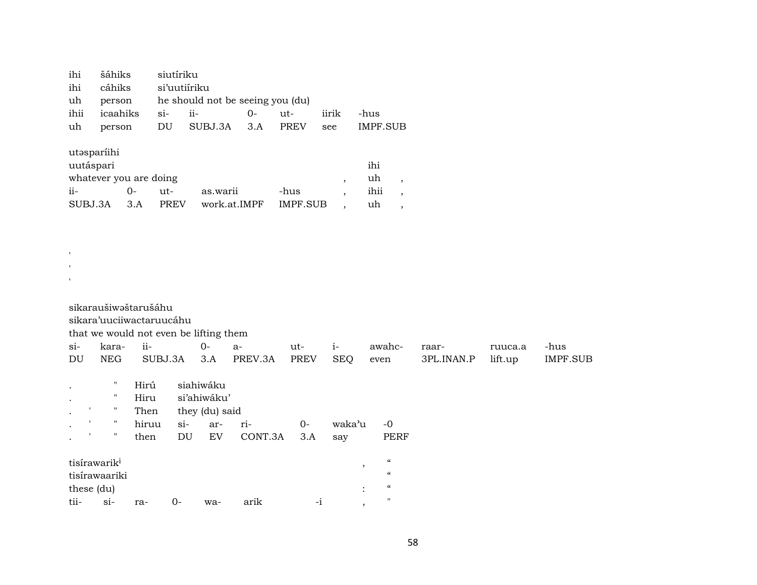| ihi šáhiks siutíriku    |                                            |  |      |
|-------------------------|--------------------------------------------|--|------|
| ihi cáhiks si'uutiíriku |                                            |  |      |
|                         | uh person he should not be seeing you (du) |  |      |
|                         |                                            |  | -hus |
|                         | uh person DU SUBJ.3A 3.A PREV see IMPF.SUB |  |      |
|                         |                                            |  |      |

utŸsparíihi

 $\mathbf{r}$ ' '

| ihi<br>uutáspari             |     |        |                       |      |  |      |  |  |  |
|------------------------------|-----|--------|-----------------------|------|--|------|--|--|--|
| whatever you are doing<br>uh |     |        |                       |      |  |      |  |  |  |
| $ii -$                       | ()  | $u$ t- | as.warii              | -hus |  | ihii |  |  |  |
| SUBJ.3A                      | 3 A | PREV   | work.at.IMPF IMPF.SUB |      |  | uh   |  |  |  |

| sikaraušiwəštarušáhu |  |  |
|----------------------|--|--|

sikara'uuciiwactaruucáhu

that we would not even be lifting them

| $Si-$<br>DU | kara-<br><b>NEG</b>      | ii-<br>SUBJ.3A |       | $0-$<br>3.A    | $a-$<br>PREV.3A | ut-<br><b>PREV</b> | $1-$<br><b>SEQ</b> | awahc-<br>even             | raar-<br>3PL.INAN.P | ruuca.a<br>lift.up | -hus<br>IMPF.SUB |
|-------------|--------------------------|----------------|-------|----------------|-----------------|--------------------|--------------------|----------------------------|---------------------|--------------------|------------------|
|             |                          |                |       |                |                 |                    |                    |                            |                     |                    |                  |
|             |                          | Hirú           |       | siahiwáku      |                 |                    |                    |                            |                     |                    |                  |
| $\bullet$   | "                        | Hiru           |       | si'ahiwáku'    |                 |                    |                    |                            |                     |                    |                  |
| $\bullet$   |                          | Then           |       | they (du) said |                 |                    |                    |                            |                     |                    |                  |
| $\bullet$   |                          | hiruu          | $si-$ | ar-            | ri-             | $O-$               | waka'u             | $-0$                       |                     |                    |                  |
|             | 11                       | then           | DU    | EV             | CONT.3A         | 3.A                | say                | PERF                       |                     |                    |                  |
|             | tisírawarik <sup>i</sup> |                |       |                |                 |                    |                    | $\boldsymbol{\mathcal{C}}$ |                     |                    |                  |
|             | tisírawaariki            |                |       |                |                 |                    | $\cdot$            | $\epsilon$                 |                     |                    |                  |
| these (du)  |                          |                |       |                |                 |                    | $\bullet$          | $\epsilon$                 |                     |                    |                  |
| tii-        | $si-$                    | ra-            | 0-    | wa-            | arik            | $-1$               |                    | $\mathbf{H}$               |                     |                    |                  |
|             |                          |                |       |                |                 |                    | $\cdot$            |                            |                     |                    |                  |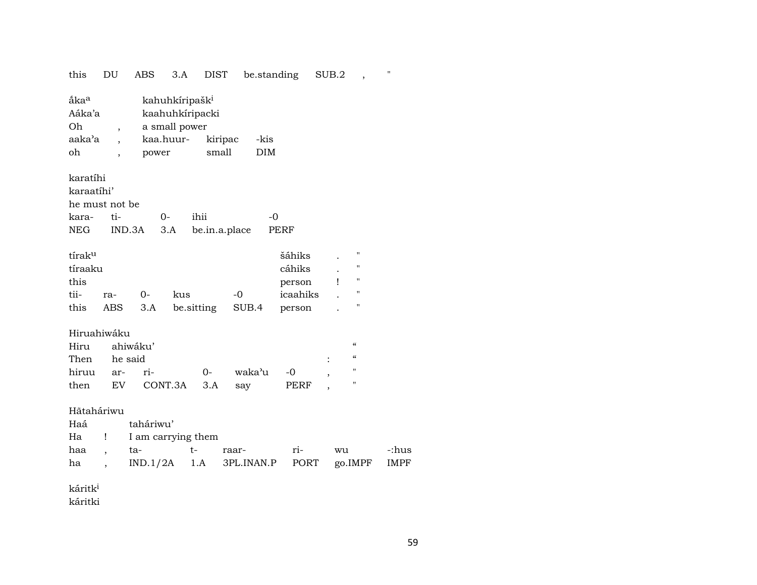| this                                                                                              | DU<br>ABS                               | 3.A                                                                                  | <b>DIST</b>      | be.standing         |                                                  | SUB.2 | $\overline{\phantom{a}}$                                                                       | $\mathbf{H}$  |
|---------------------------------------------------------------------------------------------------|-----------------------------------------|--------------------------------------------------------------------------------------|------------------|---------------------|--------------------------------------------------|-------|------------------------------------------------------------------------------------------------|---------------|
| ắka <sup>a</sup><br>Aáka'a<br>Oh<br>aaka'a<br>oh                                                  | $\overline{ }$                          | kahuhkíripašk <sup>i</sup><br>kaahuhkíripacki<br>a small power<br>kaa.huur-<br>power | kiripac<br>small | -kis<br>DIM         |                                                  |       |                                                                                                |               |
| karatíhi<br>karaatíhi'<br>he must not be                                                          |                                         |                                                                                      |                  |                     |                                                  |       |                                                                                                |               |
| kara-                                                                                             | ti-                                     | $0-$                                                                                 | ihii             | $-0$                |                                                  |       |                                                                                                |               |
| NEG                                                                                               | IND.3A                                  | 3.A                                                                                  | be.in.a.place    |                     | PERF                                             |       |                                                                                                |               |
| tírak <sup>u</sup><br>tíraaku<br>this<br>tii-<br>this                                             | $0-$<br>ra-<br>3.A<br>ABS               | kus                                                                                  | be.sitting       | $-0$<br>SUB.4       | šáhiks<br>cáhiks<br>person<br>icaahiks<br>person | Ţ     | "<br>"<br>11<br>"<br>"                                                                         |               |
| Hiruahiwáku<br>Hiru<br>Then<br>hiruu<br>then                                                      | ahiwáku'<br>he said<br>ri-<br>ar-<br>EV | CONT.3A                                                                              | $O-$<br>3.A      | waka'u<br>say       | -0<br>PERF                                       |       | $\mathcal{C}\mathcal{C}$<br>$\boldsymbol{\zeta}\boldsymbol{\zeta}$<br>11<br>$\pmb{\mathsf{H}}$ |               |
| Hãtaháriwu<br>Haá<br>Ha<br>Ţ<br>haa<br>$\overline{\phantom{a}}$<br>ha<br>$\overline{\phantom{a}}$ | taháriwu'<br>ta-                        | I am carrying them<br>IND.1/2A                                                       | $t-$<br>1.A      | raar-<br>3PL.INAN.P | ri-<br>PORT                                      | wu    | go.IMPF                                                                                        | -:hus<br>IMPF |

káritk $^{\rm i}$ 

káritki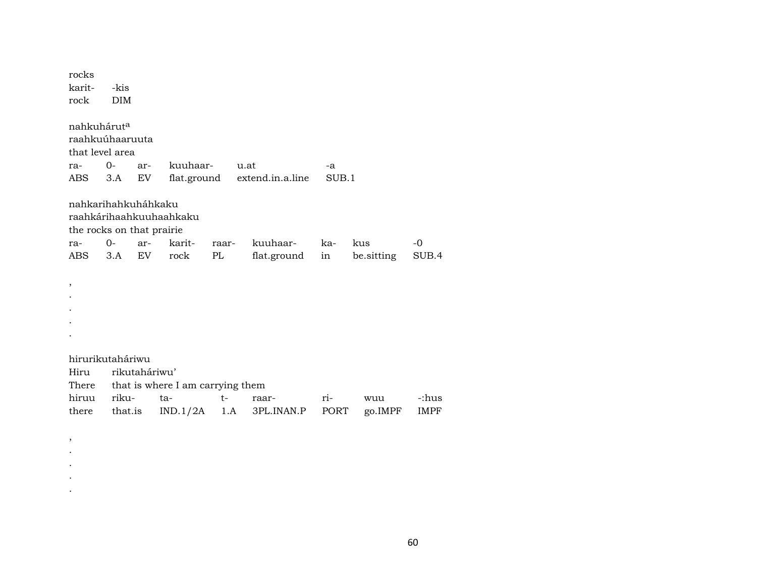| rocks                     |            |               |                                  |       |                  |       |            |       |
|---------------------------|------------|---------------|----------------------------------|-------|------------------|-------|------------|-------|
| karit-                    | -kis       |               |                                  |       |                  |       |            |       |
| rock                      | <b>DIM</b> |               |                                  |       |                  |       |            |       |
| nahkuhárut <sup>a</sup>   |            |               |                                  |       |                  |       |            |       |
| raahkuúhaaruuta           |            |               |                                  |       |                  |       |            |       |
| that level area           |            |               |                                  |       |                  |       |            |       |
| ra-                       | $O -$      | ar-           | kuuhaar-                         |       | u.at             | -a    |            |       |
| ABS                       | 3.A        | EV.           | flat.ground                      |       | extend.in.a.line | SUB.1 |            |       |
| nahkarihahkuháhkaku       |            |               |                                  |       |                  |       |            |       |
|                           |            |               | raahkárihaahkuuhaahkaku          |       |                  |       |            |       |
| the rocks on that prairie |            |               |                                  |       |                  |       |            |       |
| ra-                       | 0-         | ar-           | karit-                           | raar- | kuuhaar-         | ka-   | kus        | -0    |
| ABS                       | 3.A        | EV            | rock                             | PL    | flat.ground      | in    | be.sitting | SUB.4 |
|                           |            |               |                                  |       |                  |       |            |       |
| ,                         |            |               |                                  |       |                  |       |            |       |
|                           |            |               |                                  |       |                  |       |            |       |
|                           |            |               |                                  |       |                  |       |            |       |
|                           |            |               |                                  |       |                  |       |            |       |
|                           |            |               |                                  |       |                  |       |            |       |
| hirurikutaháriwu          |            |               |                                  |       |                  |       |            |       |
| Hiru                      |            | rikutaháriwu' |                                  |       |                  |       |            |       |
| There                     |            |               | that is where I am carrying them |       |                  |       |            |       |
| hiruu                     | riku-      |               | ta-                              | $t-$  | raar-            | ri-   | wuu        | -:hus |
|                           |            |               |                                  |       |                  |       |            |       |
| there                     | that.is    |               | IND.1/2A                         | 1.A   | 3PL.INAN.P       | PORT  | go.IMPF    | IMPF  |

, . . . .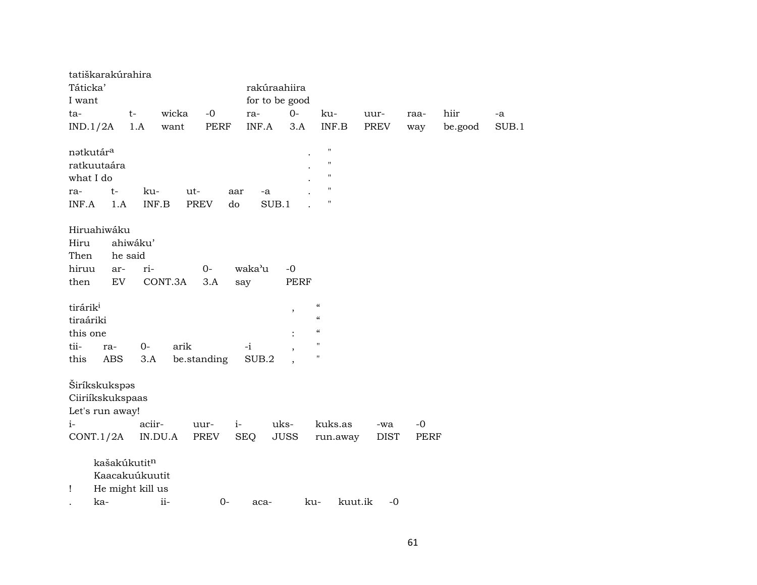| tatiškarakúrahira     |              |                  |         |                   |            |                |                            |                 |             |         |       |
|-----------------------|--------------|------------------|---------|-------------------|------------|----------------|----------------------------|-----------------|-------------|---------|-------|
| Táticka'              |              |                  |         |                   |            | rakúraahiira   |                            |                 |             |         |       |
| I want                |              |                  |         |                   |            | for to be good |                            |                 |             |         |       |
| ta-                   |              | t-               | wicka   | $-0$              | ra-        | $O -$          | ku-                        | uur-            | raa-        | hiir    | -a    |
|                       |              | 1.A              | want    | <b>PERF</b>       | INF.A      | 3.A            | INF.B                      | PREV            |             |         | SUB.1 |
| IND.1/2A              |              |                  |         |                   |            |                |                            |                 | way         | be.good |       |
| natkutár <sup>a</sup> |              |                  |         |                   |            |                | $\pmb{\mathsf{H}}$         |                 |             |         |       |
| ratkuutaára           |              |                  |         |                   |            |                | $\pmb{\mathsf{H}}$         |                 |             |         |       |
| what I do             |              |                  |         |                   |            |                | $\pmb{\mathsf{H}}$         |                 |             |         |       |
|                       | $t-$         | ku-              | ut-     |                   |            |                | $\pmb{\mathsf{H}}$         |                 |             |         |       |
| ra-                   |              |                  |         | aar               | -a         |                | $\pmb{\mathsf{H}}$         |                 |             |         |       |
| INF.A                 | 1.A          | INF.B            |         | <b>PREV</b><br>do |            | SUB.1          |                            |                 |             |         |       |
| Hiruahiwáku           |              |                  |         |                   |            |                |                            |                 |             |         |       |
| Hiru                  |              | ahiwáku'         |         |                   |            |                |                            |                 |             |         |       |
| Then                  | he said      |                  |         |                   |            |                |                            |                 |             |         |       |
|                       |              |                  |         |                   |            |                |                            |                 |             |         |       |
| hiruu                 | ar-          | ri-              |         | $0-$              | waka'u     | $-0$           |                            |                 |             |         |       |
| then                  | <b>EV</b>    |                  | CONT.3A | 3.A               | say        | <b>PERF</b>    |                            |                 |             |         |       |
| tirárik <sup>i</sup>  |              |                  |         |                   |            |                | $\epsilon\epsilon$         |                 |             |         |       |
| tiraáriki             |              |                  |         |                   |            | $\, ,$         | $\boldsymbol{\mathcal{C}}$ |                 |             |         |       |
|                       |              |                  |         |                   |            |                | $\epsilon\epsilon$         |                 |             |         |       |
| this one              |              |                  |         |                   |            |                | $\mathbf{H}$               |                 |             |         |       |
| tii-                  | ra-          | $0-$             | arik    |                   | $-i$       |                |                            |                 |             |         |       |
| this                  | ABS          | 3.A              |         | be.standing       | SUB.2      |                | Ħ                          |                 |             |         |       |
|                       |              |                  |         |                   |            |                |                            |                 |             |         |       |
| Širíkskukspas         |              |                  |         |                   |            |                |                            |                 |             |         |       |
| Ciiriíkskukspaas      |              |                  |         |                   |            |                |                            |                 |             |         |       |
| Let's run away!       |              |                  |         |                   |            |                |                            |                 |             |         |       |
| $i-$                  |              | aciir-           |         | $i-$<br>uur-      |            | uks-           | kuks.as                    | -wa             | $-0$        |         |       |
| CONT.1/2A             |              | IN.DU.A          |         | PREV              | <b>SEQ</b> | <b>JUSS</b>    | run.away                   | <b>DIST</b>     | <b>PERF</b> |         |       |
|                       |              |                  |         |                   |            |                |                            |                 |             |         |       |
|                       | kašakúkutitn |                  |         |                   |            |                |                            |                 |             |         |       |
|                       |              | Kaacakuúkuutit   |         |                   |            |                |                            |                 |             |         |       |
| Ţ                     |              | He might kill us |         |                   |            |                |                            |                 |             |         |       |
| ka-                   |              | ii-              |         | $0-$              | aca-       |                | ku-                        | kuut.ik<br>$-0$ |             |         |       |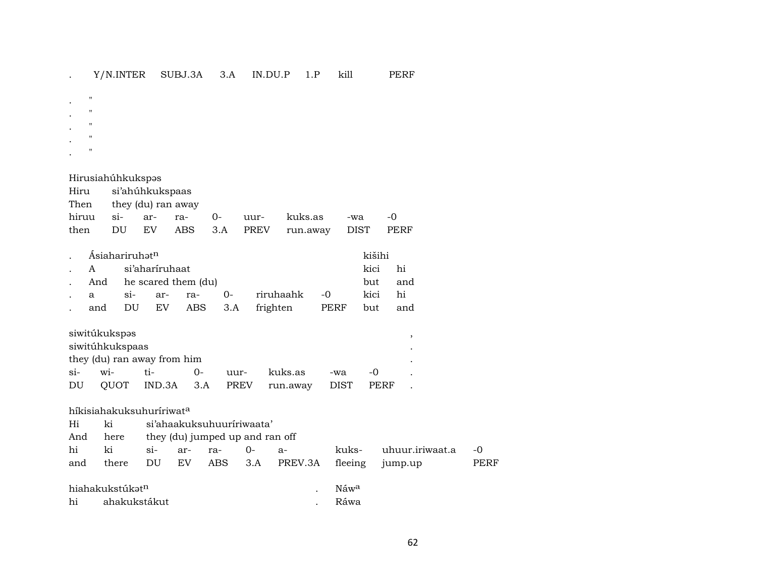. " . " . " . " . "

## Hirusiahúhkukspəs

| Hiru si'ahúhkukspaas |                         |  |  |  |                                            |  |       |  |  |
|----------------------|-------------------------|--|--|--|--------------------------------------------|--|-------|--|--|
|                      | Then they (du) ran away |  |  |  |                                            |  |       |  |  |
|                      |                         |  |  |  | hiruu si- ar- ra- 0- uur- kuks.as -wa      |  | $-()$ |  |  |
|                      |                         |  |  |  | then DU EV ABS 3.A PREV run.away DIST PERF |  |       |  |  |

| Asiahariruhət <sup>n</sup> | kišihi |                    |                                    |                                 |  |         |     |  |  |
|----------------------------|--------|--------------------|------------------------------------|---------------------------------|--|---------|-----|--|--|
| . A si'aharíruhaat         |        |                    |                                    |                                 |  | kici hi |     |  |  |
|                            |        |                    | . And he scared them $(du)$<br>but |                                 |  |         |     |  |  |
|                            |        | . a si- ar- ra- 0- |                                    | riruhaahk -0                    |  | kici    | hi  |  |  |
|                            |        |                    |                                    | and DU EV ABS 3.A frighten PERF |  | but     | and |  |  |

|    | siwitúkukspəs   |                             |          |      |                                         |     |       |  |
|----|-----------------|-----------------------------|----------|------|-----------------------------------------|-----|-------|--|
|    | siwitúhkukspaas |                             |          |      |                                         |     |       |  |
|    |                 | they (du) ran away from him |          |      |                                         |     |       |  |
|    | si- wi-         | ti-                         | $\Omega$ | uur- | kuks.as                                 | -wa | $-()$ |  |
| DU |                 |                             |          |      | QUOT IND.3A 3.A PREV run.away DIST PERF |     |       |  |

| Hi<br>And | híkisiahakuksuhuríriwat <sup>a</sup><br>ki<br>here |              |           | si'ahaakuksuhuuririwaata'<br>they (du) jumped up and ran off |                 |                 |                          |                            |            |
|-----------|----------------------------------------------------|--------------|-----------|--------------------------------------------------------------|-----------------|-----------------|--------------------------|----------------------------|------------|
| hi<br>and | ki<br>there                                        | $\sin$<br>DU | ar-<br>EV | ra-                                                          | $0-$<br>ABS 3.A | $a-$<br>PREV.3A | kuks-<br>fleeing         | uhuur.iriwaat.a<br>jump.up | -0<br>PERF |
| hi        | hiahakukstúkət <sup>n</sup><br>ahakukstákut        |              |           |                                                              |                 |                 | Náw <sup>a</sup><br>Ráwa |                            |            |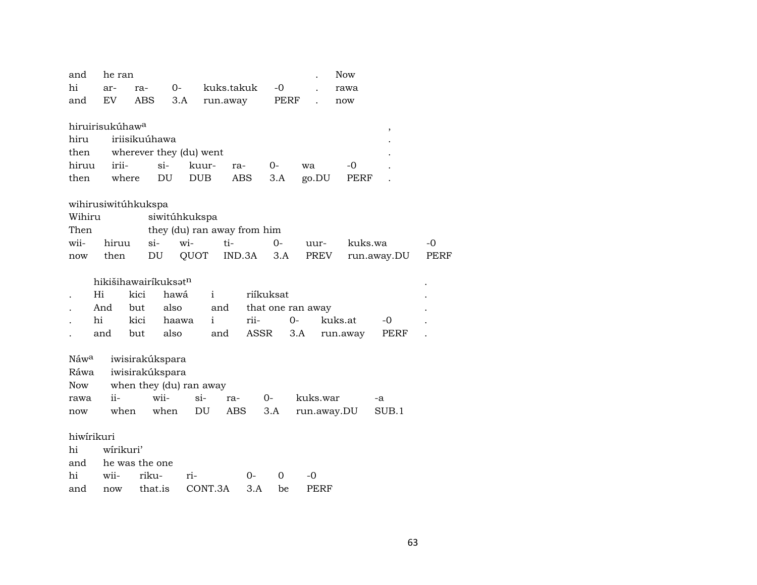| and                      | he ran                      |                                    |                             |                   |            |       |                   | <b>Now</b> |             |             |
|--------------------------|-----------------------------|------------------------------------|-----------------------------|-------------------|------------|-------|-------------------|------------|-------------|-------------|
| hi                       | ar-                         | ra-                                | $0-$                        | kuks.takuk        |            | $-0$  |                   | rawa       |             |             |
| and                      | EV.                         | ABS                                | 3.A                         | run.away          |            | PERF  |                   | now        |             |             |
|                          |                             |                                    |                             |                   |            |       |                   |            |             |             |
|                          | hiruirisukúhaw <sup>a</sup> |                                    |                             |                   |            |       |                   |            | ,           |             |
| hiru                     |                             | iriisikuúhawa                      |                             |                   |            |       |                   |            |             |             |
| then                     |                             |                                    | wherever they (du) went     |                   |            |       |                   |            |             |             |
| hiruu                    | irii-                       | si-                                | kuur-                       | ra-               |            | $0-$  | wa                | $-0$       |             |             |
| then                     | where                       |                                    | DU<br><b>DUB</b>            |                   | <b>ABS</b> | 3.A   | go.DU             | PERF       |             |             |
|                          |                             | wihirusiwitúhkukspa                |                             |                   |            |       |                   |            |             |             |
| Wihiru                   |                             |                                    | siwitúhkukspa               |                   |            |       |                   |            |             |             |
| Then                     |                             |                                    | they (du) ran away from him |                   |            |       |                   |            |             |             |
| wii-                     | hiruu                       | $si-$                              | wi-                         | ti-               |            | $O -$ | uur-              | kuks.wa    |             | $-0$        |
| now                      | then                        | DU                                 | QUOT                        |                   | IND.3A     | 3.A   | PREV              |            | run.away.DU | <b>PERF</b> |
|                          |                             |                                    |                             |                   |            |       |                   |            |             |             |
|                          |                             | hikišihawairíkuksat <sup>n</sup>   |                             |                   |            |       |                   |            |             |             |
|                          | Hi                          | kici                               | hawá                        | $\mathbf{i}$      | riíkuksat  |       |                   |            |             |             |
|                          | And                         | but                                | also                        | and               |            |       | that one ran away |            |             |             |
| hi                       |                             | kici                               | haawa                       | i                 | rii-       |       | $0-$              | kuks.at    | -0          |             |
|                          | and                         | but                                | also                        | and               | ASSR       |       | 3.A               | run.away   | PERF        |             |
|                          |                             |                                    |                             |                   |            |       |                   |            |             |             |
| Náw <sup>a</sup><br>Ráwa |                             | iwisirakúkspara<br>iwisirakúkspara |                             |                   |            |       |                   |            |             |             |
| Now                      |                             |                                    | when they (du) ran away     |                   |            |       |                   |            |             |             |
|                          | ii-                         | wii-                               | $si-$                       |                   | $0-$       |       | kuks.war          |            |             |             |
| rawa                     | when                        |                                    | when<br>DU                  | ra-<br><b>ABS</b> |            | 3.A   | run.away.DU       |            | -a<br>SUB.1 |             |
| now                      |                             |                                    |                             |                   |            |       |                   |            |             |             |
| hiwírikuri               |                             |                                    |                             |                   |            |       |                   |            |             |             |
| hi                       | wírikuri'                   |                                    |                             |                   |            |       |                   |            |             |             |
| and                      |                             | he was the one                     |                             |                   |            |       |                   |            |             |             |
| hi                       | wii-                        | riku-                              | ri-                         |                   | $0-$       | 0     | -0                |            |             |             |
| and                      | now                         | that.is                            |                             | CONT.3A           | 3.A        | be    | PERF              |            |             |             |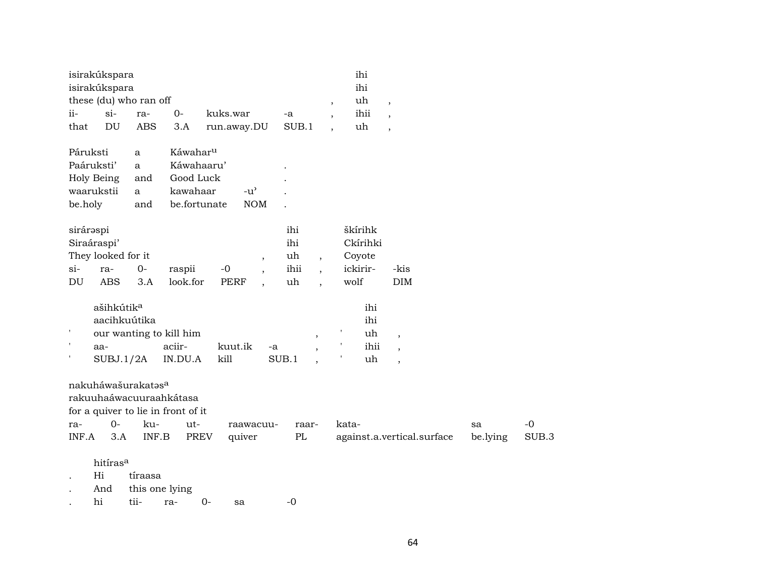| isirakúkspara                                                                       |            |                         |                          |            |                          | ihi                      |            |                            |          |       |
|-------------------------------------------------------------------------------------|------------|-------------------------|--------------------------|------------|--------------------------|--------------------------|------------|----------------------------|----------|-------|
| isirakúkspara                                                                       |            |                         |                          |            |                          | ihi                      |            |                            |          |       |
| these (du) who ran off                                                              |            |                         |                          |            |                          | $\overline{ }$           | uh         | $\overline{\phantom{a}}$   |          |       |
| $si-$<br>ii-                                                                        | ra-        | $0-$                    | kuks.war                 | -a         |                          | $\overline{\phantom{a}}$ | ihii       | $\overline{\phantom{a}}$   |          |       |
| DU<br>that                                                                          | <b>ABS</b> | 3.A                     | run.away.DU              | SUB.1      |                          | uh                       |            | $\overline{\phantom{a}}$   |          |       |
| Páruksti                                                                            | a          | Káwahar <sup>u</sup>    |                          |            |                          |                          |            |                            |          |       |
| Paáruksti'                                                                          | a          | Káwahaaru'              |                          |            |                          |                          |            |                            |          |       |
| Holy Being                                                                          | and        | Good Luck               |                          |            |                          |                          |            |                            |          |       |
| waarukstii                                                                          | a          | kawahaar                | $-u^{\prime}$            |            |                          |                          |            |                            |          |       |
| be.holy                                                                             | and        | be.fortunate            | <b>NOM</b>               |            |                          |                          |            |                            |          |       |
| sirárəspi<br>Siraáraspi'                                                            |            |                         |                          | ihi<br>ihi |                          | škírihk                  | Ckírihki   |                            |          |       |
| They looked for it                                                                  |            |                         | $\overline{\phantom{a}}$ | uh         | $\overline{ }$ ,         | Coyote                   |            |                            |          |       |
| $si-$<br>ra-                                                                        | $0-$       | raspii                  | $-0$                     | ihii       | $\ddot{\phantom{0}}$     | ickirir-                 |            | -kis                       |          |       |
| <b>ABS</b><br>DU                                                                    | 3.A        | look.for                | <b>PERF</b>              | uh         |                          | wolf                     |            | <b>DIM</b>                 |          |       |
| ašihkútik <sup>a</sup><br>aacihkuútika                                              |            |                         |                          |            |                          |                          | ihi<br>ihi |                            |          |       |
| $\pmb{\mathsf{I}}$                                                                  |            | our wanting to kill him |                          |            | $\, ,$                   |                          | uh         | $\overline{\phantom{a}}$   |          |       |
| $\pmb{\mathfrak{y}}$<br>aa-                                                         |            | aciir-                  | kuut.ik                  | -a         | $\overline{\phantom{a}}$ |                          | ihii       | $\overline{\phantom{a}}$   |          |       |
| SUBJ.1/2A                                                                           |            | IN.DU.A                 | kill                     | SUB.1      |                          |                          | uh         | $\cdot$                    |          |       |
| nakuháwašurakatasa<br>rakuuhaáwacuuraahkátasa<br>for a quiver to lie in front of it |            |                         |                          |            |                          |                          |            |                            |          |       |
| $0-$<br>ra-                                                                         | ku-        | ut-                     | raawacuu-                |            | raar-                    | kata-                    |            |                            | sa       | $-0$  |
| INF.A<br>3.A                                                                        | INF.B      | PREV                    | quiver                   | PL         |                          |                          |            | against.a.vertical.surface | be.lying | SUB.3 |
| hitíras <sup>a</sup><br>Hi                                                          | tiraasa    |                         |                          |            |                          |                          |            |                            |          |       |

. And this one lying

. hi tii- ra- 0- sa -0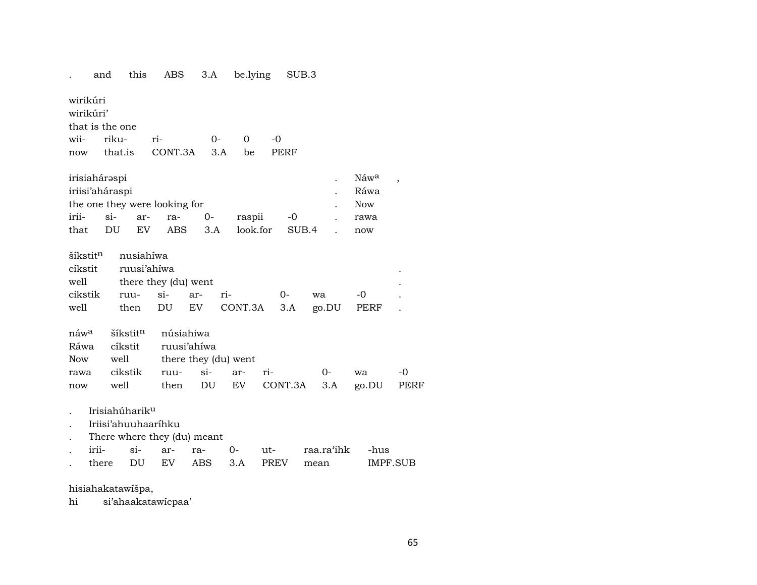. and this ABS 3.A be.lying SUB.3

wirikúri wirikúri' that is the one

wii- riku- ri- 0- 0 -0 now that.is CONT.3A 3.A be PERF

| irisiahárəspi   |    |    |                               |  |          |       |  | Náw <sup>a</sup> |  |
|-----------------|----|----|-------------------------------|--|----------|-------|--|------------------|--|
| iriisi'aháraspi |    |    |                               |  |          |       |  |                  |  |
|                 |    |    | the one they were looking for |  |          |       |  | <b>Now</b>       |  |
|                 |    |    | irii- si- ar- ra- 0-          |  | raspii   | -0    |  | rawa             |  |
| that            | DU | EV | ABS 3.A                       |  | look.for | SUB.4 |  | now              |  |

| well then DU EV CONT.3A 3.A go.DU PERF . |
|------------------------------------------|

| náw <sup>a</sup> šíkstit <sup>n</sup> núsiahiwa |  |                                            |  |  |
|-------------------------------------------------|--|--------------------------------------------|--|--|
| Ráwa cíkstit ruusi'ahíwa                        |  |                                            |  |  |
| Now well there they (du) went                   |  |                                            |  |  |
|                                                 |  | rawa cikstik ruu- si- ar- ri-   0- wa  -0  |  |  |
|                                                 |  | now well then DU EV CONT.3A 3.A go.DU PERF |  |  |

. Irisiahúharik<sup>u</sup>

- . Iriisi'ahuuhaaríhku
- . There where they (du) meant

| $1111 -$ | $S1-$ | $-$ ar- $-$ | ra- | 11t                           | raa.ra'ihk | -hus     |
|----------|-------|-------------|-----|-------------------------------|------------|----------|
|          |       |             |     | there DU EV ABS 3.A PREV mean |            | IMPF.SUB |

hisiahakatawíšpa,

hi si'ahaakatawícpaa'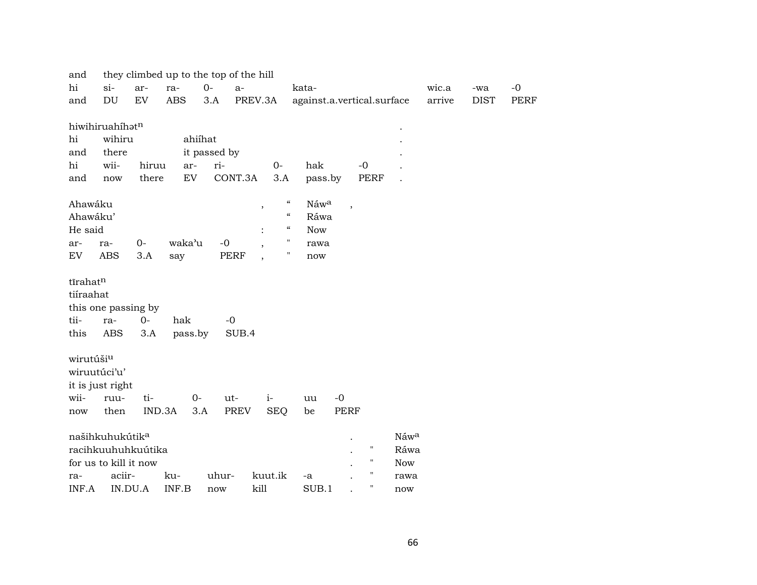| and       |                             |         | they climbed up to the top of the hill |              |             |                                          |                            |                          |                    |            |        |             |             |
|-----------|-----------------------------|---------|----------------------------------------|--------------|-------------|------------------------------------------|----------------------------|--------------------------|--------------------|------------|--------|-------------|-------------|
| hi        | $si-$                       | ar-     | ra-                                    | $0-$         | $a-$        |                                          | kata-                      |                          |                    |            | wic.a  | -wa         | $-0$        |
| and       | DU                          | EV      | <b>ABS</b>                             | 3.A          | PREV.3A     |                                          | against.a.vertical.surface |                          |                    |            | arrive | <b>DIST</b> | <b>PERF</b> |
|           | hiwihiruahíhatn             |         |                                        |              |             |                                          |                            |                          |                    |            |        |             |             |
| hi        | wihiru                      |         |                                        | ahiíhat      |             |                                          |                            |                          |                    |            |        |             |             |
| and       | there                       |         |                                        | it passed by |             |                                          |                            |                          |                    |            |        |             |             |
| hi        | wii-                        | hiruu   | ar-                                    | ri-          |             | $0-$                                     | hak                        |                          | $-0$               |            |        |             |             |
| and       | now                         | there   | $\mathop{\rm EV}\nolimits$             |              | CONT.3A     | 3.A                                      | pass.by                    |                          | <b>PERF</b>        |            |        |             |             |
| Ahawáku   |                             |         |                                        |              |             | $\boldsymbol{\mathcal{C}}$<br>$\, ,$     | Náwa                       | $\overline{\phantom{a}}$ |                    |            |        |             |             |
| Ahawáku'  |                             |         |                                        |              |             | $\boldsymbol{\mathcal{C}}$               | Ráwa                       |                          |                    |            |        |             |             |
| He said   |                             |         |                                        |              |             | $\epsilon\epsilon$                       | <b>Now</b>                 |                          |                    |            |        |             |             |
| ar-       | ra-                         | $O -$   | waka'u                                 | $-0$         |             | $\mathbf{H}$<br>$\overline{\phantom{a}}$ | rawa                       |                          |                    |            |        |             |             |
| EV        | <b>ABS</b>                  | 3.A     | say                                    |              | PERF        | н<br>$\overline{\phantom{a}}$            | $\operatorname{now}$       |                          |                    |            |        |             |             |
| tīrahatn  |                             |         |                                        |              |             |                                          |                            |                          |                    |            |        |             |             |
| tiíraahat |                             |         |                                        |              |             |                                          |                            |                          |                    |            |        |             |             |
|           | this one passing by         |         |                                        |              |             |                                          |                            |                          |                    |            |        |             |             |
| tii-      | ra-                         | $0-$    | hak                                    |              | $-0$        |                                          |                            |                          |                    |            |        |             |             |
| this      | ABS                         | 3.A     | pass.by                                |              | SUB.4       |                                          |                            |                          |                    |            |        |             |             |
| wirutúšiu |                             |         |                                        |              |             |                                          |                            |                          |                    |            |        |             |             |
|           | wiruutúci'u'                |         |                                        |              |             |                                          |                            |                          |                    |            |        |             |             |
|           | it is just right            |         |                                        |              |             |                                          |                            |                          |                    |            |        |             |             |
| wii-      | ruu-                        | ti-     | $0 -$                                  |              | ut-         | $i-$                                     | uu                         | $-0$                     |                    |            |        |             |             |
| now       | then                        | IND.3A  |                                        | 3.A          | <b>PREV</b> | <b>SEQ</b>                               | be                         | <b>PERF</b>              |                    |            |        |             |             |
|           | našihkuhukútik <sup>a</sup> |         |                                        |              |             |                                          |                            |                          |                    | Náwa       |        |             |             |
|           | racihkuuhuhkuútika          |         |                                        |              |             |                                          |                            |                          | $\pmb{\mathsf{H}}$ | Ráwa       |        |             |             |
|           | for us to kill it now       |         |                                        |              |             |                                          |                            |                          | П                  | <b>Now</b> |        |             |             |
| ra-       | aciir-                      |         | ku-                                    | uhur-        |             | kuut.ik                                  | -a                         |                          | П                  | rawa       |        |             |             |
| INF.A     |                             | IN.DU.A | INF.B                                  | now          | kill        |                                          | SUB.1                      |                          | Ħ                  | now        |        |             |             |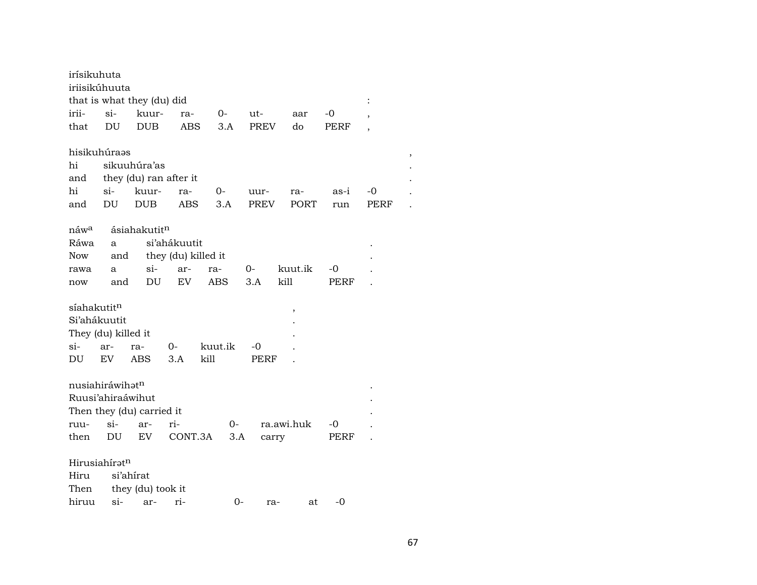| irísikuhuta             |                     |                            |                     |                |             |            |      |                |  |
|-------------------------|---------------------|----------------------------|---------------------|----------------|-------------|------------|------|----------------|--|
|                         | iriisikúhuuta       |                            |                     |                |             |            |      |                |  |
|                         |                     | that is what they (du) did |                     |                |             |            |      | $\ddot{\cdot}$ |  |
| irii-                   | $\sin$              | kuur-                      | ra-                 | 0-             | ut-         | aar        | -0   | $\overline{ }$ |  |
| that                    | DU                  | <b>DUB</b>                 | ABS                 | 3.A            | <b>PREV</b> | do         | PERF | $\overline{ }$ |  |
|                         | hisikuhúraas        |                            |                     |                |             |            |      |                |  |
| hi                      |                     | sikuuhúra'as               |                     |                |             |            |      |                |  |
| and                     |                     | they (du) ran after it     |                     |                |             |            |      |                |  |
| hi                      | $si-$               | kuur-                      | ra-                 | 0-             | uur-        | ra-        | as-i | -0             |  |
| and                     | DU.                 | <b>DUB</b>                 | <b>ABS</b>          | 3.A            | PREV        | PORT       | run  | PERF           |  |
|                         |                     |                            |                     |                |             |            |      |                |  |
| náw <sup>a</sup>        |                     | ásiahakutit <sup>n</sup>   |                     |                |             |            |      |                |  |
| Ráwa                    | a                   |                            | si'ahákuutit        |                |             |            |      |                |  |
| Now                     | and                 |                            | they (du) killed it |                |             |            |      |                |  |
| rawa                    | a                   | $\sin$                     | ar-                 | ra-            | 0-          | kuut.ik    | -0   |                |  |
| now                     | and                 | DU                         | EV                  | ABS            | 3.A         | kill       | PERF |                |  |
|                         |                     |                            |                     |                |             |            |      |                |  |
| síahakutit <sup>n</sup> |                     |                            |                     |                |             | ,          |      |                |  |
|                         | Si'ahákuutit        |                            |                     |                |             |            |      |                |  |
|                         | They (du) killed it |                            |                     |                |             |            |      |                |  |
| si-                     | ar-                 | ra-                        | 0-                  | kuut.ik        | -0          |            |      |                |  |
| DU                      | EV                  | <b>ABS</b>                 | 3.A                 | kill           | PERF        |            |      |                |  |
|                         |                     |                            |                     |                |             |            |      |                |  |
|                         | nusiahiráwihatn     |                            |                     |                |             |            |      |                |  |
|                         | Ruusi'ahiraáwihut   |                            |                     |                |             |            |      |                |  |
|                         |                     | Then they (du) carried it  |                     |                |             |            |      |                |  |
| ruu-                    | $\sin$              | ar-                        | ri-                 | 0-             |             | ra.awi.huk | -0   |                |  |
| then                    | DU                  | EV                         |                     | CONT.3A<br>3.A | carry       |            | PERF |                |  |
|                         | Hirusiahíratn       |                            |                     |                |             |            |      |                |  |
| Hiru                    |                     | si'ahirat                  |                     |                |             |            |      |                |  |
| Then                    |                     | they (du) took it          |                     |                |             |            |      |                |  |
| hiruu                   | si-                 | ar-                        | ri-                 |                | 0-<br>ra-   | at         | $-0$ |                |  |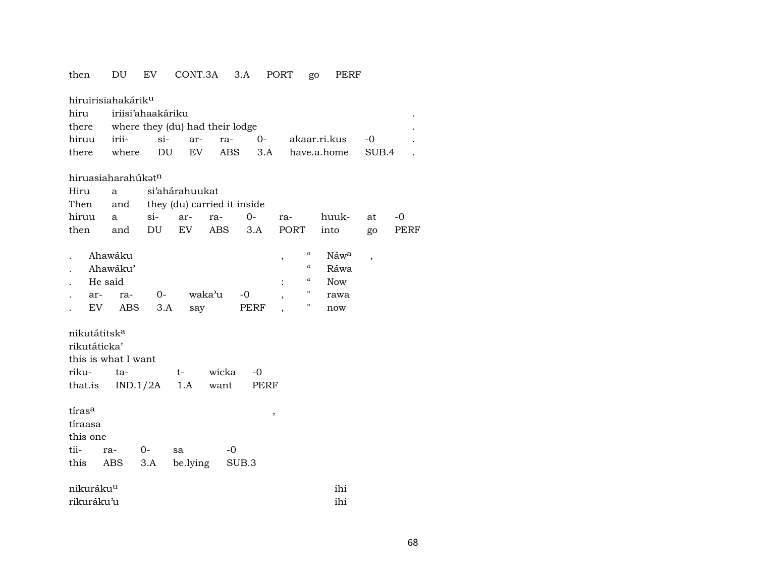### then DU EV CONT.3A 3.A PORT go PERF

| hiruirisiahakárik <sup>u</sup> |                                 |        |                             |            |       |                            |              |                          |      |
|--------------------------------|---------------------------------|--------|-----------------------------|------------|-------|----------------------------|--------------|--------------------------|------|
| hiru                           | iriisi'ahaakáriku               |        |                             |            |       |                            |              |                          |      |
| there                          | where they (du) had their lodge |        |                             |            |       |                            |              |                          |      |
| hiruu                          | irii-                           | si-    | ar-                         | ra-        | $0-$  |                            | akaar.ri.kus | $-0$                     |      |
| there                          | where                           | DU     | EV                          | <b>ABS</b> | 3.A   |                            | have.a.home  | SUB.4                    |      |
|                                |                                 |        |                             |            |       |                            |              |                          |      |
| hiruasiaharahúkatn             |                                 |        |                             |            |       |                            |              |                          |      |
| Hiru                           | a                               |        | si'ahárahuukat              |            |       |                            |              |                          |      |
| Then                           | and                             |        | they (du) carried it inside |            |       |                            |              |                          |      |
| hiruu                          | a                               | $\sin$ | ar-                         | ra-        | $0-$  | ra-                        | huuk-        | at                       | -0   |
| then                           | and                             | DU     | EV                          | ABS        | 3.A   | PORT                       | into         | go                       | PERF |
|                                |                                 |        |                             |            |       |                            |              |                          |      |
|                                | Ahawáku                         |        |                             |            |       | $\epsilon\epsilon$<br>,    | Náwa         | $\overline{\phantom{a}}$ |      |
|                                | Ahawáku'                        |        |                             |            |       | $\boldsymbol{\mathcal{C}}$ | Ráwa         |                          |      |
| He said                        |                                 |        |                             |            |       | $\boldsymbol{\mathcal{C}}$ | <b>Now</b>   |                          |      |
| ar-                            | ra-                             | $O-$   | waka'u                      |            | $-0$  | н                          | rawa         |                          |      |
| EV                             | ABS                             | 3.A    | say                         |            | PERF  | Н                          | now          |                          |      |
|                                |                                 |        |                             |            |       |                            |              |                          |      |
| nikutátitsk <sup>a</sup>       |                                 |        |                             |            |       |                            |              |                          |      |
| rikutáticka'                   |                                 |        |                             |            |       |                            |              |                          |      |
| this is what I want            |                                 |        |                             |            |       |                            |              |                          |      |
| riku-                          | ta-                             |        | t-                          | wicka      | $-0$  |                            |              |                          |      |
| that.is                        | IND.1/2A                        |        | 1.A                         | want       | PERF  |                            |              |                          |      |
|                                |                                 |        |                             |            |       |                            |              |                          |      |
| tiras <sup>a</sup>             |                                 |        |                             |            | $\,$  |                            |              |                          |      |
| tíraasa                        |                                 |        |                             |            |       |                            |              |                          |      |
| this one                       |                                 |        |                             |            |       |                            |              |                          |      |
| tii-                           | ra-                             | $0-$   | sa                          | -0         |       |                            |              |                          |      |
| this                           | ABS                             | 3.A    | be.lying                    |            | SUB.3 |                            |              |                          |      |
|                                |                                 |        |                             |            |       |                            |              |                          |      |
| nikuráku <sup>u</sup>          |                                 |        |                             |            |       |                            | ihi          |                          |      |
| rikuráku'u                     |                                 |        |                             |            |       |                            | ihi          |                          |      |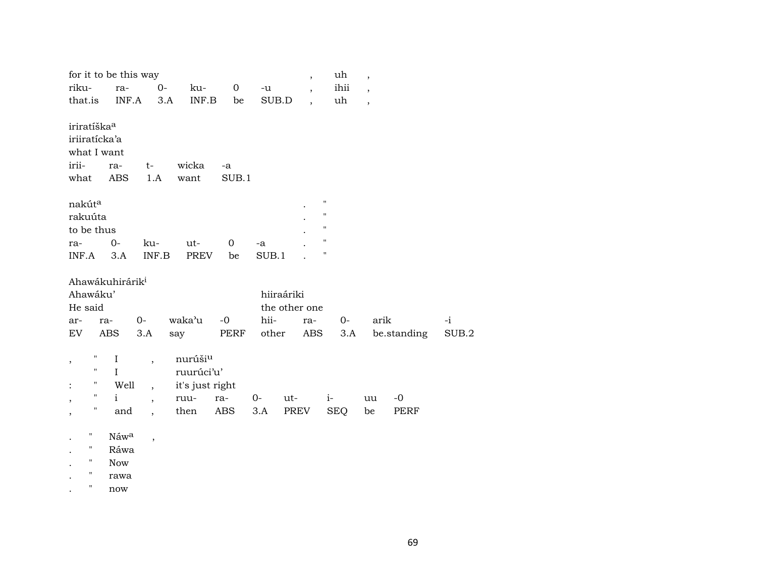|                         |     | for it to be this way       |                          |                     |                |       | $\overline{\phantom{a}}$ | uh                 | $\overline{ }$           |             |       |  |
|-------------------------|-----|-----------------------------|--------------------------|---------------------|----------------|-------|--------------------------|--------------------|--------------------------|-------------|-------|--|
| riku-                   |     | ra-                         | $0-$                     | ku-                 | $\overline{0}$ | $-u$  | $\overline{\phantom{a}}$ | ihii               | $\overline{\phantom{a}}$ |             |       |  |
| that.is                 |     | INF.A                       |                          | INF.B<br>3.A        | be             | SUB.D | $\overline{\phantom{a}}$ | uh                 | $\overline{\phantom{a}}$ |             |       |  |
|                         |     |                             |                          |                     |                |       |                          |                    |                          |             |       |  |
| iriratíška <sup>a</sup> |     |                             |                          |                     |                |       |                          |                    |                          |             |       |  |
| iriiratícka'a           |     |                             |                          |                     |                |       |                          |                    |                          |             |       |  |
| what I want             |     |                             |                          |                     |                |       |                          |                    |                          |             |       |  |
| irii-                   |     | ra-                         | $t-$                     | wicka               | -a             |       |                          |                    |                          |             |       |  |
| what                    |     | ABS                         | 1.A                      | want                | SUB.1          |       |                          |                    |                          |             |       |  |
|                         |     |                             |                          |                     |                |       |                          | $\pmb{\mathsf{H}}$ |                          |             |       |  |
| nakút <sup>a</sup>      |     |                             |                          |                     |                |       |                          | $\pmb{\mathsf{H}}$ |                          |             |       |  |
| rakuúta                 |     |                             |                          |                     |                |       |                          | $\pmb{\mathsf{H}}$ |                          |             |       |  |
| to be thus              |     |                             |                          |                     |                |       |                          | $\pmb{\mathsf{H}}$ |                          |             |       |  |
| ra-                     |     | $0-$                        | ku-                      | ut-                 | $\mathbf 0$    | -a    |                          | н                  |                          |             |       |  |
| INF.A                   |     | 3.A                         | INF.B                    | PREV                | be             | SUB.1 |                          |                    |                          |             |       |  |
|                         |     | Ahawákuhirárik <sup>i</sup> |                          |                     |                |       |                          |                    |                          |             |       |  |
| Ahawáku'                |     |                             |                          |                     |                |       | hiiraáriki               |                    |                          |             |       |  |
| He said                 |     |                             |                          |                     |                |       | the other one            |                    |                          |             |       |  |
| ar-                     | ra- |                             | $O -$                    | waka'u              | $-0$           | hii-  | ra-                      |                    | $O-$                     | arik        | $-i$  |  |
| EV                      |     | ABS                         | 3.A                      | say                 | PERF           | other | ABS                      |                    | 3.A                      | be.standing | SUB.2 |  |
|                         |     |                             |                          |                     |                |       |                          |                    |                          |             |       |  |
| ,                       | Η   | $\bf{I}$                    | $\overline{\phantom{a}}$ | nurúši <sup>u</sup> |                |       |                          |                    |                          |             |       |  |
|                         | 11  | $\mathbf{I}$                |                          | ruurúci'u'          |                |       |                          |                    |                          |             |       |  |
|                         | Η   | Well                        | $\overline{\phantom{a}}$ | it's just right     |                |       |                          |                    |                          |             |       |  |
| ,                       | Ħ   | $\mathbf{i}$                | $\overline{\phantom{a}}$ | ruu-                | ra-            | $0-$  | ut-                      | $i-$               | uu                       | $-0$        |       |  |
|                         | Η.  | and                         | $\overline{\phantom{a}}$ | then                | ABS            | 3.A   | PREV                     | <b>SEQ</b>         | be                       | PERF        |       |  |
|                         |     |                             |                          |                     |                |       |                          |                    |                          |             |       |  |
| н                       |     | Náwa                        | $\overline{\phantom{a}}$ |                     |                |       |                          |                    |                          |             |       |  |
| $\pmb{\mathsf{H}}$      |     | Ráwa                        |                          |                     |                |       |                          |                    |                          |             |       |  |
| $\pmb{\mathsf{H}}$      |     | <b>Now</b>                  |                          |                     |                |       |                          |                    |                          |             |       |  |
|                         |     | rawa                        |                          |                     |                |       |                          |                    |                          |             |       |  |

. " now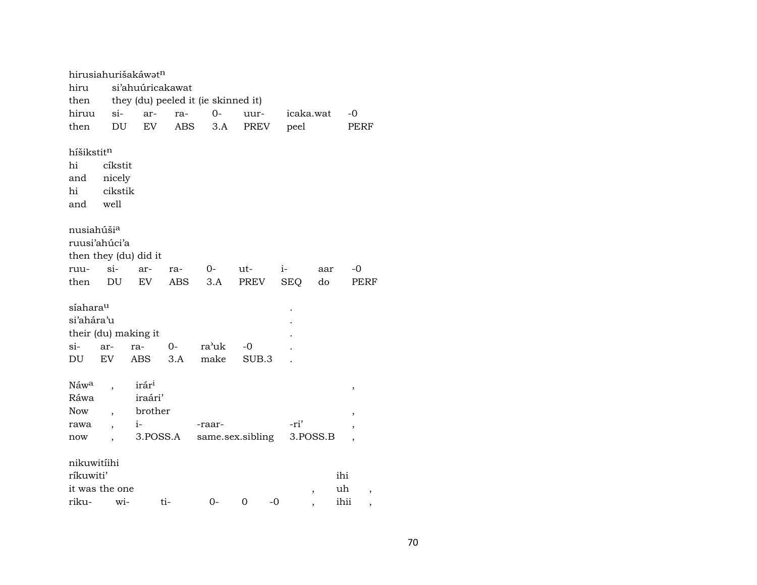|                        |                          | hirusiahurišakáwatn   |     |                                     |       |            |                          |         |  |  |  |
|------------------------|--------------------------|-----------------------|-----|-------------------------------------|-------|------------|--------------------------|---------|--|--|--|
| hiru                   | si'ahuúricakawat         |                       |     |                                     |       |            |                          |         |  |  |  |
| then                   |                          |                       |     | they (du) peeled it (ie skinned it) |       |            |                          |         |  |  |  |
| hiruu                  | $\sin$                   | ar-                   | ra- | $0-$                                | uur-  |            | icaka.wat                | -0      |  |  |  |
| then                   | DU                       | EV                    | ABS | 3.A                                 | PREV  | peel       |                          | PERF    |  |  |  |
|                        |                          |                       |     |                                     |       |            |                          |         |  |  |  |
| híšikstitn             |                          |                       |     |                                     |       |            |                          |         |  |  |  |
| hi                     | cíkstit                  |                       |     |                                     |       |            |                          |         |  |  |  |
| and                    | nicely                   |                       |     |                                     |       |            |                          |         |  |  |  |
| hi                     | cikstik                  |                       |     |                                     |       |            |                          |         |  |  |  |
| and                    | well                     |                       |     |                                     |       |            |                          |         |  |  |  |
|                        |                          |                       |     |                                     |       |            |                          |         |  |  |  |
| nusiahúši <sup>a</sup> |                          |                       |     |                                     |       |            |                          |         |  |  |  |
| ruusi'ahúci'a          |                          |                       |     |                                     |       |            |                          |         |  |  |  |
|                        |                          | then they (du) did it |     |                                     |       |            |                          |         |  |  |  |
| ruu-                   | $\sin$                   | ar-                   | ra- | $0-$                                | ut-   | $i-$       | aar                      | -0      |  |  |  |
| then                   | DU                       | EV                    | ABS | 3.A                                 | PREV  | <b>SEQ</b> | do                       | PERF    |  |  |  |
| síahara <sup>u</sup>   |                          |                       |     |                                     |       |            |                          |         |  |  |  |
| si'ahára'u             |                          |                       |     |                                     |       |            |                          |         |  |  |  |
|                        |                          | their (du) making it  |     |                                     |       |            |                          |         |  |  |  |
| si-                    | ar-                      | ra-                   | 0-  | ra'uk                               | $-0$  |            |                          |         |  |  |  |
| DU                     | EV                       | ABS                   | 3.A | make                                | SUB.3 |            |                          |         |  |  |  |
|                        |                          |                       |     |                                     |       |            |                          |         |  |  |  |
| Náw <sup>a</sup>       |                          | irár <sup>i</sup>     |     |                                     |       |            |                          |         |  |  |  |
| Ráwa                   |                          | iraári'               |     |                                     |       |            |                          | ,       |  |  |  |
| <b>Now</b>             | $\overline{\phantom{a}}$ | brother               |     |                                     |       |            |                          |         |  |  |  |
| rawa                   | $\ddot{\phantom{0}}$     | $i-$                  |     | -raar-                              |       | -ri'       |                          | $\,$    |  |  |  |
| now                    |                          | 3.POSS.A              |     | same.sex.sibling                    |       |            | 3.POSS.B                 | ,       |  |  |  |
|                        |                          |                       |     |                                     |       |            |                          |         |  |  |  |
| nikuwitiihi            |                          |                       |     |                                     |       |            |                          |         |  |  |  |
| ríkuwiti'              |                          |                       |     |                                     |       |            |                          | ihi     |  |  |  |
| it was the one         |                          |                       |     |                                     |       |            | $\overline{\phantom{a}}$ | uh<br>, |  |  |  |
| riku-                  | wi-                      |                       | ti- | 0-                                  | 0     | $-0$       |                          | ihii    |  |  |  |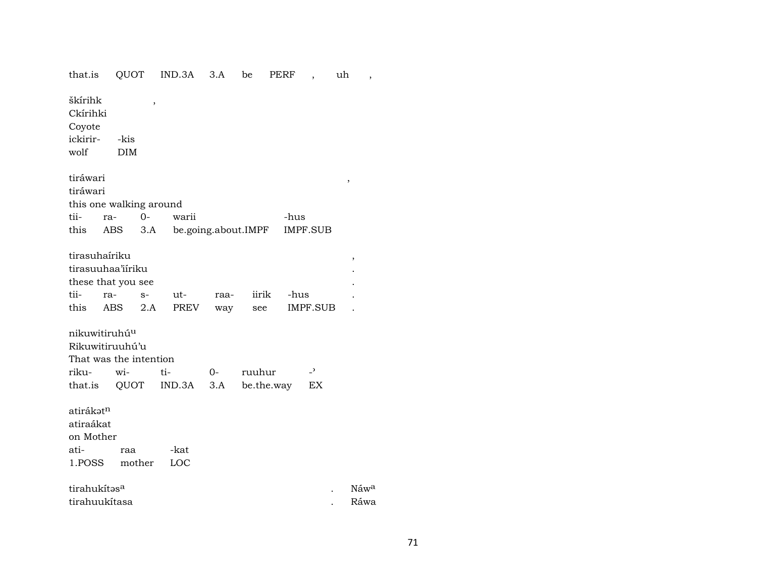| that.is                       |                           | QUOT   | IND.3A              | 3.A  | be     | PERF       | $\overline{\phantom{a}}$ | uh<br>$\overline{\phantom{a}}$ |  |
|-------------------------------|---------------------------|--------|---------------------|------|--------|------------|--------------------------|--------------------------------|--|
| škírihk<br>Ckírihki<br>Coyote |                           | ,      |                     |      |        |            |                          |                                |  |
| ickirir-                      | -kis                      |        |                     |      |        |            |                          |                                |  |
| wolf                          | DIM                       |        |                     |      |        |            |                          |                                |  |
|                               |                           |        |                     |      |        |            |                          |                                |  |
| tiráwari                      |                           |        |                     |      |        |            |                          |                                |  |
| tiráwari                      |                           |        |                     |      |        |            |                          | ,                              |  |
|                               | this one walking around   |        |                     |      |        |            |                          |                                |  |
| tii-                          | ra-                       | $0 -$  | warii               |      |        | -hus       |                          |                                |  |
|                               | this ABS                  | 3.A    | be.going.about.IMPF |      |        |            | IMPF.SUB                 |                                |  |
|                               |                           |        |                     |      |        |            |                          |                                |  |
|                               | tirasuhaíriku             |        |                     |      |        |            |                          | $\,$                           |  |
|                               | tirasuuhaa'iiriku         |        |                     |      |        |            |                          |                                |  |
|                               | these that you see        |        |                     |      |        |            |                          |                                |  |
| tii-                          | ra-                       | $S-$   | ut-                 | raa- | iirik  | -hus       |                          |                                |  |
| this                          | ABS                       | 2.A    | PREV                | way  | see    |            | IMPF.SUB                 |                                |  |
|                               |                           |        |                     |      |        |            |                          |                                |  |
|                               | nikuwitiruhú <sup>u</sup> |        |                     |      |        |            |                          |                                |  |
|                               | Rikuwitiruuhú'u           |        |                     |      |        |            |                          |                                |  |
|                               | That was the intention    |        |                     |      |        |            |                          |                                |  |
| riku-                         | wi-                       |        | ti-                 | $0-$ | ruuhur |            | $\overline{\phantom{0}}$ |                                |  |
|                               | that.is QUOT              |        | IND.3A              | 3.A  |        | be.the.way | EX                       |                                |  |
|                               |                           |        |                     |      |        |            |                          |                                |  |
| atirákət <sup>n</sup>         |                           |        |                     |      |        |            |                          |                                |  |
| atiraákat                     |                           |        |                     |      |        |            |                          |                                |  |
| on Mother                     |                           |        |                     |      |        |            |                          |                                |  |
| ati-                          | raa                       |        | -kat                |      |        |            |                          |                                |  |
| 1.POSS                        |                           | mother | LOC                 |      |        |            |                          |                                |  |
|                               |                           |        |                     |      |        |            |                          |                                |  |
| tirahukítasa                  |                           |        |                     |      |        |            |                          | Náwa                           |  |
|                               | tirahuukítasa             |        |                     |      |        |            |                          | Ráwa                           |  |
|                               |                           |        |                     |      |        |            |                          |                                |  |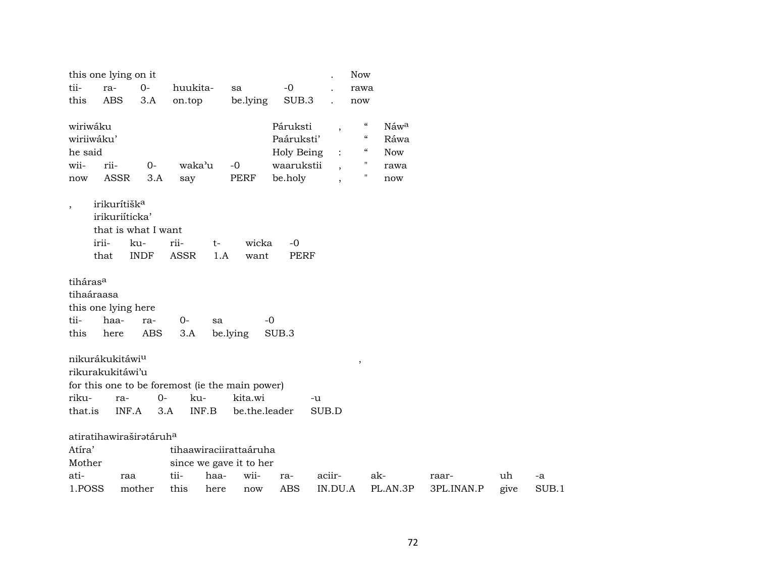|                            | this one lying on it                |                   |              |       |                                                 |                   |                          | <b>Now</b>                 |            |                     |            |             |
|----------------------------|-------------------------------------|-------------------|--------------|-------|-------------------------------------------------|-------------------|--------------------------|----------------------------|------------|---------------------|------------|-------------|
| tii-                       | ra-                                 | $0-$              | huukita-     |       | sa                                              | $-0$              |                          | rawa                       |            |                     |            |             |
| this                       | <b>ABS</b>                          | 3.A               | on.top       |       | be.lying                                        | SUB.3             |                          | now                        |            |                     |            |             |
| wiriwáku                   |                                     |                   |              |       |                                                 | Páruksti          | $\overline{\phantom{a}}$ | $\mathcal{C}$              | Náwa       |                     |            |             |
| wiriiwáku'                 |                                     |                   |              |       |                                                 | Paáruksti'        |                          | $\mathcal{C}\mathcal{C}$   | Ráwa       |                     |            |             |
| he said                    |                                     |                   |              |       |                                                 | Holy Being        |                          | $\boldsymbol{\mathcal{C}}$ | <b>Now</b> |                     |            |             |
| wii-                       | rii-                                | $0-$              | waka'u       |       | $-0$                                            | waarukstii        | $\overline{\phantom{a}}$ | 11                         | rawa       |                     |            |             |
| now                        | <b>ASSR</b>                         | 3.A               | say          |       | <b>PERF</b>                                     | be.holy           | $\overline{\phantom{a}}$ | $\mathbf{H}$               | now        |                     |            |             |
| $\overline{\phantom{a}}$   | irikurítišk <sup>a</sup>            |                   |              |       |                                                 |                   |                          |                            |            |                     |            |             |
|                            | irikuriíticka'                      |                   |              |       |                                                 |                   |                          |                            |            |                     |            |             |
|                            | that is what I want                 |                   |              |       |                                                 |                   |                          |                            |            |                     |            |             |
|                            | irii-                               | ku-               | rii-         | $t-$  | wicka                                           | $-0$              |                          |                            |            |                     |            |             |
|                            | that                                | <b>INDF</b>       | <b>ASSR</b>  | 1.A   | want                                            | <b>PERF</b>       |                          |                            |            |                     |            |             |
| tihaáraasa<br>tii-<br>this | this one lying here<br>haa-<br>here | ra-<br><b>ABS</b> | $0-$<br>3.A  | sa    | be.lying                                        | $-0$<br>SUB.3     |                          |                            |            |                     |            |             |
|                            | nikurákukitáwi <sup>u</sup>         |                   |              |       |                                                 |                   |                          | $\, ,$                     |            |                     |            |             |
|                            | rikurakukitáwi'u                    |                   |              |       |                                                 |                   |                          |                            |            |                     |            |             |
|                            |                                     |                   |              |       | for this one to be foremost (ie the main power) |                   |                          |                            |            |                     |            |             |
| riku-                      | ra-                                 | $O -$             |              | ku-   | kita.wi                                         |                   | -u                       |                            |            |                     |            |             |
| that.is                    | INF.A                               | 3.A               |              | INF.B | be.the.leader                                   |                   | SUB.D                    |                            |            |                     |            |             |
|                            |                                     |                   |              |       |                                                 |                   |                          |                            |            |                     |            |             |
|                            | atiratihawiraširatáruha             |                   |              |       |                                                 |                   |                          |                            |            |                     |            |             |
| Atíra'                     |                                     |                   |              |       | tihaawiraciirattaáruha                          |                   |                          |                            |            |                     |            |             |
|                            |                                     |                   |              |       | since we gave it to her                         |                   |                          |                            |            |                     |            |             |
| Mother<br>ati-<br>1.POSS   | raa                                 |                   | tii-<br>this | haa-  | wii-                                            | ra-<br><b>ABS</b> | aciir-<br>IN.DU.A        | ak-                        |            | raar-<br>3PL.INAN.P | uh<br>give | -a<br>SUB.1 |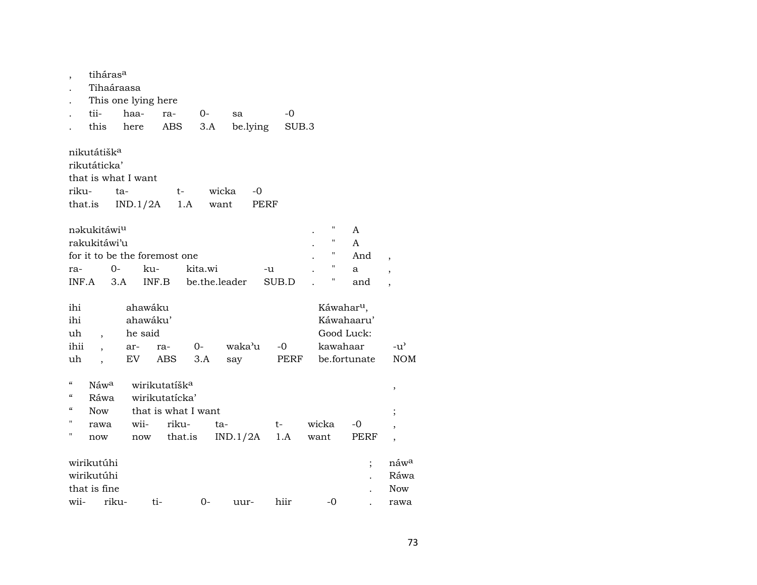| $\overline{ }$                         | tiháras <sup>a</sup>     |       |          |                               |         |               |          |       |          |                        |                  |
|----------------------------------------|--------------------------|-------|----------|-------------------------------|---------|---------------|----------|-------|----------|------------------------|------------------|
|                                        | Tihaáraasa               |       |          |                               |         |               |          |       |          |                        |                  |
|                                        | This one lying here      |       |          |                               |         |               |          |       |          |                        |                  |
|                                        | tii-                     | haa-  |          | ra-                           | 0-      | sa            |          | -0    |          |                        |                  |
|                                        | this                     | here  |          | ABS                           | 3.A     |               | be.lying | SUB.3 |          |                        |                  |
|                                        | nikutátišk <sup>a</sup>  |       |          |                               |         |               |          |       |          |                        |                  |
|                                        | rikutáticka'             |       |          |                               |         |               |          |       |          |                        |                  |
|                                        | that is what I want      |       |          |                               |         |               |          |       |          |                        |                  |
| riku-                                  |                          | ta-   |          | t-                            |         | wicka         | -0       |       |          |                        |                  |
| that.is                                |                          |       | IND.1/2A | 1.A                           |         | want          | PERF     |       |          |                        |                  |
|                                        |                          |       |          |                               |         |               |          |       | Π        |                        |                  |
|                                        | nakukitáwiu              |       |          |                               |         |               |          |       | Π        | A                      |                  |
|                                        | rakukitáwi'u             |       |          |                               |         |               |          |       | П        | A                      |                  |
|                                        |                          |       |          | for it to be the foremost one |         |               |          |       | "        | And                    | $\overline{ }$   |
| ra-                                    |                          | $0-$  | ku-      |                               | kita.wi |               | -u       |       |          | a                      |                  |
| INF.A                                  |                          | 3.A   | INF.B    |                               |         | be.the.leader |          | SUB.D | Η        | and                    |                  |
| ihi                                    |                          |       | ahawáku  |                               |         |               |          |       |          | Káwahar <sup>u</sup> , |                  |
| ihi                                    |                          |       | ahawáku' |                               |         |               |          |       |          | Káwahaaru'             |                  |
| uh                                     |                          |       | he said  |                               |         |               |          |       |          | Good Luck:             |                  |
| ihii                                   |                          | ar-   |          | ra-                           | $O-$    | waka'u        |          | $-0$  | kawahaar |                        | $-u^{\prime}$    |
| uh                                     | $\overline{\phantom{a}}$ | EV    |          | ABS                           | 3.A     | say           |          | PERF  |          | be.fortunate           | <b>NOM</b>       |
|                                        |                          |       |          |                               |         |               |          |       |          |                        |                  |
| $\mathcal{C}\mathcal{C}$               | Náw <sup>a</sup>         |       |          | wirikutatíšk <sup>a</sup>     |         |               |          |       |          |                        |                  |
| $\mathcal{C}\mathcal{C}$               | Ráwa                     |       |          | wirikutatícka'                |         |               |          |       |          |                        | $\,$             |
| $\boldsymbol{\zeta}\boldsymbol{\zeta}$ | <b>Now</b>               |       |          | that is what I want           |         |               |          |       |          |                        | $\vdots$         |
| н                                      | rawa                     |       | wii-     | riku-                         |         | ta-           |          | t-    | wicka    | -0                     |                  |
| "                                      | now                      |       | now      | that.is                       |         | IND.1/2A      |          | 1.A   | want     | PERF                   | $\overline{ }$   |
|                                        |                          |       |          |                               |         |               |          |       |          |                        |                  |
|                                        | wirikutúhi               |       |          |                               |         |               |          |       |          |                        | náw <sup>a</sup> |
|                                        | wirikutúhi               |       |          |                               |         |               |          |       |          |                        | Ráwa             |
|                                        | that is fine             |       |          |                               |         |               |          |       |          |                        | <b>Now</b>       |
| wii-                                   |                          | riku- | ti-      |                               | 0-      | uur-          |          | hiir  | -0       |                        | rawa             |
|                                        |                          |       |          |                               |         |               |          |       |          |                        |                  |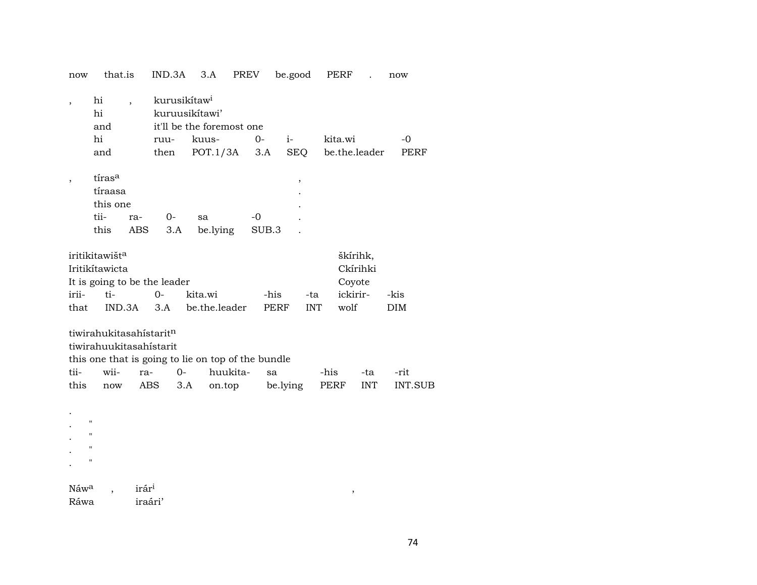| now                                                                                 | that.is                                                                             |                          | IND.3A                   |      | 3.A                                                | PREV     |      |              |            | be.good           |      | PERF    |                                            |               | now                |                |
|-------------------------------------------------------------------------------------|-------------------------------------------------------------------------------------|--------------------------|--------------------------|------|----------------------------------------------------|----------|------|--------------|------------|-------------------|------|---------|--------------------------------------------|---------------|--------------------|----------------|
| $\overline{\phantom{a}}$                                                            | hi<br>hi<br>and                                                                     | $\overline{\phantom{a}}$ | kurusikítaw <sup>i</sup> |      | kuruusikítawi'<br>it'll be the foremost one        |          |      |              |            |                   |      |         |                                            |               |                    |                |
|                                                                                     | hi                                                                                  |                          | ruu-                     |      | kuus-                                              |          | $0-$ |              | $i-$       |                   |      | kita.wi |                                            |               |                    | $-0$           |
|                                                                                     | and                                                                                 |                          | then                     |      | POT.1/3A                                           |          | 3.A  |              | <b>SEQ</b> |                   |      |         |                                            | be.the.leader |                    | PERF           |
|                                                                                     |                                                                                     |                          |                          |      |                                                    |          |      |              |            |                   |      |         |                                            |               |                    |                |
| $\overline{\phantom{a}}$                                                            | tíras <sup>a</sup>                                                                  |                          |                          |      |                                                    |          |      |              |            | ,                 |      |         |                                            |               |                    |                |
|                                                                                     | tíraasa                                                                             |                          |                          |      |                                                    |          |      |              |            |                   |      |         |                                            |               |                    |                |
|                                                                                     | this one                                                                            |                          |                          |      |                                                    |          |      |              |            |                   |      |         |                                            |               |                    |                |
|                                                                                     | tii-                                                                                | ra-                      | $0-$                     |      | sa                                                 |          | -0   |              |            |                   |      |         |                                            |               |                    |                |
|                                                                                     | this                                                                                | ABS                      | 3.A                      |      | be.lying                                           |          |      | SUB.3        |            |                   |      |         |                                            |               |                    |                |
| irii-<br>that                                                                       | iritikitawišt <sup>a</sup><br>Iritikítawicta<br>It is going to be the leader<br>ti- | IND.3A                   | $0 -$<br>3.A             |      | kita.wi<br>be.the.leader                           |          |      | -his<br>PERF |            | -ta<br><b>INT</b> |      | wolf    | škírihk,<br>Ckírihki<br>Coyote<br>ickirir- |               | -kis<br><b>DIM</b> |                |
|                                                                                     | tiwirahukitasahistaritn                                                             |                          |                          |      |                                                    |          |      |              |            |                   |      |         |                                            |               |                    |                |
|                                                                                     | tiwirahuukitasahistarit                                                             |                          |                          |      |                                                    |          |      |              |            |                   |      |         |                                            |               |                    |                |
|                                                                                     |                                                                                     |                          |                          |      | this one that is going to lie on top of the bundle |          |      |              |            |                   |      |         |                                            |               |                    |                |
| tii-                                                                                | wii-                                                                                | ra-                      |                          | $0-$ |                                                    | huukita- |      | sa           |            |                   | -his |         |                                            | -ta           | -rit               |                |
| this                                                                                | now                                                                                 |                          | ABS                      | 3.A  | on.top                                             |          |      | be.lying     |            |                   |      | PERF    |                                            | <b>INT</b>    |                    | <b>INT.SUB</b> |
| $\pmb{\mathsf{H}}$<br>$\pmb{\mathsf{H}}$<br>$\pmb{\mathsf{H}}$<br>$^{\prime\prime}$ |                                                                                     |                          |                          |      |                                                    |          |      |              |            |                   |      |         |                                            |               |                    |                |
| Náw <sup>a</sup>                                                                    |                                                                                     | irár <sup>i</sup>        |                          |      |                                                    |          |      |              |            |                   |      |         | ,                                          |               |                    |                |

Ráwa iraári'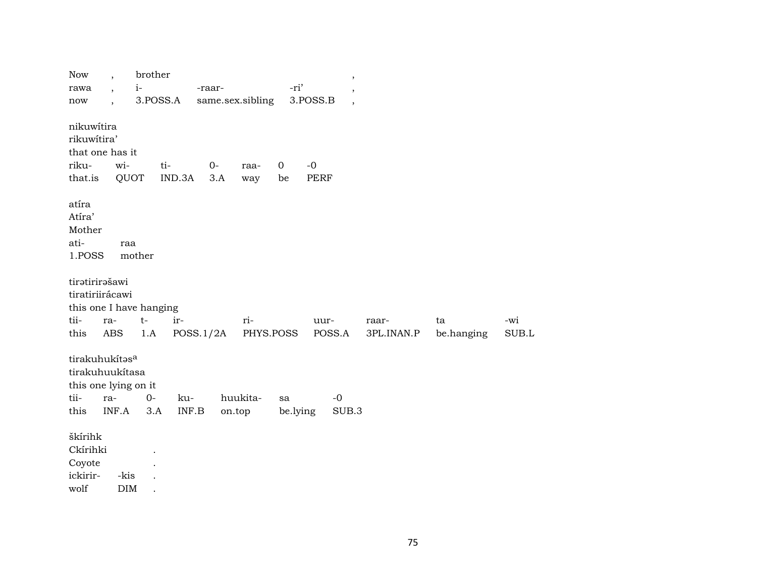| Now<br>rawa                                                                  | $\ddot{\phantom{1}}$<br>$\ddot{\phantom{0}}$ | brother<br>$i-$ |                                  | -raar-           |                    | -ri'              | $\,$<br>$\overline{\phantom{a}}$     |                     |                  |              |
|------------------------------------------------------------------------------|----------------------------------------------|-----------------|----------------------------------|------------------|--------------------|-------------------|--------------------------------------|---------------------|------------------|--------------|
| now                                                                          | $\cdot$                                      |                 | 3.POSS.A                         | same.sex.sibling |                    |                   | 3.POSS.B<br>$\overline{\phantom{a}}$ |                     |                  |              |
| nikuwítira<br>rikuwítira'<br>that one has it<br>riku-<br>that.is             | wi-<br>QUOT                                  |                 | ti-<br>IND.3A                    | $0-$<br>3.A      | raa-<br>way        | $\mathbf 0$<br>be | $-0$<br>PERF                         |                     |                  |              |
| atíra<br>Atíra'<br>Mother<br>ati-<br>1.POSS                                  | raa                                          | mother          |                                  |                  |                    |                   |                                      |                     |                  |              |
| tiratirirašawi<br>tiratiriirácawi<br>this one I have hanging<br>tii-<br>this | ra-<br>ABS                                   | $t-$<br>1.A     | ir-                              | POSS.1/2A        | ri-                | PHYS.POSS         | uur-<br>POSS.A                       | raar-<br>3PL.INAN.P | ta<br>be.hanging | -wi<br>SUB.L |
| tirakuhukítasa<br>tirakuhuukítasa<br>this one lying on it<br>tii-<br>this    | ra-<br>INF.A                                 | $0-$<br>3.A     | ku-<br>$\textsf{INF}.\textsf{B}$ |                  | huukita-<br>on.top | sa<br>be.lying    | $-0$<br>SUB.3                        |                     |                  |              |
| škírihk<br>Ckírihki<br>Coyote<br>ickirir-<br>wolf                            | -kis<br><b>DIM</b>                           |                 |                                  |                  |                    |                   |                                      |                     |                  |              |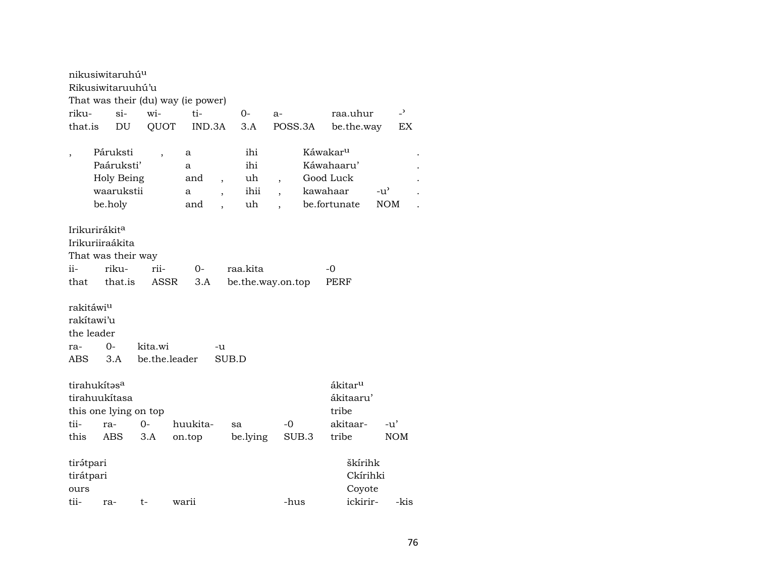|                                | nikusiwitaruhú <sup>u</sup><br>Rikusiwitaruuhú'u<br>That was their (du) way (ie power) |                               |               |                          |                               |                          |       |                                                       |               |                |  |  |  |  |  |
|--------------------------------|----------------------------------------------------------------------------------------|-------------------------------|---------------|--------------------------|-------------------------------|--------------------------|-------|-------------------------------------------------------|---------------|----------------|--|--|--|--|--|
| riku-                          | $\sin$                                                                                 | wi-                           | ti-           |                          | $0-$                          | $a-$                     |       | raa.uhur                                              |               | $\overline{a}$ |  |  |  |  |  |
| that.is                        | DU                                                                                     | QUOT                          | IND.3A        |                          | 3.A                           | POSS.3A                  |       | be.the.way                                            |               | EX             |  |  |  |  |  |
|                                |                                                                                        |                               |               |                          |                               |                          |       |                                                       |               |                |  |  |  |  |  |
| $\overline{\phantom{a}}$       | Páruksti                                                                               |                               | a             |                          | ihi                           |                          |       | Káwakar <sup>u</sup>                                  |               |                |  |  |  |  |  |
|                                | Paáruksti'                                                                             |                               | a             |                          | ihi                           |                          |       | Káwahaaru'                                            |               |                |  |  |  |  |  |
|                                | Holy Being                                                                             |                               | and           | $\overline{\phantom{a}}$ | uh                            | $\overline{\phantom{a}}$ |       | Good Luck                                             |               |                |  |  |  |  |  |
|                                | waarukstii                                                                             |                               | a             | $\overline{\phantom{a}}$ | ihii                          |                          |       | kawahaar                                              | $-u^{\prime}$ |                |  |  |  |  |  |
|                                | be.holy                                                                                |                               | and           |                          | uh                            |                          |       | be.fortunate                                          | NOM           |                |  |  |  |  |  |
| ii-<br>that                    | Irikurirákit <sup>a</sup><br>Irikuriiraákita<br>That was their way<br>riku-<br>that.is | rii-<br><b>ASSR</b>           | $O -$<br>3.A  |                          | raa.kita<br>be.the.way.on.top |                          |       | -0<br>PERF                                            |               |                |  |  |  |  |  |
| rakitáwi <sup>u</sup>          |                                                                                        |                               |               |                          |                               |                          |       |                                                       |               |                |  |  |  |  |  |
| rakítawi'u                     |                                                                                        |                               |               |                          |                               |                          |       |                                                       |               |                |  |  |  |  |  |
| the leader                     |                                                                                        |                               |               |                          |                               |                          |       |                                                       |               |                |  |  |  |  |  |
| ra-                            | $O -$                                                                                  | kita.wi                       |               | -u                       |                               |                          |       |                                                       |               |                |  |  |  |  |  |
| ABS                            | 3.A                                                                                    |                               | be.the.leader | SUB.D                    |                               |                          |       |                                                       |               |                |  |  |  |  |  |
| tii-                           | tirahukítasa<br>tirahuukítasa                                                          | this one lying on top<br>$0-$ | huukita-      |                          |                               | -0                       |       | ákitar <sup>u</sup><br>ákitaaru'<br>tribe<br>akitaar- |               | -u'            |  |  |  |  |  |
|                                | ra-                                                                                    |                               |               |                          | sa                            |                          |       |                                                       |               |                |  |  |  |  |  |
| this                           | ABS                                                                                    | 3.A                           | on.top        |                          | be.lying                      |                          | SUB.3 | tribe                                                 |               | <b>NOM</b>     |  |  |  |  |  |
| tirátpari<br>tirátpari<br>ours |                                                                                        |                               |               |                          |                               |                          |       | škírihk<br>Ckírihki<br>Coyote                         |               |                |  |  |  |  |  |
| tii-                           | ra-                                                                                    | t-                            | warii         |                          |                               | -hus                     |       | ickirir-                                              |               | -kis           |  |  |  |  |  |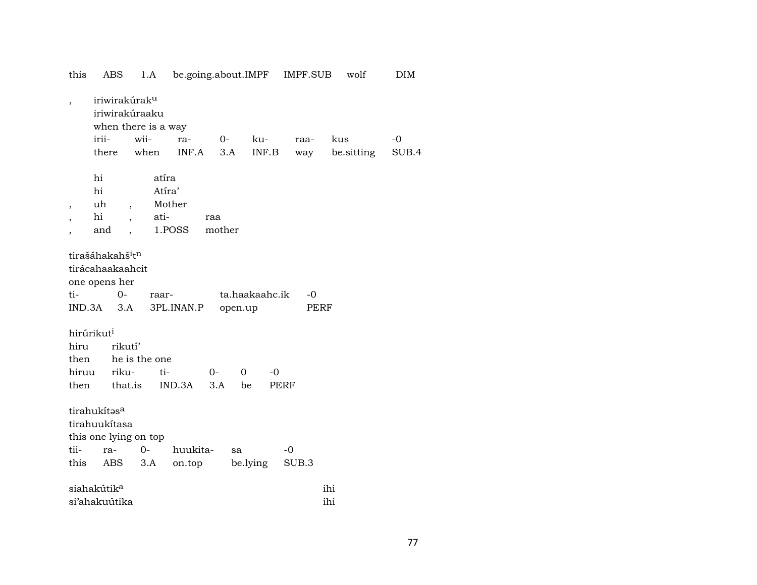| $\overline{\phantom{a}}$ |                                          | iriwirakúrak <sup>u</sup> |            |        |                  |             |            |       |
|--------------------------|------------------------------------------|---------------------------|------------|--------|------------------|-------------|------------|-------|
|                          |                                          | iriwirakúraaku            |            |        |                  |             |            |       |
|                          |                                          | when there is a way       |            |        |                  |             |            |       |
|                          | irii-                                    | wii-                      | ra-        | $O-$   | ku-              | raa-        | kus        | $-0$  |
|                          | there                                    | when                      | INF.A      | 3.A    | INF.B            | way         | be sitting | SUB.4 |
|                          | hi                                       |                           | atíra      |        |                  |             |            |       |
|                          | hi                                       |                           | Atíra'     |        |                  |             |            |       |
| ,                        | uh                                       | $\overline{\phantom{a}}$  | Mother     |        |                  |             |            |       |
|                          | hi                                       | $\ddot{\phantom{0}}$      | ati-       | raa    |                  |             |            |       |
|                          | and                                      | $\ddot{\phantom{0}}$      | 1.POSS     | mother |                  |             |            |       |
|                          | tirašáhakahš <sup>i</sup> t <sup>n</sup> |                           |            |        |                  |             |            |       |
|                          | tirácahaakaahcit                         |                           |            |        |                  |             |            |       |
|                          | one opens her                            |                           |            |        |                  |             |            |       |
| ti-                      | $0 -$                                    |                           | raar-      |        | ta.haakaahc.ik   | -0          |            |       |
|                          | $IND.3A$ $3.A$                           |                           | 3PL.INAN.P |        | open.up          |             | PERF       |       |
|                          | hirúrikut <sup>i</sup>                   |                           |            |        |                  |             |            |       |
| hiru                     |                                          | rikutí'                   |            |        |                  |             |            |       |
| then                     |                                          | he is the one             |            |        |                  |             |            |       |
| hiruu                    |                                          | riku-                     | ti-        | $0-$   | $\Omega$<br>$-0$ |             |            |       |
| then                     |                                          | that.is                   | IND.3A     | 3.A    | be               | <b>PERF</b> |            |       |
|                          | tirahukítasa                             |                           |            |        |                  |             |            |       |
|                          | tirahuukítasa                            |                           |            |        |                  |             |            |       |
|                          |                                          | this one lying on top     |            |        |                  |             |            |       |
| tii-                     | ra-                                      | $O -$                     | huukita-   |        | sa               | $-0$        |            |       |
| this                     | ABS                                      | 3.A                       | on.top     |        | be.lying         | SUB.3       |            |       |
|                          | siahakútik <sup>a</sup>                  |                           |            |        |                  |             | ihi        |       |
|                          | si'ahakuútika                            |                           |            |        |                  |             | ihi        |       |
|                          |                                          |                           |            |        |                  |             |            |       |

this ABS 1.A be.going.about.IMPF IMPF.SUB wolf DIM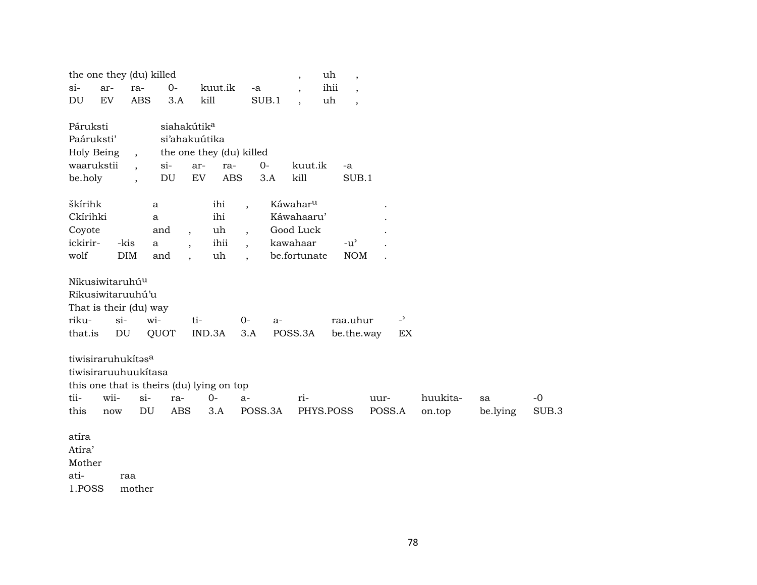| the one they (du) killed    |       |                          |                                           |                          |            |                          |          | $\overline{\phantom{a}}$ | uh<br>$\overline{\phantom{a}}$      |        |                |          |          |       |
|-----------------------------|-------|--------------------------|-------------------------------------------|--------------------------|------------|--------------------------|----------|--------------------------|-------------------------------------|--------|----------------|----------|----------|-------|
| $si-$                       | ar-   | ra-                      | $0-$                                      |                          | kuut.ik    | -a                       |          | $\overline{\phantom{a}}$ | ihii<br>$\overline{\phantom{a}}$    |        |                |          |          |       |
| DU                          | EV    | <b>ABS</b>               | 3.A                                       | kill                     |            | SUB.1                    |          | $\overline{\phantom{a}}$ | uh<br>$\overline{\phantom{a}}$      |        |                |          |          |       |
|                             |       |                          |                                           |                          |            |                          |          |                          |                                     |        |                |          |          |       |
| Páruksti                    |       |                          | siahakútik <sup>a</sup>                   |                          |            |                          |          |                          |                                     |        |                |          |          |       |
| Paáruksti'                  |       |                          | si'ahakuútika                             |                          |            |                          |          |                          |                                     |        |                |          |          |       |
| Holy Being                  |       | $\cdot$                  |                                           |                          |            | the one they (du) killed |          |                          |                                     |        |                |          |          |       |
| waarukstii                  |       | $\overline{\phantom{a}}$ | $si-$                                     | ar-                      | ra-        | $0-$                     |          | kuut.ik                  | -a                                  |        |                |          |          |       |
| be.holy                     |       | $\overline{\phantom{a}}$ | DU                                        | ${\rm EV}$               | <b>ABS</b> | 3.A                      |          | kill                     | SUB.1                               |        |                |          |          |       |
|                             |       |                          |                                           |                          |            |                          |          |                          |                                     |        |                |          |          |       |
| škírihk                     |       |                          | a                                         |                          | ihi        | $\ddot{\phantom{0}}$     |          | Káwahar <sup>u</sup>     |                                     |        |                |          |          |       |
| Ckírihki                    |       |                          | a                                         |                          | ihi        |                          |          | Káwahaaru'               |                                     |        |                |          |          |       |
| Coyote                      |       |                          | and                                       | $\overline{\phantom{a}}$ | uh         | $\overline{\phantom{a}}$ |          | Good Luck                |                                     |        |                |          |          |       |
| ickirir-                    | -kis  |                          | $\mathbf{a}$                              | $\ddot{\phantom{0}}$     | ihii       | $\ddot{\phantom{0}}$     | kawahaar |                          | $-u$ <sup><math>\prime</math></sup> |        |                |          |          |       |
| wolf                        |       | <b>DIM</b>               | and                                       |                          | uh         | $\ddot{\phantom{0}}$     |          | be.fortunate             | <b>NOM</b>                          |        |                |          |          |       |
|                             |       |                          |                                           |                          |            |                          |          |                          |                                     |        |                |          |          |       |
| Níkusiwitaruhú <sup>u</sup> |       |                          |                                           |                          |            |                          |          |                          |                                     |        |                |          |          |       |
| Rikusiwitaruuhú'u           |       |                          |                                           |                          |            |                          |          |                          |                                     |        |                |          |          |       |
| That is their (du) way      |       |                          |                                           |                          |            |                          |          |                          |                                     |        |                |          |          |       |
| riku-                       | $si-$ |                          | wi-                                       | ti-                      |            | $0-$                     | $a-$     |                          | raa.uhur                            |        | $\overline{a}$ |          |          |       |
| that.is                     | DU    |                          | QUOT                                      |                          | IND.3A     | 3.A                      | POSS.3A  |                          | be.the.way                          |        | EX             |          |          |       |
|                             |       |                          |                                           |                          |            |                          |          |                          |                                     |        |                |          |          |       |
| tiwisiraruhukitasa          |       |                          |                                           |                          |            |                          |          |                          |                                     |        |                |          |          |       |
| tiwisiraruuhuukítasa        |       |                          |                                           |                          |            |                          |          |                          |                                     |        |                |          |          |       |
|                             |       |                          | this one that is theirs (du) lying on top |                          |            |                          |          |                          |                                     |        |                |          |          |       |
| tii-                        | wii-  | $si-$                    | ra-                                       |                          | $O -$      | a-                       |          | ri-                      |                                     | uur-   |                | huukita- | sa       | $-0$  |
| this                        | now   | DU                       | <b>ABS</b>                                |                          | 3.A        | POSS.3A                  |          | PHYS.POSS                |                                     | POSS.A |                | on.top   | be.lying | SUB.3 |
|                             |       |                          |                                           |                          |            |                          |          |                          |                                     |        |                |          |          |       |
| atíra                       |       |                          |                                           |                          |            |                          |          |                          |                                     |        |                |          |          |       |
| Atíra'                      |       |                          |                                           |                          |            |                          |          |                          |                                     |        |                |          |          |       |
| Mother                      |       |                          |                                           |                          |            |                          |          |                          |                                     |        |                |          |          |       |
| ati-                        |       | raa                      |                                           |                          |            |                          |          |                          |                                     |        |                |          |          |       |
| 1.POSS                      |       | mother                   |                                           |                          |            |                          |          |                          |                                     |        |                |          |          |       |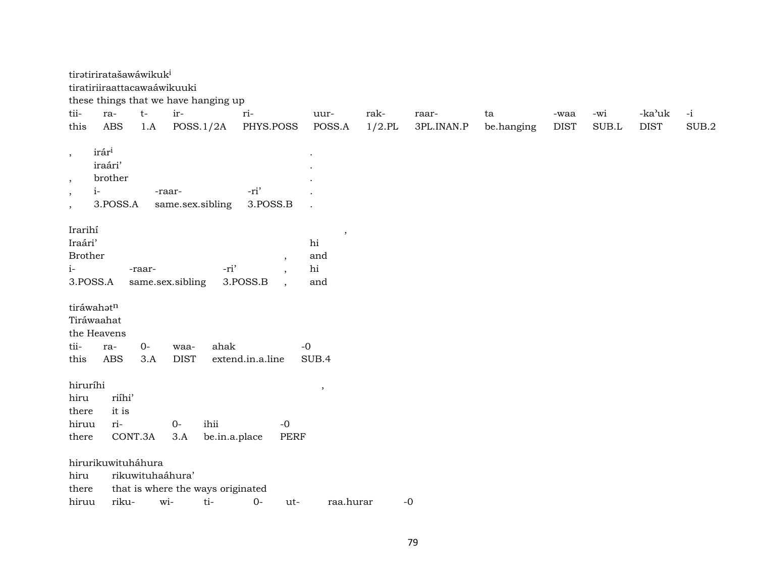|                          | tiratiriratašawáwikuk <sup>i</sup> |             |                  |                                      |                  |                |                   |                     |                  |                     |              |                       |                     |
|--------------------------|------------------------------------|-------------|------------------|--------------------------------------|------------------|----------------|-------------------|---------------------|------------------|---------------------|--------------|-----------------------|---------------------|
|                          | tiratiriiraattacawaáwikuuki        |             |                  |                                      |                  |                |                   |                     |                  |                     |              |                       |                     |
|                          |                                    |             |                  | these things that we have hanging up |                  |                |                   |                     |                  |                     |              |                       |                     |
| tii-<br>this             | ra-<br>ABS                         | $t-$<br>1.A | ir-              | POSS.1/2A                            | ri-<br>PHYS.POSS | uur-<br>POSS.A | rak-<br>$1/2$ .PL | raar-<br>3PL.INAN.P | ta<br>be.hanging | -waa<br><b>DIST</b> | -wi<br>SUB.L | -ka'uk<br><b>DIST</b> | $-i$<br>$\rm SUB.2$ |
|                          |                                    |             |                  |                                      |                  |                |                   |                     |                  |                     |              |                       |                     |
| $\, ,$                   | irár <sup>i</sup>                  |             |                  |                                      |                  |                |                   |                     |                  |                     |              |                       |                     |
|                          | iraári'                            |             |                  |                                      |                  |                |                   |                     |                  |                     |              |                       |                     |
| $^\mathrm{^\mathrm{o}}$  | brother                            |             |                  |                                      |                  |                |                   |                     |                  |                     |              |                       |                     |
| $i-$<br>$\, ,$           |                                    |             | -raar-           |                                      | -ri'             |                |                   |                     |                  |                     |              |                       |                     |
| $\overline{\phantom{a}}$ | 3.POSS.A                           |             |                  | same.sex.sibling                     | 3.POSS.B         |                |                   |                     |                  |                     |              |                       |                     |
|                          |                                    |             |                  |                                      |                  |                |                   |                     |                  |                     |              |                       |                     |
| Irarihí                  |                                    |             |                  |                                      |                  | $\cdot$        |                   |                     |                  |                     |              |                       |                     |
| Iraári'                  |                                    |             |                  |                                      |                  | hi             |                   |                     |                  |                     |              |                       |                     |
| <b>Brother</b>           |                                    |             |                  |                                      |                  | and            |                   |                     |                  |                     |              |                       |                     |
| $i-$                     |                                    | -raar-      |                  | -ri'                                 |                  | hi             |                   |                     |                  |                     |              |                       |                     |
| 3.POSS.A                 |                                    |             | same.sex.sibling |                                      | 3.POSS.B         | and            |                   |                     |                  |                     |              |                       |                     |
| tiráwahatn               |                                    |             |                  |                                      |                  |                |                   |                     |                  |                     |              |                       |                     |
| Tiráwaahat               |                                    |             |                  |                                      |                  |                |                   |                     |                  |                     |              |                       |                     |
| the Heavens              |                                    |             |                  |                                      |                  |                |                   |                     |                  |                     |              |                       |                     |
| tii-                     | ra-                                | $0-$        | waa-             | ahak                                 |                  | $-0$           |                   |                     |                  |                     |              |                       |                     |
| this                     | ABS                                | 3.A         | <b>DIST</b>      |                                      | extend.in.a.line | SUB.4          |                   |                     |                  |                     |              |                       |                     |
|                          |                                    |             |                  |                                      |                  |                |                   |                     |                  |                     |              |                       |                     |
| hiruríhi                 |                                    |             |                  |                                      |                  | $^\mathrm{,}$  |                   |                     |                  |                     |              |                       |                     |
| hiru                     | riíhi'                             |             |                  |                                      |                  |                |                   |                     |                  |                     |              |                       |                     |
| there                    | it is                              |             |                  |                                      |                  |                |                   |                     |                  |                     |              |                       |                     |
| hiruu                    | ri-                                |             | $0-$             | ihii                                 | $-0$             |                |                   |                     |                  |                     |              |                       |                     |
| there                    | CONT.3A                            |             | 3.A              | be.in.a.place                        |                  | PERF           |                   |                     |                  |                     |              |                       |                     |
|                          | hirurikuwituháhura                 |             |                  |                                      |                  |                |                   |                     |                  |                     |              |                       |                     |
| hiru                     |                                    |             | rikuwituhaáhura' |                                      |                  |                |                   |                     |                  |                     |              |                       |                     |
| there                    |                                    |             |                  | that is where the ways originated    |                  |                |                   |                     |                  |                     |              |                       |                     |
| hiruu                    |                                    |             |                  | riku- wi- ti- 0-                     | $u$ t $-$        | raa hurar      |                   | $-0$                |                  |                     |              |                       |                     |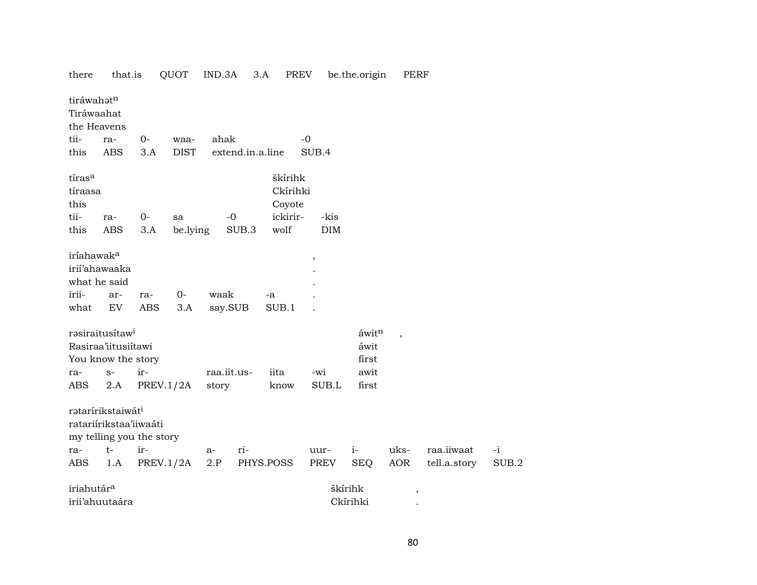| there                                   | that.is                                                                             |                   | QUOT         | IND.3A           | 3.A       | PREV                          |            | be.the.origin | <b>PERF</b>              |              |       |
|-----------------------------------------|-------------------------------------------------------------------------------------|-------------------|--------------|------------------|-----------|-------------------------------|------------|---------------|--------------------------|--------------|-------|
| tiráwahatn<br>Tiráwaahat<br>the Heavens |                                                                                     |                   |              |                  |           |                               |            |               |                          |              |       |
| tii-                                    | ra-                                                                                 | 0-                | waa-         | ahak             |           | $-0$                          |            |               |                          |              |       |
| this                                    | <b>ABS</b>                                                                          | 3.A               | <b>DIST</b>  | extend.in.a.line |           |                               | SUB.4      |               |                          |              |       |
| tíras <sup>a</sup><br>tíraasa<br>this   |                                                                                     |                   |              |                  |           | škírihk<br>Ckírihki<br>Coyote |            |               |                          |              |       |
| tii-                                    | ra-                                                                                 | $0-$              | sa           | $-0$             |           | ickirir-                      | -kis       |               |                          |              |       |
| this                                    | <b>ABS</b>                                                                          | 3.A               | be.lying     | SUB.3            |           | wolf                          | $\rm{DIM}$ |               |                          |              |       |
| iríahawak <sup>a</sup><br>irii-<br>what | irii'ahawaaka<br>what he said<br>ar-<br>EV                                          | ra-<br><b>ABS</b> | $0-$<br>3.A  | waak<br>say.SUB  | -a        | SUB.1                         | $\, ,$     |               |                          |              |       |
|                                         | rasiraitusítaw <sup>i</sup>                                                         |                   |              |                  |           |                               |            | áwitn         | $\overline{\phantom{a}}$ |              |       |
|                                         | Rasiraa'iitusiítawi                                                                 |                   |              |                  |           |                               |            | áwit          |                          |              |       |
|                                         | You know the story                                                                  |                   |              |                  |           |                               |            | first         |                          |              |       |
| ra-                                     | $S-$                                                                                | ir-               |              | raa.iit.us-      |           | iita                          | -wi        | awit          |                          |              |       |
| ABS                                     | 2.A                                                                                 |                   | PREV. $1/2A$ | story            |           | know                          | SUB.L      | first         |                          |              |       |
|                                         | ratarírikstaiwát <sup>i</sup><br>ratariírikstaa'iiwaáti<br>my telling you the story |                   |              |                  |           |                               |            |               |                          |              |       |
| ra-                                     | $t-$                                                                                | ir-               |              | ri-<br>a-        |           |                               | uur-       | $i-$          | uks-                     | raa.iiwaat   | $-i$  |
| ABS                                     | 1.A                                                                                 |                   | PREV.1/2A    | 2.P              | PHYS.POSS |                               | PREV       | <b>SEQ</b>    | AOR                      | tell.a.story | SUB.2 |
| iriahutár <sup>a</sup>                  |                                                                                     |                   |              |                  |           |                               |            | škírihk       |                          |              |       |
|                                         | irii'ahuutaára                                                                      |                   |              |                  |           |                               |            | Ckírihki      | $\, ,$                   |              |       |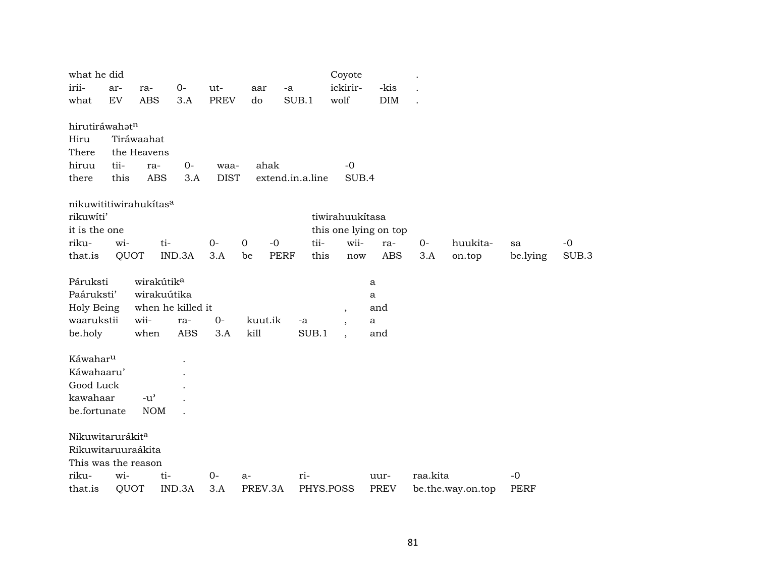| what he did                  |      |                        |                   |             |                     |                  | Coyote                   |                       |          |                   |             |       |
|------------------------------|------|------------------------|-------------------|-------------|---------------------|------------------|--------------------------|-----------------------|----------|-------------------|-------------|-------|
| irii-                        | ar-  | ra-                    | $0-$              | ut-         | aar                 | -a               | ickirir-                 | -kis                  |          |                   |             |       |
| what                         | EV   | <b>ABS</b>             | 3.A               | <b>PREV</b> | do                  | SUB.1            | wolf                     | <b>DIM</b>            |          |                   |             |       |
|                              |      |                        |                   |             |                     |                  |                          |                       |          |                   |             |       |
| hirutiráwahatn               |      |                        |                   |             |                     |                  |                          |                       |          |                   |             |       |
| Hiru                         |      | Tiráwaahat             |                   |             |                     |                  |                          |                       |          |                   |             |       |
| There                        |      | the Heavens            |                   |             |                     |                  |                          |                       |          |                   |             |       |
| hiruu                        | tii- | ra-                    | $O -$             | waa-        | ahak                |                  | $-0$                     |                       |          |                   |             |       |
| there                        | this | <b>ABS</b>             | 3.A               | <b>DIST</b> |                     | extend.in.a.line | SUB.4                    |                       |          |                   |             |       |
| nikuwititiwirahukitasa       |      |                        |                   |             |                     |                  |                          |                       |          |                   |             |       |
| rikuwíti'                    |      |                        |                   |             |                     |                  | tiwirahuukítasa          |                       |          |                   |             |       |
| it is the one                |      |                        |                   |             |                     |                  |                          | this one lying on top |          |                   |             |       |
| riku-                        | wi-  | ti-                    |                   | $0-$        | $\mathbf 0$<br>$-0$ | tii-             | wii-                     | ra-                   | $0-$     | huukita-          | sa          | $-0$  |
| that.is                      | QUOT |                        | IND.3A            | 3.A         | <b>PERF</b><br>be   | this             | now                      | ABS                   | 3.A      | on.top            | be.lying    | SUB.3 |
|                              |      |                        |                   |             |                     |                  |                          |                       |          |                   |             |       |
| Páruksti                     |      | wirakútik <sup>a</sup> |                   |             |                     |                  |                          | a                     |          |                   |             |       |
| Paáruksti'                   |      | wirakuútika            |                   |             |                     |                  |                          | a                     |          |                   |             |       |
| Holy Being                   |      |                        | when he killed it |             |                     |                  | $\overline{\phantom{a}}$ | and                   |          |                   |             |       |
| waarukstii                   |      | wii-                   | ra-               | $0-$        | kuut.ik             | -a               | $\overline{\phantom{a}}$ | a                     |          |                   |             |       |
| be.holy                      |      | when                   | <b>ABS</b>        | 3.A         | kill                | SUB.1            | $\ddot{\phantom{0}}$     | and                   |          |                   |             |       |
| Káwahar <sup>u</sup>         |      |                        |                   |             |                     |                  |                          |                       |          |                   |             |       |
| Káwahaaru'                   |      |                        |                   |             |                     |                  |                          |                       |          |                   |             |       |
| Good Luck                    |      |                        |                   |             |                     |                  |                          |                       |          |                   |             |       |
| kawahaar                     |      | $-u^{\prime}$          |                   |             |                     |                  |                          |                       |          |                   |             |       |
| be.fortunate                 |      | <b>NOM</b>             |                   |             |                     |                  |                          |                       |          |                   |             |       |
|                              |      |                        |                   |             |                     |                  |                          |                       |          |                   |             |       |
| Nikuwitarurákit <sup>a</sup> |      |                        |                   |             |                     |                  |                          |                       |          |                   |             |       |
| Rikuwitaruuraákita           |      |                        |                   |             |                     |                  |                          |                       |          |                   |             |       |
| This was the reason          |      |                        |                   |             |                     |                  |                          |                       |          |                   |             |       |
| riku-                        | wi-  | ti-                    |                   | $0-$        | $a-$                | ri-              |                          | uur-                  | raa.kita |                   | $-0$        |       |
| that.is                      | QUOT |                        | IND.3A            | 3.A         | PREV.3A             |                  | PHYS.POSS                | PREV                  |          | be.the.way.on.top | <b>PERF</b> |       |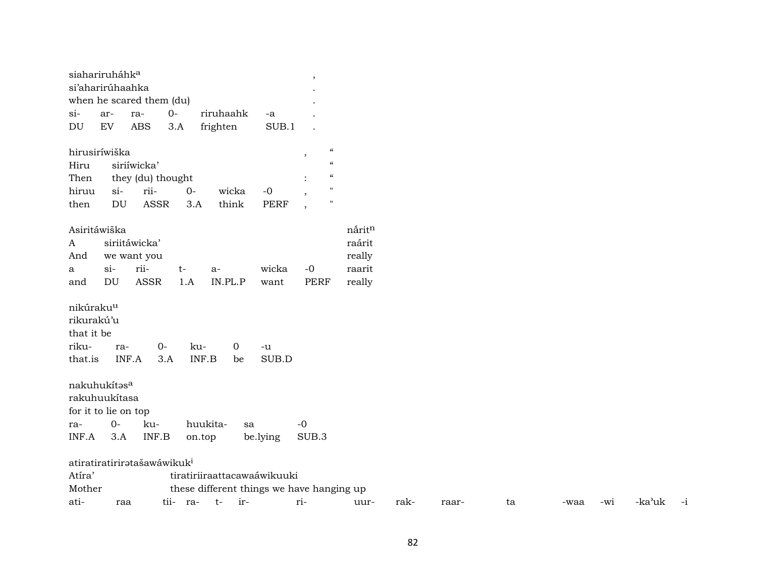|                                                                       | siahariruháhk <sup>a</sup> |                                         |       |                            |                                           | $\overline{\phantom{a}}$ |                          |        |
|-----------------------------------------------------------------------|----------------------------|-----------------------------------------|-------|----------------------------|-------------------------------------------|--------------------------|--------------------------|--------|
|                                                                       | si'aharirúhaahka           |                                         |       |                            |                                           |                          |                          |        |
|                                                                       |                            | when he scared them (du)                |       |                            |                                           |                          |                          |        |
| $\sin$                                                                | ar-                        | ra-                                     | $0-$  | riruhaahk                  | -a                                        |                          |                          |        |
| DU                                                                    | EV                         | ABS                                     | 3.A   | frighten                   | SUB.1                                     |                          |                          |        |
| hirusiríwiška                                                         |                            |                                         |       |                            |                                           | $\, ,$                   | $\mathcal{C}$            |        |
| Hiru                                                                  |                            | siriíwicka'                             |       |                            |                                           |                          | $\pmb{\zeta}\pmb{\zeta}$ |        |
| Then                                                                  |                            | they (du) thought                       |       |                            |                                           |                          | $\mathcal{C}$            |        |
| hiruu                                                                 | $si-$                      | rii-                                    | $0 -$ | wicka                      | $-0$                                      |                          | $\pmb{\mathsf{H}}$       |        |
| then                                                                  | DU                         | <b>ASSR</b>                             | 3.A   | think                      | <b>PERF</b>                               |                          | $\mathbf{H}$             |        |
|                                                                       | Asiritáwiška               |                                         |       |                            |                                           |                          |                          | nåritn |
| A                                                                     |                            | siriitáwicka'                           |       |                            |                                           |                          |                          | raárit |
| And                                                                   |                            | we want you                             |       |                            |                                           |                          |                          | really |
| a                                                                     | $si-$                      | rii-                                    | $t-$  | $a-$                       | wicka                                     | $-0$                     |                          | raarit |
| and                                                                   | DU                         | <b>ASSR</b>                             | 1.A   | IN.PL.P                    | want                                      | PERF                     |                          | really |
| nikúraku <sup>u</sup><br>rikurakú'u<br>that it be<br>riku-<br>that.is | ra-<br>nakuhukítasa        | $0-$<br>INF.A<br>3.A                    | ku-   | $\mathbf 0$<br>INF.B<br>be | -u<br>SUB.D                               |                          |                          |        |
| rakuhuukítasa                                                         |                            |                                         |       |                            |                                           |                          |                          |        |
|                                                                       | for it to lie on top       |                                         |       |                            |                                           |                          |                          |        |
| ra-                                                                   | $O -$                      | ku-                                     |       | huukita-                   | sa                                        | $-0$                     |                          |        |
| INF.A                                                                 | 3.A                        | INF.B                                   |       | on.top                     | be.lying                                  | SUB.3                    |                          |        |
|                                                                       |                            | atiratiratiriratašawáwikuk <sup>i</sup> |       |                            |                                           |                          |                          |        |
| Atíra'                                                                |                            |                                         |       |                            | tiratiriiraattacawaáwikuuki               |                          |                          |        |
| Mother                                                                |                            |                                         |       |                            | these different things we have hanging up |                          |                          |        |

ati- raa tii- ra- t- ir- ri- uur- rak- raar- ta -waa -wi -ka"uk -i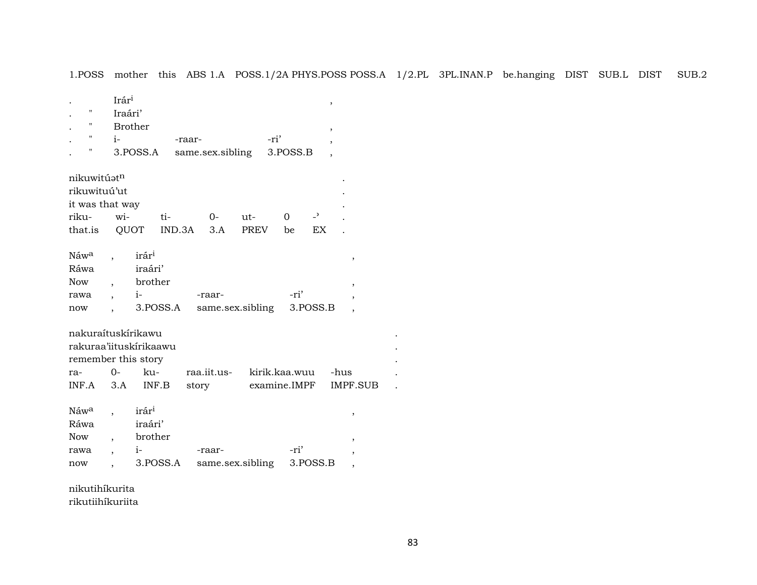1.POSS mother this ABS 1.A POSS.1/2A PHYS.POSS POSS.A 1/2.PL 3PL.INAN.P be.hanging DIST SUB.L DIST SUB.2

| $\pmb{\mathsf{H}}$<br>$\pmb{\mathsf{H}}$<br>"<br>$\pmb{\mathsf{H}}$ | Irári<br>Iraári'<br>$i-$ | <b>Brother</b><br>3.POSS.A                      | -raar-   |        |      | same.sex.sibling          | -ri' | 3.POSS.B     |                | ,<br>, |                |  |
|---------------------------------------------------------------------|--------------------------|-------------------------------------------------|----------|--------|------|---------------------------|------|--------------|----------------|--------|----------------|--|
| nikuwitúatn<br>rikuwituú'ut                                         |                          |                                                 |          |        |      |                           |      |              |                |        |                |  |
| it was that way                                                     |                          |                                                 |          |        |      |                           |      |              |                |        |                |  |
| riku-                                                               | wi-                      |                                                 | ti-      |        | $O-$ | ut-                       |      | $\Omega$     | $\overline{a}$ |        |                |  |
| that.is                                                             |                          | QUOT                                            | IND.3A   |        | 3.A  | <b>PREV</b>               |      | be           | <b>EX</b>      |        |                |  |
| Náw <sup>a</sup><br>Ráwa<br><b>Now</b><br>rawa<br>now               | $\cdot$                  | irár <sup>i</sup><br>iraári'<br>brother<br>$i-$ | 3.POSS.A | -raar- |      | same.sex.sibling          |      | -ri'         | 3.POSS.B       |        | $\,$<br>,      |  |
| nakuraítuskírikawu                                                  |                          |                                                 |          |        |      |                           |      |              |                |        |                |  |
| rakuraa'iituskírikaawu                                              |                          |                                                 |          |        |      |                           |      |              |                |        |                |  |
| remember this story                                                 | $O -$                    |                                                 |          |        |      |                           |      |              |                |        |                |  |
| ra-<br>INF.A                                                        | 3.A                      | ku-<br>INF.B                                    |          | story  |      | raa.iit.us- kirik.kaa.wuu |      | examine.IMPF |                | -hus   | IMPF.SUB       |  |
|                                                                     |                          |                                                 |          |        |      |                           |      |              |                |        |                |  |
| Náwa                                                                |                          | irár <sup>i</sup>                               |          |        |      |                           |      |              |                |        | ,              |  |
| Ráwa                                                                |                          | iraári'                                         |          |        |      |                           |      |              |                |        |                |  |
| <b>Now</b><br>rawa                                                  | $\overline{\phantom{a}}$ | brother<br>$i-$                                 |          | -raar- |      |                           |      | -ri'         |                |        |                |  |
| now                                                                 |                          |                                                 | 3.POSS.A |        |      | same.sex.sibling          |      |              | 3.POSS.B       |        | $\overline{ }$ |  |
|                                                                     |                          |                                                 |          |        |      |                           |      |              |                |        |                |  |

nikutihíkurita rikutiihíkuriita

 $\ddot{\phantom{a}}$  $\ddot{\phantom{a}}$  $\sim$  $\ddot{\phantom{a}}$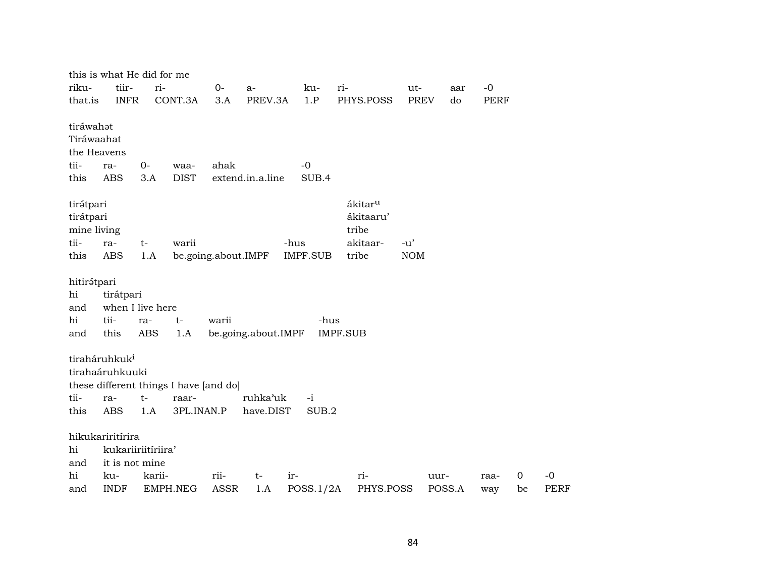|                                                              |                                                                     | this is what He did for me                                           |                     |                       |                  |                                                                |                     |                |             |                      |                     |  |  |  |  |
|--------------------------------------------------------------|---------------------------------------------------------------------|----------------------------------------------------------------------|---------------------|-----------------------|------------------|----------------------------------------------------------------|---------------------|----------------|-------------|----------------------|---------------------|--|--|--|--|
| riku-                                                        | tiir-                                                               | ri-                                                                  | $0-$                | a-                    | ku-              | ri-                                                            | ut-                 | aar            | $-0$        |                      |                     |  |  |  |  |
| that.is                                                      | <b>INFR</b>                                                         | CONT.3A                                                              | 3.A                 | PREV.3A               | 1.P              | PHYS.POSS                                                      | <b>PREV</b>         | do             | <b>PERF</b> |                      |                     |  |  |  |  |
| tiráwahat<br>Tiráwaahat<br>the Heavens<br>tii-               | ra-                                                                 | $0-$<br>waa-                                                         | ahak                |                       | $-0$             |                                                                |                     |                |             |                      |                     |  |  |  |  |
| this                                                         | <b>ABS</b>                                                          | <b>DIST</b><br>3.A                                                   |                     | extend.in.a.line      | SUB.4            |                                                                |                     |                |             |                      |                     |  |  |  |  |
| tirátpari<br>tirátpari<br>mine living<br>tii-<br>this        | ra-<br>$t-$<br><b>ABS</b>                                           | warii<br>1.A                                                         |                     |                       | -hus<br>IMPF.SUB | ákitar <sup>u</sup><br>ákitaaru'<br>tribe<br>akitaar-<br>tribe | $-u'$<br><b>NOM</b> |                |             |                      |                     |  |  |  |  |
| hi<br>and                                                    | be.going.about.IMPF<br>hitirátpari<br>tirátpari<br>when I live here |                                                                      |                     |                       |                  |                                                                |                     |                |             |                      |                     |  |  |  |  |
| hi                                                           | tii-                                                                | t-<br>ra-                                                            | warii               |                       | -hus             |                                                                |                     |                |             |                      |                     |  |  |  |  |
| and                                                          | this                                                                | <b>ABS</b><br>1.A                                                    |                     | be.going.about.IMPF   |                  | <b>IMPF.SUB</b>                                                |                     |                |             |                      |                     |  |  |  |  |
| tiraháruhkuk <sup>i</sup><br>tirahaáruhkuuki<br>tii-<br>this | ra-<br>$t-$<br><b>ABS</b>                                           | these different things I have [and do]<br>raar-<br>3PL.INAN.P<br>1.A |                     | ruhka'uk<br>have.DIST | $-i$<br>SUB.2    |                                                                |                     |                |             |                      |                     |  |  |  |  |
| hikukariritírira<br>hi<br>and                                | kukariiriitíriira'<br>it is not mine                                |                                                                      |                     |                       |                  |                                                                |                     |                |             |                      |                     |  |  |  |  |
| hi<br>and                                                    | ku-<br><b>INDF</b>                                                  | karii-<br>EMPH.NEG                                                   | rii-<br><b>ASSR</b> | $t-$<br>1.A           | ir-<br>POSS.1/2A | ri-<br>PHYS.POSS                                               |                     | uur-<br>POSS.A | raa-<br>way | $\overline{0}$<br>be | $-0$<br><b>PERF</b> |  |  |  |  |
|                                                              |                                                                     |                                                                      |                     |                       |                  |                                                                |                     |                |             |                      |                     |  |  |  |  |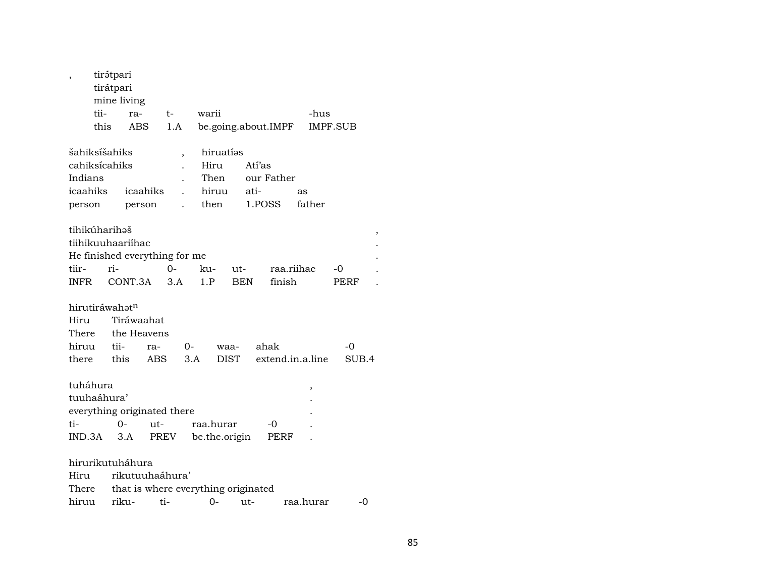|                | tirátpari<br>tirátpari |                               |     |      |                          |                                     |            |            |      |        |                  |    |             |  |
|----------------|------------------------|-------------------------------|-----|------|--------------------------|-------------------------------------|------------|------------|------|--------|------------------|----|-------------|--|
|                |                        | mine living                   |     |      |                          |                                     |            |            |      |        |                  |    |             |  |
|                | tii-                   | ra-                           |     | $t-$ |                          | warii                               |            |            |      |        | -hus             |    |             |  |
|                | this                   | ABS                           |     | 1.A  |                          | be.going.about.IMPF                 |            |            |      |        | IMPF.SUB         |    |             |  |
| šahiksíšahiks  |                        |                               |     |      | $\overline{\phantom{a}}$ | hiruatías                           |            |            |      |        |                  |    |             |  |
| cahiksícahiks  |                        |                               |     |      | Hiru                     |                                     |            | Atí'as     |      |        |                  |    |             |  |
| Indians        |                        |                               |     |      | Then                     |                                     |            | our Father |      |        |                  |    |             |  |
|                | icaahiks<br>icaahiks   |                               |     |      |                          | hiruu                               |            | ati-       |      | as     |                  |    |             |  |
|                | person<br>person       |                               |     |      |                          | then                                |            | 1.POSS     |      | father |                  |    |             |  |
| tihikúharihəš  |                        |                               |     |      |                          |                                     |            |            |      |        |                  |    |             |  |
|                |                        | tiihikuuhaariíhac             |     |      |                          |                                     |            |            |      |        |                  |    |             |  |
|                |                        | He finished everything for me |     |      |                          |                                     |            |            |      |        |                  |    |             |  |
| tiir-          | ri-                    |                               |     | 0-   |                          | ku-                                 | ut-        |            |      |        | raa.riihac       | -0 |             |  |
| INFR           |                        | CONT.3A                       |     | 3.A  |                          | 1.P                                 | <b>BEN</b> |            |      | finish |                  |    | <b>PERF</b> |  |
| hirutiráwahatn |                        |                               |     |      |                          |                                     |            |            |      |        |                  |    |             |  |
| Hiru           |                        | Tiráwaahat                    |     |      |                          |                                     |            |            |      |        |                  |    |             |  |
| There          |                        | the Heavens                   |     |      |                          |                                     |            |            |      |        |                  |    |             |  |
| hiruu          |                        | tii-                          | ra- |      | 0-                       |                                     | waa-       |            | ahak |        |                  |    | -0          |  |
| there this     |                        |                               | ABS |      | 3.A                      |                                     | DIST       |            |      |        | extend.in.a.line |    | SUB.4       |  |
| tuháhura       |                        |                               |     |      |                          |                                     |            |            |      |        | ,                |    |             |  |
| tuuhaáhura'    |                        |                               |     |      |                          |                                     |            |            |      |        |                  |    |             |  |
|                |                        | everything originated there   |     |      |                          |                                     |            |            |      |        |                  |    |             |  |
| ti-            |                        | $0 -$                         | ut- |      |                          | raa.hurar                           |            |            | -0   |        |                  |    |             |  |
| IND.3A         |                        | 3.A                           |     | PREV |                          | be.the.origin                       |            |            |      | PERF   |                  |    |             |  |
|                |                        | hirurikutuháhura              |     |      |                          |                                     |            |            |      |        |                  |    |             |  |
| Hiru           |                        | rikutuuhaáhura'               |     |      |                          |                                     |            |            |      |        |                  |    |             |  |
| There          |                        |                               |     |      |                          | that is where everything originated |            |            |      |        |                  |    |             |  |
| hiruu          |                        | riku-                         |     | ti-  |                          | $0-$                                |            | ut-        |      |        | raa.hurar        |    | -0          |  |